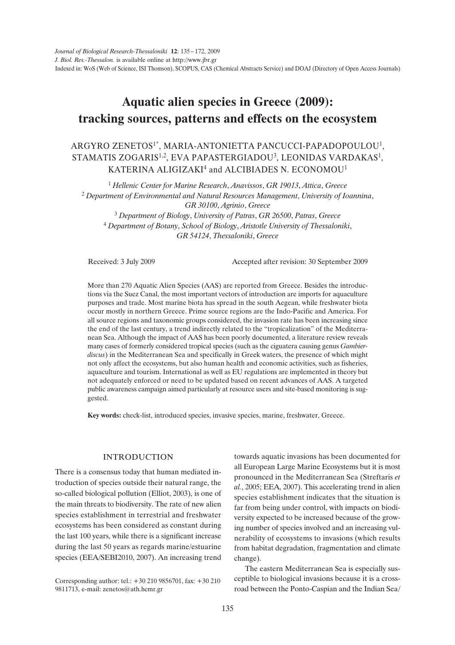# **Aquatic alien species in Greece (2009): tracking sources, patterns and effects on the ecosystem**

## ARGYRO ZENETOS1\*, MARIA-ANTONIETTA PANCUCCI-PAPADOPOULOU1, STAMATIS ZOGARIS<sup>1,2</sup>, EVA PAPASTERGIADOU<sup>3</sup>, LEONIDAS VARDAKAS<sup>1</sup>, KATERINA ALIGIZAKI<sup>4</sup> and ALCIBIADES N. ECONOMOU<sup>1</sup>

 *Hellenic Center for Marine Research*, *Anavissos*, *GR 19013*, *Attica*, *Greece Department of Environmental and Natural Resources Management*, *University of Ioannina*, *GR 30100*, *Agrinio*, *Greece Department of Biology*, *University of Patras*, *GR 26500*, *Patras*, *Greece*

<sup>4</sup> *Department of Botany*, *School of Biology*, *Aristotle University of Thessaloniki*, *GR 54124*, *Thessaloniki*, *Greece*

Received: 3 July 2009 Accepted after revision: 30 September 2009

More than 270 Aquatic Alien Species (AAS) are reported from Greece. Besides the introductions via the Suez Canal, the most important vectors of introduction are imports for aquaculture purposes and trade. Most marine biota has spread in the south Aegean, while freshwater biota occur mostly in northern Greece. Prime source regions are the Indo-Pacific and America. For all source regions and taxonomic groups considered, the invasion rate has been increasing since the end of the last century, a trend indirectly related to the "tropicalization" of the Mediterranean Sea. Although the impact of AAS has been poorly documented, a literature review reveals many cases of formerly considered tropical species (such as the ciguatera causing genus *Gambierdiscus*) in the Mediterranean Sea and specifically in Greek waters, the presence of which might not only affect the ecosystems, but also human health and economic activities, such as fisheries, aquaculture and tourism. International as well as EU regulations are implemented in theory but not adequately enforced or need to be updated based on recent advances of AAS. A targeted public awareness campaign aimed particularly at resource users and site-based monitoring is suggested.

**Key words:** check-list, introduced species, invasive species, marine, freshwater, Greece.

#### INTRODUCTION

There is a consensus today that human mediated introduction of species outside their natural range, the so-called biological pollution (Elliot, 2003), is one of the main threats to biodiversity. The rate of new alien species establishment in terrestrial and freshwater ecosystems has been considered as constant during the last 100 years, while there is a significant increase during the last 50 years as regards marine/estuarine species (EEA/SEBI2010, 2007). An increasing trend

Corresponding author: tel.: +30 210 9856701, fax: +30 210 9811713, e-mail: zenetos@ath.hcmr.gr

towards aquatic invasions has been documented for all European Large Marine Ecosystems but it is most pronounced in the Mediterranean Sea (Streftaris *et al.*, 2005; EEA, 2007). This accelerating trend in alien species establishment indicates that the situation is far from being under control, with impacts on biodiversity expected to be increased because of the growing number of species involved and an increasing vulnerability of ecosystems to invasions (which results from habitat degradation, fragmentation and climate change).

The eastern Mediterranean Sea is especially susceptible to biological invasions because it is a crossroad between the Ponto-Caspian and the Indian Sea/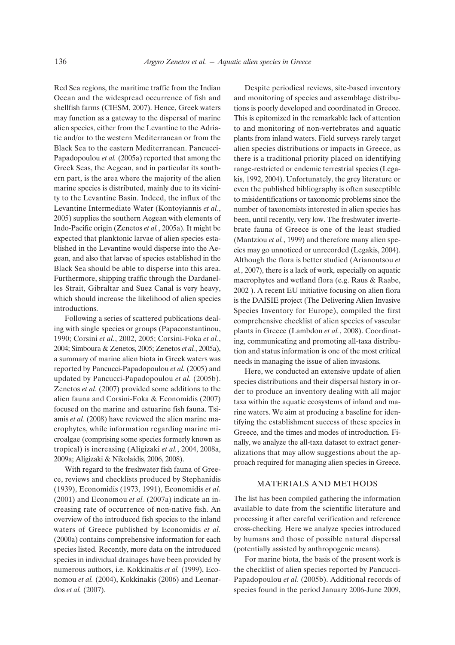Red Sea regions, the maritime traffic from the Indian Ocean and the widespread occurrence of fish and shellfish farms (CIESM, 2007). Hence, Greek waters may function as a gateway to the dispersal of marine alien species, either from the Levantine to the Adriatic and/or to the western Mediterranean or from the Black Sea to the eastern Mediterranean. Pancucci-Papadopoulou *et al.* (2005a) reported that among the Greek Seas, the Aegean, and in particular its southern part, is the area where the majority of the alien marine species is distributed, mainly due to its vicinity to the Levantine Basin. Indeed, the influx of the Levantine Intermediate Water (Kontoyiannis *et al.*, 2005) supplies the southern Aegean with elements of Indo-Pacific origin (Zenetos *et al.*, 2005a). It might be expected that planktonic larvae of alien species established in the Levantine would disperse into the Aegean, and also that larvae of species established in the Black Sea should be able to disperse into this area. Furthermore, shipping traffic through the Dardanelles Strait, Gibraltar and Suez Canal is very heavy, which should increase the likelihood of alien species introductions.

Following a series of scattered publications dealing with single species or groups (Papaconstantinou, 1990; Corsini *et al.*, 2002, 2005; Corsini-Foka *et al.*, 2004; Simboura & Zenetos, 2005; Zenetos *et al.*, 2005a), a summary of marine alien biota in Greek waters was reported by Pancucci-Papadopoulou *et al.* (2005) and updated by Pancucci-Papadopoulou *et al.* (2005b). Zenetos *et al.* (2007) provided some additions to the alien fauna and Corsini-Foka & Economidis (2007) focused on the marine and estuarine fish fauna. Tsiamis *et al.* (2008) have reviewed the alien marine macrophytes, while information regarding marine microalgae (comprising some species formerly known as tropical) is increasing (Aligizaki *et al.*, 2004, 2008a, 2009a; Aligizaki & Nikolaidis, 2006, 2008).

With regard to the freshwater fish fauna of Greece, reviews and checklists produced by Stephanidis (1939), Economidis (1973, 1991), Economidis *et al.* (2001) and Economou *et al.* (2007a) indicate an increasing rate of occurrence of non-native fish. An overview of the introduced fish species to the inland waters of Greece published by Economidis *et al.* (2000a) contains comprehensive information for each species listed. Recently, more data on the introduced species in individual drainages have been provided by numerous authors, i.e. Kokkinakis *et al.* (1999), Economou *et al.* (2004), Kokkinakis (2006) and Leonardos *et al.* (2007).

Despite periodical reviews, site-based inventory and monitoring of species and assemblage distributions is poorly developed and coordinated in Greece. This is epitomized in the remarkable lack of attention to and monitoring of non-vertebrates and aquatic plants from inland waters. Field surveys rarely target alien species distributions or impacts in Greece, as there is a traditional priority placed on identifying range-restricted or endemic terrestrial species (Legakis, 1992, 2004). Unfortunately, the grey literature or even the published bibliography is often susceptible to misidentifications or taxonomic problems since the number of taxonomists interested in alien species has been, until recently, very low. The freshwater invertebrate fauna of Greece is one of the least studied (Mantziou *et al.*, 1999) and therefore many alien species may go unnoticed or unrecorded (Legakis, 2004). Although the flora is better studied (Arianoutsou *et al.*, 2007), there is a lack of work, especially on aquatic macrophytes and wetland flora (e.g. Raus & Raabe, 2002 ). A recent EU initiative focusing on alien flora is the DAISIE project (The Delivering Alien Invasive Species Inventory for Europe), compiled the first comprehensive checklist of alien species of vascular plants in Greece (Lambdon *et al.*, 2008). Coordinating, communicating and promoting all-taxa distribution and status information is one of the most critical needs in managing the issue of alien invasions.

Here, we conducted an extensive update of alien species distributions and their dispersal history in order to produce an inventory dealing with all major taxa within the aquatic ecosystems of inland and marine waters. We aim at producing a baseline for identifying the establishment success of these species in Greece, and the times and modes of introduction. Finally, we analyze the all-taxa dataset to extract generalizations that may allow suggestions about the approach required for managing alien species in Greece.

#### MATERIALS AND METHODS

The list has been compiled gathering the information available to date from the scientific literature and processing it after careful verification and reference cross-checking. Here we analyze species introduced by humans and those of possible natural dispersal (potentially assisted by anthropogenic means).

For marine biota, the basis of the present work is the checklist of alien species reported by Pancucci-Papadopoulou *et al.* (2005b). Additional records of species found in the period January 2006-June 2009,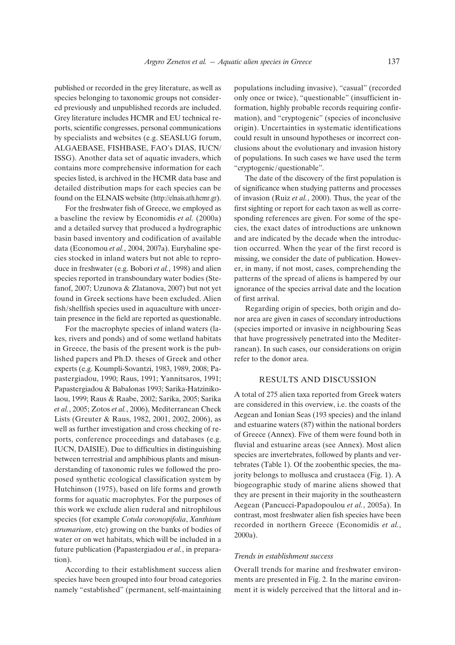published or recorded in the grey literature, as well as species belonging to taxonomic groups not considered previously and unpublished records are included. Grey literature includes HCMR and EU technical reports, scientific congresses, personal communications by specialists and websites (e.g. SEASLUG forum, ALGAEBASE, FISHBASE, FAO's DIAS, IUCN/ ISSG). Another data set of aquatic invaders, which contains more comprehensive information for each species listed, is archived in the HCMR data base and detailed distribution maps for each species can be found on the ELNAIS website (http://elnais.ath.hcmr.gr).

For the freshwater fish of Greece, we employed as a baseline the review by Economidis *et al.* (2000a) and a detailed survey that produced a hydrographic basin based inventory and codification of available data (Economou *et al.*, 2004, 2007a). Euryhaline species stocked in inland waters but not able to reproduce in freshwater (e.g. Bobori *et al.*, 1998) and alien species reported in transboundary water bodies (Stefanof, 2007; Uzunova & Zlatanova, 2007) but not yet found in Greek sections have been excluded. Alien fish/shellfish species used in aquaculture with uncertain presence in the field are reported as questionable.

For the macrophyte species of inland waters (lakes, rivers and ponds) and of some wetland habitats in Greece, the basis of the present work is the published papers and Ph.D. theses of Greek and other experts (e.g. Koumpli-Sovantzi, 1983, 1989, 2008; Papastergiadou, 1990; Raus, 1991; Yannitsaros, 1991; Papastergiadou & Babalonas 1993; Sarika-Hatzinikolaou, 1999; Raus & Raabe, 2002; Sarika, 2005; Sarika *et al.*, 2005; Zotos *et al.*, 2006), Mediterranean Check Lists (Greuter & Raus, 1982, 2001, 2002, 2006), as well as further investigation and cross checking of reports, conference proceedings and databases (e.g. IUCN, DAISIE). Due to difficulties in distinguishing between terrestrial and amphibious plants and misunderstanding of taxonomic rules we followed the proposed synthetic ecological classification system by Hutchinson (1975), based on life forms and growth forms for aquatic macrophytes. For the purposes of this work we exclude alien ruderal and nitrophilous species (for example *Cotula coronopifolia*, *Xanthium strumarium*, etc) growing on the banks of bodies of water or on wet habitats, which will be included in a future publication (Papastergiadou *et al.*, in preparation).

According to their establishment success alien species have been grouped into four broad categories namely "established" (permanent, self-maintaining

populations including invasive), "casual" (recorded only once or twice), "questionable" (insufficient information, highly probable records requiring confirmation), and "cryptogenic" (species of inconclusive origin). Uncertainties in systematic identifications could result in unsound hypotheses or incorrect conclusions about the evolutionary and invasion history of populations. In such cases we have used the term "cryptogenic/questionable".

The date of the discovery of the first population is of significance when studying patterns and processes of invasion (Ruiz *et al.*, 2000). Thus, the year of the first sighting or report for each taxon as well as corresponding references are given. For some of the species, the exact dates of introductions are unknown and are indicated by the decade when the introduction occurred. When the year of the first record is missing, we consider the date of publication. However, in many, if not most, cases, comprehending the patterns of the spread of aliens is hampered by our ignorance of the species arrival date and the location of first arrival.

Regarding origin of species, both origin and donor area are given in cases of secondary introductions (species imported or invasive in neighbouring Seas that have progressively penetrated into the Mediterranean). In such cases, our considerations on origin refer to the donor area.

#### RESULTS AND DISCUSSION

A total of 275 alien taxa reported from Greek waters are considered in this overview, i.e. the coasts of the Aegean and Ionian Seas (193 species) and the inland and estuarine waters (87) within the national borders of Greece (Annex). Five of them were found both in fluvial and estuarine areas (see Annex). Most alien species are invertebrates, followed by plants and vertebrates (Table 1). Of the zoobenthic species, the majority belongs to mollusca and crustacea (Fig. 1). A biogeographic study of marine aliens showed that they are present in their majority in the southeastern Aegean (Pancucci-Papadopoulou *et al.*, 2005a). In contrast, most freshwater alien fish species have been recorded in northern Greece (Economidis *et al.*, 2000a).

#### *Trends in establishment success*

Overall trends for marine and freshwater environments are presented in Fig. 2. In the marine environment it is widely perceived that the littoral and in-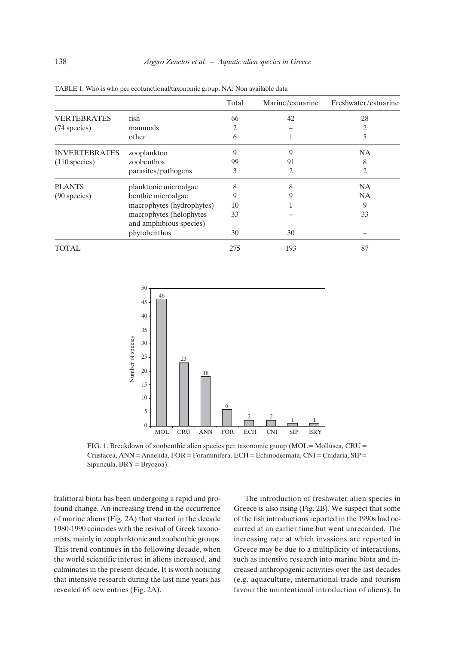|                         |                                                    | Total | Marine/estuarine | Freshwater/estuarine |
|-------------------------|----------------------------------------------------|-------|------------------|----------------------|
| <b>VERTEBRATES</b>      | fish                                               | 66    | 42               | 28                   |
| (74 species)            | mammals                                            | 2     |                  | 2                    |
|                         | other                                              | 6     |                  | 5                    |
| <b>INVERTEBRATES</b>    | zooplankton                                        | 9     | 9                | <b>NA</b>            |
| $(110 \text{ species})$ | zoobenthos                                         | 99    | 91               | 8                    |
|                         | parasites/pathogens                                | 3     | 2                | 2                    |
| <b>PLANTS</b>           | planktonic microalgae                              | 8     | 8                | <b>NA</b>            |
| $(90$ species)          | benthic microalgae                                 | 9     | 9                | <b>NA</b>            |
|                         | macrophytes (hydrophytes)                          | 10    |                  | 9                    |
|                         | macrophytes (helophytes<br>and amphibious species) | 33    |                  | 33                   |
|                         | phytobenthos                                       | 30    | 30               |                      |
| TOTAL                   |                                                    | 275   | 193              | 87                   |

TABLE 1. Who is who per ecofunctional/taxonomic group. NA: Non available data



FIG. 1. Breakdown of zoobenthic alien species per taxonomic group (MOL=Mollusca, CRU= Crustacea, ANN=Annelida, FOR=Foraminifera, ECH=Echinodermata, CNI=Cnidaria, SIP= Sipuncula, BRY=Bryozoa).

fralittoral biota has been undergoing a rapid and profound change. An increasing trend in the occurrence of marine aliens (Fig. 2A) that started in the decade 1980-1990 coincides with the revival of Greek taxonomists, mainly in zooplanktonic and zoobenthic groups. This trend continues in the following decade, when the world scientific interest in aliens increased, and culminates in the present decade. It is worth noticing that intensive research during the last nine years has revealed 65 new entries (Fig. 2A).

The introduction of freshwater alien species in Greece is also rising (Fig. 2B). We suspect that some of the fish introductions reported in the 1990s had occurred at an earlier time but went unrecorded. The increasing rate at which invasions are reported in Greece may be due to a multiplicity of interactions, such as intensive research into marine biota and increased anthropogenic activities over the last decades (e.g. aquaculture, international trade and tourism favour the unintentional introduction of aliens). In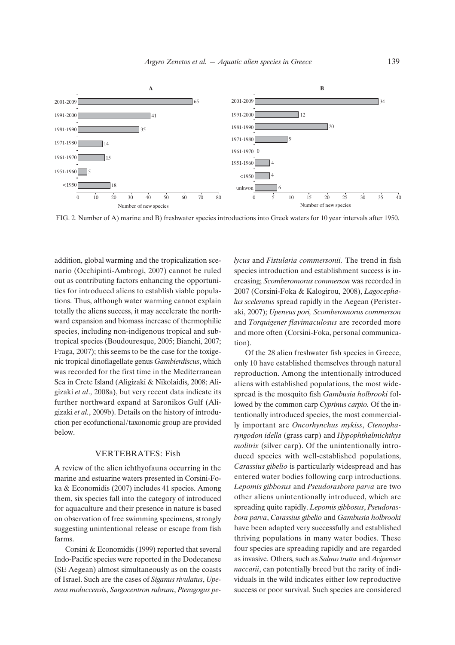

FIG. 2*.* Number of A) marine and B) freshwater species introductions into Greek waters for 10 year intervals after 1950.

addition, global warming and the tropicalization scenario (Occhipinti-Ambrogi, 2007) cannot be ruled out as contributing factors enhancing the opportunities for introduced aliens to establish viable populations. Thus, although water warming cannot explain totally the aliens success, it may accelerate the northward expansion and biomass increase of thermophilic species, including non-indigenous tropical and subtropical species (Boudouresque, 2005; Bianchi, 2007; Fraga, 2007); this seems to be the case for the toxigenic tropical dinoflagellate genus *Gambierdiscus*, which was recorded for the first time in the Mediterranean Sea in Crete Island (Aligizaki & Nikolaidis, 2008; Aligizaki *et al*., 2008a), but very recent data indicate its further northward expand at Saronikos Gulf (Aligizaki *et al.*, 2009b). Details on the history of introduction per ecofunctional/taxonomic group are provided below.

#### VERTEBRATES: Fish

A review of the alien ichthyofauna occurring in the marine and estuarine waters presented in Corsini-Foka & Economidis (2007) includes 41 species. Among them, six species fall into the category of introduced for aquaculture and their presence in nature is based on observation of free swimming specimens, strongly suggesting unintentional release or escape from fish farms.

Corsini & Economidis (1999) reported that several Indo-Pacific species were reported in the Dodecanese (SE Aegean) almost simultaneously as on the coasts of Israel. Such are the cases of *Siganus rivulatus*, *Upeneus moluccensis*, *Sargocentron rubrum*, *Pteragogus pe-* *lycus* and *Fistularia commersonii.* The trend in fish species introduction and establishment success is increasing; *Scomberomorus commerson* was recorded in 2007 (Corsini-Foka & Kalogirou, 2008), *Lagocephalus sceleratus* spread rapidly in the Aegean (Peristeraki, 2007); *Upeneus pori, Scomberomorus commerson* and *Torquigener flavimaculosus* are recorded more and more often (Corsini-Foka, personal communication).

Of the 28 alien freshwater fish species in Greece, only 10 have established themselves through natural reproduction. Among the intentionally introduced aliens with established populations, the most widespread is the mosquito fish *Gambusia holbrooki* followed by the common carp *Cyprinus carpio.* Of the intentionally introduced species, the most commercially important are *Oncorhynchus mykiss*, *Ctenopharyngodon idella* (grass carp) and *Hypophthalmichthys molitrix* (silver carp). Of the unintentionally introduced species with well-established populations, *Carassius gibelio* is particularly widespread and has entered water bodies following carp introductions. *Lepomis gibbosus* and *Pseudorasbora parva* are two other aliens unintentionally introduced, which are spreading quite rapidly. *Lepomis gibbosus*, *Pseudorasbora parva*, *Carassius gibelio* and *Gambusia holbrooki* have been adapted very successfully and established thriving populations in many water bodies. These four species are spreading rapidly and are regarded as invasive. Others, such as *Salmo trutta* and *Acipenser naccarii*, can potentially breed but the rarity of individuals in the wild indicates either low reproductive success or poor survival. Such species are considered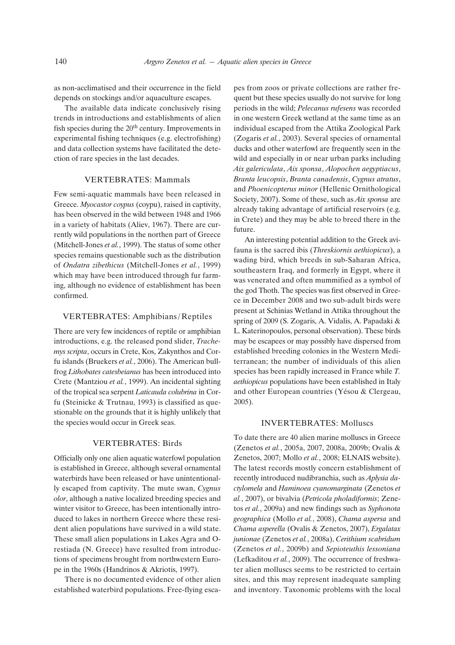as non-acclimatised and their occurrence in the field depends on stockings and/or aquaculture escapes.

The available data indicate conclusively rising trends in introductions and establishments of alien fish species during the 20<sup>th</sup> century. Improvements in experimental fishing techniques (e.g. electrofishing) and data collection systems have facilitated the detection of rare species in the last decades.

#### VERTEBRATES: Mammals

Few semi-aquatic mammals have been released in Greece. *Myocastor coypus* (coypu), raised in captivity, has been observed in the wild between 1948 and 1966 in a variety of habitats (Aliev, 1967). There are currently wild populations in the northen part of Greece (Mitchell-Jones *et al.*, 1999). The status of some other species remains questionable such as the distribution of *Ondatra zibethicus* (Mitchell-Jones *et al.*, 1999) which may have been introduced through fur farming, although no evidence of establishment has been confirmed.

#### VERTEBRATES: Amphibians/Reptiles

There are very few incidences of reptile or amphibian introductions, e.g. the released pond slider, *Trachemys scripta*, occurs in Crete, Kos, Zakynthos and Corfu islands (Bruekers *et al.*, 2006). The American bullfrog *Lithobates catesbeianus* has been introduced into Crete (Mantziou *et al.*, 1999). An incidental sighting of the tropical sea serpent *Laticauda colubrina* in Corfu (Steinicke & Trutnau, 1993) is classified as questionable on the grounds that it is highly unlikely that the species would occur in Greek seas.

#### VERTEBRATES: Birds

Officially only one alien aquatic waterfowl population is established in Greece, although several ornamental waterbirds have been released or have unintentionally escaped from captivity. The mute swan, *Cygnus olor*, although a native localized breeding species and winter visitor to Greece, has been intentionally introduced to lakes in northern Greece where these resident alien populations have survived in a wild state. These small alien populations in Lakes Agra and Orestiada (N. Greece) have resulted from introductions of specimens brought from northwestern Europe in the 1960s (Handrinos & Akriotis, 1997).

There is no documented evidence of other alien established waterbird populations. Free-flying escapes from zoos or private collections are rather frequent but these species usually do not survive for long periods in the wild; *Pelecanus rufesens* was recorded in one western Greek wetland at the same time as an individual escaped from the Attika Zoological Park (Zogaris *et al.*, 2003). Several species of ornamental ducks and other waterfowl are frequently seen in the wild and especially in or near urban parks including *Aix galericulata*, *Aix sponsa*, *Alopochen aegyptiacus*, *Branta leucopsis*, *Branta canadensis*, *Cygnus atratus*, and *Phoenicopterus minor* (Hellenic Ornithological Society, 2007). Some of these, such as *Aix sponsa* are already taking advantage of artificial reservoirs (e.g. in Crete) and they may be able to breed there in the future.

An interesting potential addition to the Greek avifauna is the sacred ibis (*Threskiornis aethiopicus*), a wading bird, which breeds in sub-Saharan Africa, southeastern Iraq, and formerly in Egypt, where it was venerated and often mummified as a symbol of the god Thoth. The species was first observed in Greece in December 2008 and two sub-adult birds were present at Schinias Wetland in Attika throughout the spring of 2009 (S. Zogaris, A. Vidalis, A. Papadaki & L. Katerinopoulos, personal observation). These birds may be escapees or may possibly have dispersed from established breeding colonies in the Western Mediterranean; the number of individuals of this alien species has been rapidly increased in France while *T. aethiopicus* populations have been established in Italy and other European countries (Yésou & Clergeau, 2005).

#### INVERTEBRATES: Molluscs

To date there are 40 alien marine molluscs in Greece (Zenetos *et al.*, 2005a, 2007, 2008a, 2009b; Ovalis & Zenetos, 2007; Mollo *et al.*, 2008; ELNAIS website). The latest records mostly concern establishment of recently introduced nudibranchia, such as *Aplysia dactylomela* and *Haminoea cyanomarginata* (Zenetos *et al.*, 2007), or bivalvia (*Petricola pholadiformis*; Zenetos *et al.*, 2009a) and new findings such as *Syphonota geographica* (Mollo *et al.*, 2008), *Chama aspersa* and *Chama asperella* (Ovalis & Zenetos, 2007), *Ergalatax junionae* (Zenetos *et al.*, 2008a), *Cerithium scabridum* (Zenetos *et al.*, 2009b) and *Sepioteuthis lessoniana* (Lefkaditou *et al.*, 2009). The occurrence of freshwater alien molluscs seems to be restricted to certain sites, and this may represent inadequate sampling and inventory. Taxonomic problems with the local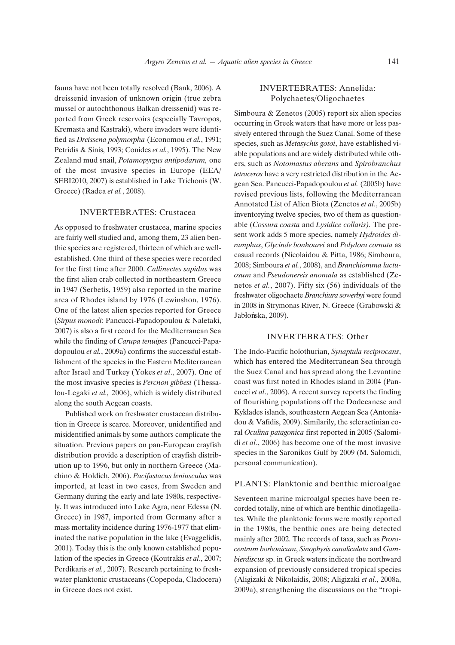fauna have not been totally resolved (Bank, 2006). A dreissenid invasion of unknown origin (true zebra mussel or autochthonous Balkan dreissenid) was reported from Greek reservoirs (especially Tavropos, Kremasta and Kastraki), where invaders were identified as *Dreissena polymorpha* (Economou *et al.*, 1991; Petridis & Sinis, 1993; Conides *et al.*, 1995). The New Zealand mud snail, *Potamopyrgus antipodarum,* one of the most invasive species in Europe (EEA/ SEBI2010, 2007) is established in Lake Trichonis (W. Greece) (Radea *et al.*, 2008).

#### INVERTEBRATES: Crustacea

As opposed to freshwater crustacea, marine species are fairly well studied and, among them, 23 alien benthic species are registered, thirteen of which are wellestablished. One third of these species were recorded for the first time after 2000. *Callinectes sapidus* was the first alien crab collected in northeastern Greece in 1947 (Serbetis, 1959) also reported in the marine area of Rhodes island by 1976 (Lewinshon, 1976). One of the latest alien species reported for Greece (*Sirpus monodi*: Pancucci-Papadopoulou & Naletaki, 2007) is also a first record for the Mediterranean Sea while the finding of *Carupa tenuipes* (Pancucci-Papadopoulou *et al.*, 2009a) confirms the successful establishment of the species in the Eastern Mediterranean after Israel and Turkey (Yokes *et al*., 2007). One of the most invasive species is *Percnon gibbesi* (Thessalou-Legaki *et al.,* 2006), which is widely distributed along the south Aegean coasts.

Published work on freshwater crustacean distribution in Greece is scarce. Moreover, unidentified and misidentified animals by some authors complicate the situation. Previous papers on pan-European crayfish distribution provide a description of crayfish distribution up to 1996, but only in northern Greece (Machino & Holdich, 2006). *Pacifastacus leniusculus* was imported, at least in two cases, from Sweden and Germany during the early and late 1980s, respectively. It was introduced into Lake Agra, near Edessa (N. Greece) in 1987, imported from Germany after a mass mortality incidence during 1976-1977 that eliminated the native population in the lake (Evaggelidis, 2001). Today this is the only known established population of the species in Greece (Koutrakis *et al.*, 2007; Perdikaris *et al.*, 2007). Research pertaining to freshwater planktonic crustaceans (Copepoda, Cladocera) in Greece does not exist.

#### INVERTEBRATES: Annelida: Polychaetes/Oligochaetes

Simboura & Zenetos (2005) report six alien species occurring in Greek waters that have more or less passively entered through the Suez Canal. Some of these species, such as *Metasychis gotoi*, have established viable populations and are widely distributed while others, such as *Notomastus aberans* and *Spirobranchus tetraceros* have a very restricted distribution in the Aegean Sea. Pancucci-Papadopoulou *et al.* (2005b) have revised previous lists, following the Mediterranean Annotated List of Alien Biota (Zenetos *et al.*, 2005b) inventorying twelve species, two of them as questionable (*Cossura coasta* and *Lysidice collaris).* The present work adds 5 more species, namely *Hydroides diramphus*, *Glycinde bonhourei* and *Polydora cornuta* as casual records (Nicolaidou & Pitta, 1986; Simboura, 2008; Simboura *et al.*, 2008), and *Branchiomma luctuosum* and *Pseudonereis anomala* as established (Zenetos *et al.*, 2007). Fifty six (56) individuals of the freshwater oligochaete *Branchiura sowerbyi* were found in 2008 in Strymonas River, N. Greece (Grabowski & Jabłońska, 2009).

#### INVERTEBRATES: Other

The Indo-Pacific holothurian, *Synaptula reciprocans*, which has entered the Mediterranean Sea through the Suez Canal and has spread along the Levantine coast was first noted in Rhodes island in 2004 (Pancucci *et al*., 2006). A recent survey reports the finding of flourishing populations off the Dodecanese and Kyklades islands, southeastern Aegean Sea (Antoniadou & Vafidis, 2009). Similarily, the scleractinian coral *Oculina patagonica* first reported in 2005 (Salomidi *et al*., 2006) has become one of the most invasive species in the Saronikos Gulf by 2009 (M. Salomidi, personal communication).

#### PLANTS: Planktonic and benthic microalgae

Seventeen marine microalgal species have been recorded totally, nine of which are benthic dinoflagellates. While the planktonic forms were mostly reported in the 1980s, the benthic ones are being detected mainly after 2002. The records of taxa, such as *Prorocentrum borbonicum*, *Sinophysis canaliculata* and *Gambierdiscus* sp. in Greek waters indicate the northward expansion of previously considered tropical species (Aligizaki & Nikolaidis, 2008; Aligizaki *et al*., 2008a, 2009a), strengthening the discussions on the "tropi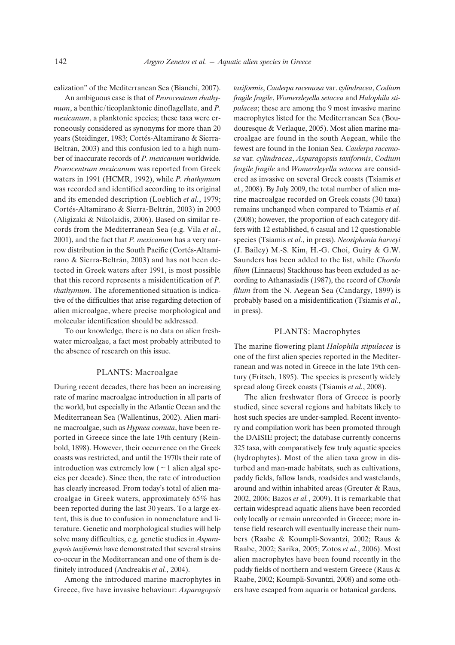calization" of the Mediterranean Sea (Bianchi, 2007).

An ambiguous case is that of *Prorocentrum rhathymum*, a benthic/ticoplanktonic dinoflagellate, and *P. mexicanum*, a planktonic species; these taxa were erroneously considered as synonyms for more than 20 years (Steidinger, 1983; Cortés-Altamirano & Sierra-Beltrán, 2003) and this confusion led to a high number of inaccurate records of *P. mexicanum* worldwide*. Prorocentrum mexicanum* was reported from Greek waters in 1991 (HCMR, 1992), while *P. rhathymum* was recorded and identified according to its original and its emended description (Loeblich *et al.*, 1979; Cortés-Altamirano & Sierra-Beltrán, 2003) in 2003 (Aligizaki & Nikolaidis, 2006). Based on similar records from the Mediterranean Sea (e.g. Vila *et al*., 2001), and the fact that *P. mexicanum* has a very narrow distribution in the South Pacific (Cortés-Altamirano & Sierra-Beltrán, 2003) and has not been detected in Greek waters after 1991, is most possible that this record represents a misidentification of *P. rhathymum*. The aforementioned situation is indicative of the difficulties that arise regarding detection of alien microalgae, where precise morphological and molecular identification should be addressed.

To our knowledge, there is no data on alien freshwater microalgae, a fact most probably attributed to the absence of research on this issue.

#### PLANTS: Macroalgae

During recent decades, there has been an increasing rate of marine macroalgae introduction in all parts of the world, but especially in the Atlantic Ocean and the Mediterranean Sea (Wallentinus, 2002). Alien marine macroalgae, such as *Hypnea cornuta*, have been reported in Greece since the late 19th century (Reinbold, 1898). However, their occurrence on the Greek coasts was restricted, and until the 1970s their rate of introduction was extremely low  $($   $\sim$  1 alien algal species per decade). Since then, the rate of introduction has clearly increased. From today's total of alien macroalgae in Greek waters, approximately 65% has been reported during the last 30 years. To a large extent, this is due to confusion in nomenclature and literature. Genetic and morphological studies will help solve many difficulties, e.g. genetic studies in *Asparagopsis taxiformis* have demonstrated that several strains co-occur in the Mediterranean and one of them is definitely introduced (Andreakis *et al.*, 2004).

Among the introduced marine macrophytes in Greece, five have invasive behaviour: *Asparagopsis* *taxiformis*, *Caulerpa racemosa* var. c*ylindracea*, *Codium fragile fragile*, *Womersleyella setacea* and *Halophila stipulacea*; these are among the 9 most invasive marine macrophytes listed for the Mediterranean Sea (Boudouresque & Verlaque, 2005). Most alien marine macroalgae are found in the south Aegean, while the fewest are found in the Ionian Sea. *Caulerpa racemosa* var*. cylindracea*, *Asparagopsis taxiformis*, *Codium fragile fragile* and *Womersleyella setacea* are considered as invasive on several Greek coasts (Tsiamis *et al.*, 2008). By July 2009, the total number of alien marine macroalgae recorded on Greek coasts (30 taxa) remains unchanged when compared to Tsiamis *et al.* (2008); however, the proportion of each category differs with 12 established, 6 casual and 12 questionable species (Tsiamis *et al*., in press). *Neosiphonia harveyi* (J. Bailey) M.-S. Kim, H.-G. Choi, Guiry & G.W. Saunders has been added to the list, while *Chorda filum* (Linnaeus) Stackhouse has been excluded as according to Athanasiadis (1987), the record of *Chorda filum* from the N. Aegean Sea (Candargy, 1899) is probably based on a misidentification (Tsiamis *et al*., in press).

#### PLANTS: Macrophytes

The marine flowering plant *Halophila stipulacea* is one of the first alien species reported in the Mediterranean and was noted in Greece in the late 19th century (Fritsch, 1895). The species is presently widely spread along Greek coasts (Tsiamis *et al.*, 2008).

The alien freshwater flora of Greece is poorly studied, since several regions and habitats likely to host such species are under-sampled. Recent inventory and compilation work has been promoted through the DAISIE project; the database currently concerns 325 taxa, with comparatively few truly aquatic species (hydrophytes). Most of the alien taxa grow in disturbed and man-made habitats, such as cultivations, paddy fields, fallow lands, roadsides and wastelands, around and within inhabited areas (Greuter & Raus, 2002, 2006; Bazos *et al.*, 2009). It is remarkable that certain widespread aquatic aliens have been recorded only locally or remain unrecorded in Greece; more intense field research will eventually increase their numbers (Raabe & Koumpli-Sovantzi, 2002; Raus & Raabe, 2002; Sarika, 2005; Zotos *et al.*, 2006). Most alien macrophytes have been found recently in the paddy fields of northern and western Greece (Raus & Raabe, 2002; Koumpli-Sovantzi, 2008) and some others have escaped from aquaria or botanical gardens.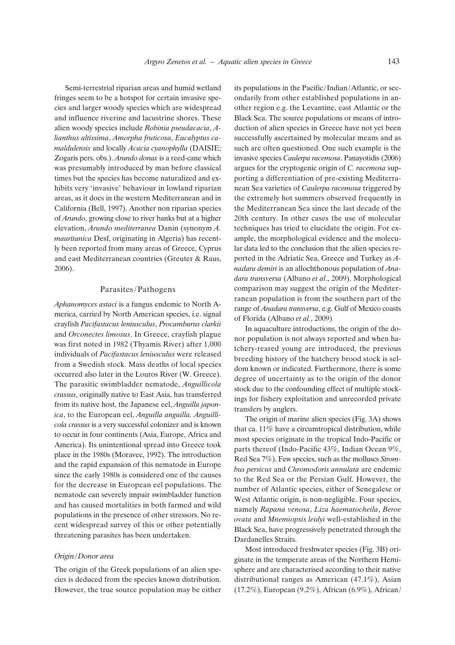Semi-terrestrial riparian areas and humid wetland fringes seem to be a hotspot for certain invasive species and larger woody species which are widespread and influence riverine and lacustrine shores. These alien woody species include *Robinia pseudacacia*, *Alianthus altissima*, *Amorpha fruticosa*, *Eucalyptus camaldulensis* and locally *Acacia cyanophylla* (DAISIE; Zogaris pers. obs.). *Arundo donax* is a reed-cane which was presumably introduced by man before classical times but the species has become naturalized and exhibits very 'invasive' behaviour in lowland riparian areas, as it does in the western Mediterranean and in California (Bell, 1997). Another non riparian species of *Arundo*, growing close to river banks but at a higher elevation, *Arundo mediterranea* Danin (synonym *A. mauritanica* Desf, originating in Algeria) has recently been reported from many areas of Greece, Cyprus and east Mediterranean countries (Greuter & Raus, 2006).

#### Parasites/Pathogens

*Aphanomyces astaci* is a fungus endemic to North America, carried by North American species, i.e. signal crayfish *Pacifastacus leniusculus*, *Procambarus clarkii* and *Orconectes limosus*. In Greece, crayfish plague was first noted in 1982 (Thyamis River) after 1,000 individuals of *Pacifastacus leniusculus* were released from a Swedish stock. Mass deaths of local species occurred also later in the Louros River (W. Greece). The parasitic swimbladder nematode, *Anguillicola crassus*, originally native to East Asia, has transferred from its native host, the Japanese eel, *Anguilla japonica*, to the European eel, *Anguilla anguilla. Anguillicola crassus* is a very successful colonizer and is known to occur in four continents (Asia, Europe, Africa and America). Its unintentional spread into Greece took place in the 1980s (Moravec, 1992). The introduction and the rapid expansion of this nematode in Europe since the early 1980s is considered one of the causes for the decrease in European eel populations. The nematode can severely impair swimbladder function and has caused mortalities in both farmed and wild populations in the presence of other stressors. No recent widespread survey of this or other potentially threatening parasites has been undertaken.

#### *Origin/Donor area*

The origin of the Greek populations of an alien species is deduced from the species known distribution. However, the true source population may be either its populations in the Pacific/Indian/Atlantic, or secondarily from other established populations in another region e.g. the Levantine, east Atlantic or the Black Sea. The source populations or means of introduction of alien species in Greece have not yet been successfully ascertained by molecular means and as such are often questioned. One such example is the invasive species *Caulerpa racemosa*. Panayotidis (2006) argues for the cryptogenic origin of *C. racemosa* supporting a differentiation of pre-existing Mediterranean Sea varieties of *Caulerpa racemosa* triggered by the extremely hot summers observed frequently in the Mediterranean Sea since the last decade of the 20th century. In other cases the use of molecular techniques has tried to elucidate the origin. For example, the morphological evidence and the molecular data led to the conclusion that the alien species reported in the Adriatic Sea, Greece and Turkey as *Anadara demiri* is an allochthonous population of *Anadara transversa* (Albano *et al*., 2009). Morphological comparison may suggest the origin of the Mediterranean population is from the southern part of the range of *Anadara transversa*, e.g. Gulf of Mexico coasts of Florida (Albano *et al.*, 2009)

In aquaculture introductions, the origin of the donor population is not always reported and when hatchery-reared young are introduced, the previous breeding history of the hatchery brood stock is seldom known or indicated. Furthermore, there is some degree of uncertainty as to the origin of the donor stock due to the confounding effect of multiple stockings for fishery exploitation and unrecorded private transfers by anglers.

The origin of marine alien species (Fig. 3A) shows that ca. 11% have a circumtropical distribution, while most species originate in the tropical Indo-Pacific or parts thereof (Indo-Pacific 43%, Indian Ocean 9%, Red Sea 7%). Few species, such as the molluscs *Strombus persicus* and *Chromodoris annulata* are endemic to the Red Sea or the Persian Gulf. However, the number of Atlantic species, either of Senegalese or West Atlantic origin, is non-negligible. Four species, namely *Rapana venosa*, *Liza haematocheila*, *Beroe ovata* and *Mnemiopsis leidyi* well-established in the Black Sea, have progressively penetrated through the Dardanelles Straits.

Most introduced freshwater species (Fig. 3B) originate in the temperate areas of the Northern Hemisphere and are characterised according to their native distributional ranges as American (47.1%), Asian (17.2%), European (9.2%), African (6.9%), African/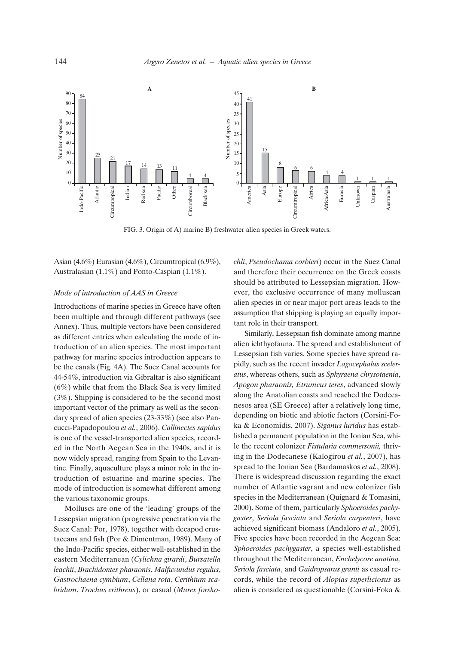

FIG. 3. Origin of A) marine B) freshwater alien species in Greek waters.

Asian (4.6%) Eurasian (4.6%), Circumtropical (6.9%), Australasian (1.1%) and Ponto-Caspian (1.1%).

#### *Mode of introduction of AAS in Greece*

Introductions of marine species in Greece have often been multiple and through different pathways (see Annex). Thus, multiple vectors have been considered as different entries when calculating the mode of introduction of an alien species. The most important pathway for marine species introduction appears to be the canals (Fig. 4A). The Suez Canal accounts for 44-54%, introduction via Gibraltar is also significant (6%) while that from the Black Sea is very limited (3%). Shipping is considered to be the second most important vector of the primary as well as the secondary spread of alien species (23-33%) (see also Pancucci-Papadopoulou *et al.*, 2006). *Callinectes sapidus* is one of the vessel-transported alien species, recorded in the North Aegean Sea in the 1940s, and it is now widely spread, ranging from Spain to the Levantine. Finally, aquaculture plays a minor role in the introduction of estuarine and marine species. The mode of introduction is somewhat different among the various taxonomic groups.

Molluscs are one of the 'leading' groups of the Lessepsian migration (progressive penetration via the Suez Canal: Por, 1978), together with decapod crustaceans and fish (Por & Dimentman, 1989). Many of the Indo-Pacific species, either well-established in the eastern Mediterranean (*Cylichna girardi*, *Bursatella leachii*, *Brachidontes pharaonis*, *Malfuvundus regulus*, *Gastrochaena cymbium*, *Cellana rota*, *Cerithium scabridum*, *Trochus erithreus*), or casual (*Murex forsko-* *ehli*, *Pseudochama corbieri*) occur in the Suez Canal and therefore their occurrence on the Greek coasts should be attributed to Lessepsian migration. However, the exclusive occurrence of many molluscan alien species in or near major port areas leads to the assumption that shipping is playing an equally important role in their transport.

Similarly, Lessepsian fish dominate among marine alien ichthyofauna. The spread and establishment of Lessepsian fish varies. Some species have spread rapidly, such as the recent invader *Lagocephalus sceleratus*, whereas others, such as *Sphyraena chrysotaenia*, *Apogon pharaonis, Etrumeus teres*, advanced slowly along the Anatolian coasts and reached the Dodecanesos area (SE Greece) after a relatively long time, depending on biotic and abiotic factors (Corsini-Foka & Economidis, 2007). *Siganus luridus* has established a permanent population in the Ionian Sea, while the recent colonizer *Fistularia commersonii,* thriving in the Dodecanese (Kalogirou *et al.*, 2007), has spread to the Ionian Sea (Bardamaskos *et al.*, 2008). There is widespread discussion regarding the exact number of Atlantic vagrant and new colonizer fish species in the Mediterranean (Quignard & Tomasini, 2000). Some of them, particularly *Sphoeroides pachygaster*, *Seriola fasciata* and *Seriola carpenteri*, have achieved significant biomass (Andaloro *et al.*, 2005). Five species have been recorded in the Aegean Sea: *Sphoeroides pachygaster*, a species well-established throughout the Mediterranean, *Enchelycore anatina, Seriola fasciata*, and *Gaidropsarus granti* as casual records, while the record of *Alopias superliciosus* as alien is considered as questionable (Corsini-Foka &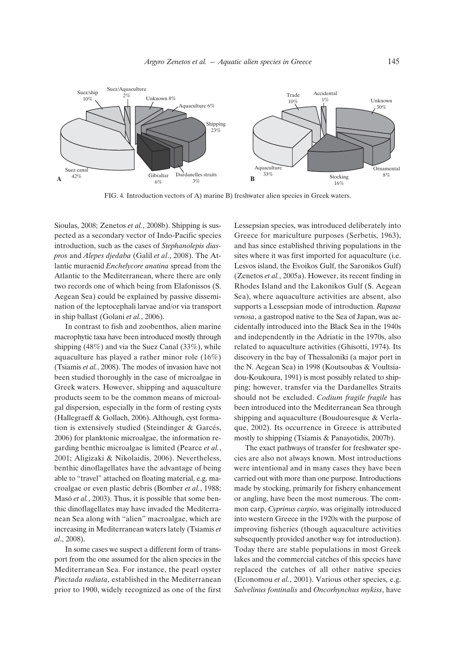

FIG. 4*.* Introduction vectors of A) marine B) freshwater alien species in Greek waters.

Sioulas, 2008; Zenetos *et al.*, 2008b). Shipping is suspected as a secondary vector of Indo-Pacific species introduction, such as the cases of *Stephanolepis diaspros* and *Alepes djedaba* (Galil *et al*., 2008). The Atlantic muraenid *Enchelycore anatina* spread from the Atlantic to the Mediterranean, where there are only two records one of which being from Elafonissos (S. Aegean Sea) could be explained by passive dissemination of the leptocephali larvae and/or via transport in ship ballast (Golani *et al.*, 2006).

In contrast to fish and zoobenthos, alien marine macrophytic taxa have been introduced mostly through shipping (48%) and via the Suez Canal (33%), while aquaculture has played a rather minor role (16%) (Tsiamis *et al.*, 2008). The modes of invasion have not been studied thoroughly in the case of microalgae in Greek waters. However, shipping and aquaculture products seem to be the common means of microalgal dispersion, especially in the form of resting cysts (Hallegraeff & Gollach, 2006). Although, cyst formation is extensively studied (Steindinger & Garcés, 2006) for planktonic microalgae, the information regarding benthic microalgae is limited (Pearce *et al.*, 2001; Aligizaki & Nikolaidis, 2006). Nevertheless, benthic dinoflagellates have the advantage of being able to "travel" attached on floating material, e.g. macroalgae or even plastic debris (Bomber *et al.*, 1988; Masó *et al.*, 2003). Thus, it is possible that some benthic dinoflagellates may have invaded the Mediterranean Sea along with "alien" macroalgae, which are increasing in Mediterranean waters lately (Tsiamis *et al*., 2008).

In some cases we suspect a different form of transport from the one assumed for the alien species in the Mediterranean Sea. For instance, the pearl oyster *Pinctada radiata*, established in the Mediterranean prior to 1900, widely recognized as one of the first Lessepsian species, was introduced deliberately into Greece for mariculture purposes (Serbetis, 1963), and has since established thriving populations in the sites where it was first imported for aquaculture (i.e. Lesvos island, the Evoikos Gulf, the Saronikos Gulf) (Zenetos *et al.*, 2005a). However, its recent finding in Rhodes Island and the Lakonikos Gulf (S. Aegean Sea), where aquaculture activities are absent, also supports a Lessepsian mode of introduction. *Rapana venosa*, a gastropod native to the Sea of Japan, was accidentally introduced into the Black Sea in the 1940s and independently in the Adriatic in the 1970s, also related to aquaculture activities (Ghisotti, 1974). Its discovery in the bay of Thessaloniki (a major port in the N. Aegean Sea) in 1998 (Koutsoubas & Voultsiadou-Koukoura, 1991) is most possibly related to shipping; however, transfer via the Dardanelles Straits should not be excluded. *Codium fragile fragile* has been introduced into the Mediterranean Sea through shipping and aquaculture (Boudouresque & Verlaque, 2002). Its occurrence in Greece is attributed mostly to shipping (Tsiamis & Panayotidis, 2007b).

The exact pathways of transfer for freshwater species are also not always known. Most introductions were intentional and in many cases they have been carried out with more than one purpose. Introductions made by stocking, primarily for fishery enhancement or angling, have been the most numerous. The common carp, *Cyprinus carpio*, was originally introduced into western Greece in the 1920s with the purpose of improving fisheries (though aquaculture activities subsequently provided another way for introduction). Today there are stable populations in most Greek lakes and the commercial catches of this species have replaced the catches of all other native species (Economou *et al.*, 2001). Various other species, e.g. *Salvelinus fontinalis* and *Oncorhynchus mykiss*, have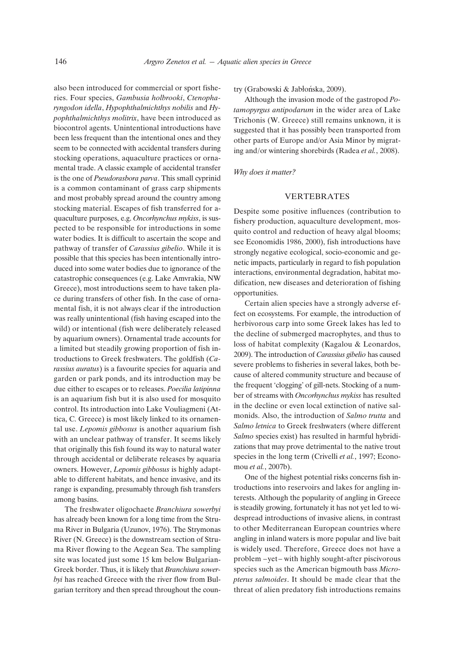also been introduced for commercial or sport fisheries. Four species, *Gambusia holbrooki*, *Ctenopharyngodon idella*, *Hypophthalmichthys nobilis* and *Hypophthalmichthys molitrix*, have been introduced as biocontrol agents. Unintentional introductions have been less frequent than the intentional ones and they seem to be connected with accidental transfers during stocking operations, aquaculture practices or ornamental trade. A classic example of accidental transfer is the one of *Pseudorasbora parva*. This small cyprinid is a common contaminant of grass carp shipments and most probably spread around the country among stocking material. Escapes of fish transferred for aquaculture purposes, e.g. *Oncorhynchus mykiss*, is suspected to be responsible for introductions in some water bodies. It is difficult to ascertain the scope and pathway of transfer of *Carassius gibelio*. While it is possible that this species has been intentionally introduced into some water bodies due to ignorance of the catastrophic consequences (e.g. Lake Amvrakia, NW Greece), most introductions seem to have taken place during transfers of other fish. In the case of ornamental fish, it is not always clear if the introduction was really unintentional (fish having escaped into the wild) or intentional (fish were deliberately released by aquarium owners). Ornamental trade accounts for a limited but steadily growing proportion of fish introductions to Greek freshwaters. The goldfish (*Carassius auratus*) is a favourite species for aquaria and garden or park ponds, and its introduction may be due either to escapes or to releases. *Poecilia latipinna* is an aquarium fish but it is also used for mosquito control. Its introduction into Lake Vouliagmeni (Attica, C. Greece) is most likely linked to its ornamental use. *Lepomis gibbosus* is another aquarium fish with an unclear pathway of transfer. It seems likely that originally this fish found its way to natural water through accidental or deliberate releases by aquaria owners. However, *Lepomis gibbosus* is highly adaptable to different habitats, and hence invasive, and its range is expanding, presumably through fish transfers among basins.

The freshwater oligochaete *Branchiura sowerbyi* has already been known for a long time from the Struma River in Bulgaria (Uzunov, 1976). The Strymonas River (N. Greece) is the downstream section of Struma River flowing to the Aegean Sea. The sampling site was located just some 15 km below Bulgarian-Greek border. Thus, it is likely that *Branchiura sowerbyi* has reached Greece with the river flow from Bulgarian territory and then spread throughout the country (Grabowski & Jabłońska, 2009).

Although the invasion mode of the gastropod *Potamopyrgus antipodarum* in the wider area of Lake Trichonis (W. Greece) still remains unknown, it is suggested that it has possibly been transported from other parts of Europe and/or Asia Minor by migrating and/or wintering shorebirds (Radea *et al.*, 2008).

*Why does it matter?* 

#### VERTEBRATES

Despite some positive influences (contribution to fishery production, aquaculture development, mosquito control and reduction of heavy algal blooms; see Economidis 1986, 2000), fish introductions have strongly negative ecological, socio-economic and genetic impacts, particularly in regard to fish population interactions, environmental degradation, habitat modification, new diseases and deterioration of fishing opportunities.

Certain alien species have a strongly adverse effect on ecosystems. For example, the introduction of herbivorous carp into some Greek lakes has led to the decline of submerged macrophytes, and thus to loss of habitat complexity (Kagalou & Leonardos, 2009). The introduction of *Carassius gibelio* has caused severe problems to fisheries in several lakes, both because of altered community structure and because of the frequent 'clogging' of gill-nets. Stocking of a number of streams with *Oncorhynchus mykiss* has resulted in the decline or even local extinction of native salmonids. Also, the introduction of *Salmo trutta* and *Salmo letnica* to Greek freshwaters (where different *Salmo* species exist) has resulted in harmful hybridizations that may prove detrimental to the native trout species in the long term (Crivelli *et al.*, 1997; Economou *et al.*, 2007b).

One of the highest potential risks concerns fish introductions into reservoirs and lakes for angling interests. Although the popularity of angling in Greece is steadily growing, fortunately it has not yet led to widespread introductions of invasive aliens, in contrast to other Mediterranean European countries where angling in inland waters is more popular and live bait is widely used. Therefore, Greece does not have a problem –yet– with highly sought-after piscivorous species such as the American bigmouth bass *Micropterus salmoides*. It should be made clear that the threat of alien predatory fish introductions remains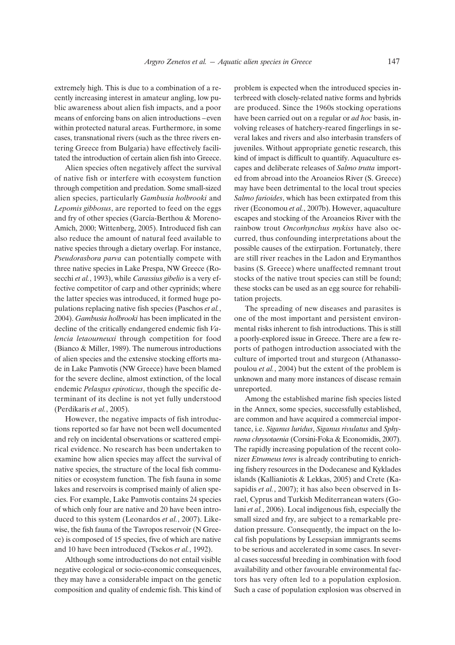extremely high. This is due to a combination of a recently increasing interest in amateur angling, low public awareness about alien fish impacts, and a poor means of enforcing bans on alien introductions –even within protected natural areas. Furthermore, in some cases, transnational rivers (such as the three rivers entering Greece from Bulgaria) have effectively facilitated the introduction of certain alien fish into Greece.

Alien species often negatively affect the survival of native fish or interfere with ecosystem function through competition and predation. Some small-sized alien species, particularly *Gambusia holbrooki* and *Lepomis gibbosus*, are reported to feed on the eggs and fry of other species (García-Berthou & Moreno-Amich, 2000; Wittenberg, 2005). Introduced fish can also reduce the amount of natural feed available to native species through a dietary overlap. For instance, *Pseudorasbora parva* can potentially compete with three native species in Lake Prespa, NW Greece (Rosecchi *et al.*, 1993), while *Carassius gibelio* is a very effective competitor of carp and other cyprinids; where the latter species was introduced, it formed huge populations replacing native fish species (Paschos *et al.*, 2004). *Gambusia holbrooki* has been implicated in the decline of the critically endangered endemic fish *Valencia letaourneuxi* through competition for food (Bianco & Miller, 1989). The numerous introductions of alien species and the extensive stocking efforts made in Lake Pamvotis (NW Greece) have been blamed for the severe decline, almost extinction, of the local endemic *Pelasgus epiroticus*, though the specific determinant of its decline is not yet fully understood (Perdikaris *et al.*, 2005).

However, the negative impacts of fish introductions reported so far have not been well documented and rely on incidental observations or scattered empirical evidence. No research has been undertaken to examine how alien species may affect the survival of native species, the structure of the local fish communities or ecosystem function. The fish fauna in some lakes and reservoirs is comprised mainly of alien species. For example, Lake Pamvotis contains 24 species of which only four are native and 20 have been introduced to this system (Leonardos *et al.*, 2007). Likewise, the fish fauna of the Tavropos reservoir (N Greece) is composed of 15 species, five of which are native and 10 have been introduced (Tsekos *et al.*, 1992).

Although some introductions do not entail visible negative ecological or socio-economic consequences, they may have a considerable impact on the genetic composition and quality of endemic fish. This kind of problem is expected when the introduced species interbreed with closely-related native forms and hybrids are produced. Since the 1960s stocking operations have been carried out on a regular or *ad hoc* basis, involving releases of hatchery-reared fingerlings in several lakes and rivers and also interbasin transfers of juveniles. Without appropriate genetic research, this kind of impact is difficult to quantify. Aquaculture escapes and deliberate releases of *Salmo trutta* imported from abroad into the Aroaneios River (S. Greece) may have been detrimental to the local trout species *Salmo farioides*, which has been extirpated from this river (Economou *et al.*, 2007b). However, aquaculture escapes and stocking of the Aroaneios River with the rainbow trout *Oncorhynchus mykiss* have also occurred, thus confounding interpretations about the possible causes of the extirpation. Fortunately, there are still river reaches in the Ladon and Erymanthos basins (S. Greece) where unaffected remnant trout stocks of the native trout species can still be found; these stocks can be used as an egg source for rehabilitation projects.

The spreading of new diseases and parasites is one of the most important and persistent environmental risks inherent to fish introductions. This is still a poorly-explored issue in Greece. There are a few reports of pathogen introduction associated with the culture of imported trout and sturgeon (Athanassopoulou *et al.*, 2004) but the extent of the problem is unknown and many more instances of disease remain unreported.

Among the established marine fish species listed in the Annex, some species, successfully established, are common and have acquired a commercial importance, i.e. *Siganus luridus*, *Siganus rivulatus* and *Sphyraena chrysotaenia* (Corsini-Foka & Economidis, 2007). The rapidly increasing population of the recent colonizer *Etrumeus teres* is already contributing to enriching fishery resources in the Dodecanese and Kyklades islands (Kallianiotis & Lekkas, 2005) and Crete (Kasapidis *et al.*, 2007); it has also been observed in Israel, Cyprus and Turkish Mediterranean waters (Golani *et al.*, 2006). Local indigenous fish, especially the small sized and fry, are subject to a remarkable predation pressure. Consequently, the impact on the local fish populations by Lessepsian immigrants seems to be serious and accelerated in some cases. In several cases successful breeding in combination with food availability and other favourable environmental factors has very often led to a population explosion. Such a case of population explosion was observed in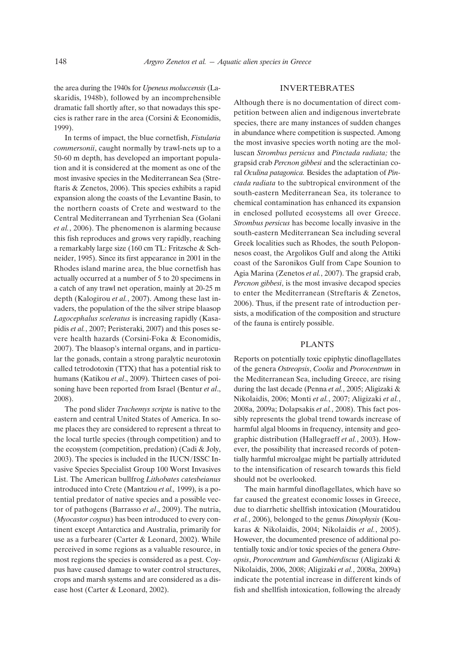the area during the 1940s for *Upeneus moluccensis* (Laskaridis, 1948b), followed by an incomprehensible dramatic fall shortly after, so that nowadays this species is rather rare in the area (Corsini & Economidis, 1999).

In terms of impact, the blue cornetfish, *Fistularia commersonii*, caught normally by trawl-nets up to a 50-60 m depth, has developed an important population and it is considered at the moment as one of the most invasive species in the Mediterranean Sea (Streftaris & Zenetos, 2006). This species exhibits a rapid expansion along the coasts of the Levantine Basin, to the northern coasts of Crete and westward to the Central Mediterranean and Tyrrhenian Sea (Golani *et al.*, 2006). The phenomenon is alarming because this fish reproduces and grows very rapidly, reaching a remarkably large size (160 cm TL: Fritzsche & Schneider, 1995). Since its first appearance in 2001 in the Rhodes island marine area, the blue cornetfish has actually occurred at a number of 5 to 20 specimens in a catch of any trawl net operation, mainly at 20-25 m depth (Kalogirou *et al.*, 2007). Among these last invaders, the population of the the silver stripe blaasop *Lagocephalus sceleratus* is increasing rapidly (Kasapidis *et al.*, 2007; Peristeraki, 2007) and this poses severe health hazards (Corsini-Foka & Economidis, 2007). The blaasop's internal organs, and in particular the gonads, contain a strong paralytic neurotoxin called tetrodotoxin (TTX) that has a potential risk to humans (Katikou *et al*., 2009). Thirteen cases of poisoning have been reported from Israel (Bentur *et al*., 2008).

The pond slider *Trachemys scripta* is native to the eastern and central United States of America. In some places they are considered to represent a threat to the local turtle species (through competition) and to the ecosystem (competition, predation) (Cadi & Joly, 2003). The species is included in the IUCN/ISSC Invasive Species Specialist Group 100 Worst Invasives List. The American bullfrog *Lithobates catesbeianus* introduced into Crete (Mantziou *et al.,* 1999), is a potential predator of native species and a possible vector of pathogens (Barrasso *et al*., 2009). The nutria, (*Myocastor coypus*) has been introduced to every continent except Antarctica and Australia, primarily for use as a furbearer (Carter & Leonard, 2002). While perceived in some regions as a valuable resource, in most regions the species is considered as a pest. Coypus have caused damage to water control structures, crops and marsh systems and are considered as a disease host (Carter & Leonard, 2002).

#### INVERTEBRATES

Although there is no documentation of direct competition between alien and indigenous invertebrate species, there are many instances of sudden changes in abundance where competition is suspected. Among the most invasive species worth noting are the molluscan *Strombus persicus* and *Pinctada radiata;* the grapsid crab *Percnon gibbesi* and the scleractinian coral *Oculina patagonica.* Besides the adaptation of *Pinctada radiata* to the subtropical environment of the south-eastern Mediterranean Sea, its tolerance to chemical contamination has enhanced its expansion in enclosed polluted ecosystems all over Greece. *Strombus persicus* has become locally invasive in the south-eastern Mediterranean Sea including several Greek localities such as Rhodes, the south Peloponnesos coast, the Argolikos Gulf and along the Attiki coast of the Saronikos Gulf from Cape Sounion to Agia Marina (Zenetos *et al.*, 2007). The grapsid crab, *Percnon gibbesi*, is the most invasive decapod species to enter the Mediterranean (Streftaris & Zenetos, 2006). Thus, if the present rate of introduction persists, a modification of the composition and structure of the fauna is entirely possible.

#### PLANTS

Reports on potentially toxic epiphytic dinoflagellates of the genera *Ostreopsis*, *Coolia* and *Prorocentrum* in the Mediterranean Sea, including Greece, are rising during the last decade (Penna *et al.*, 2005; Aligizaki & Nikolaidis, 2006; Monti *et al.*, 2007; Aligizaki *et al.*, 2008a, 2009a; Dolapsakis *et al.*, 2008). This fact possibly represents the global trend towards increase of harmful algal blooms in frequency, intensity and geographic distribution (Hallegraeff *et al.*, 2003). However, the possibility that increased records of potentially harmful microalgae might be partially attriduted to the intensification of research towards this field should not be overlooked.

The main harmful dinoflagellates, which have so far caused the greatest economic losses in Greece, due to diarrhetic shellfish intoxication (Mouratidou *et al.*, 2006), belonged to the genus *Dinophysis* (Koukaras & Nikolaidis, 2004; Nikolaidis *et al.*, 2005). However, the documented presence of additional potentially toxic and/or toxic species of the genera *Ostreopsis*, *Prorocentrum* and *Gambierdiscus* (Aligizaki & Nikolaidis, 2006, 2008; Aligizaki *et al.*, 2008a, 2009a) indicate the potential increase in different kinds of fish and shellfish intoxication, following the already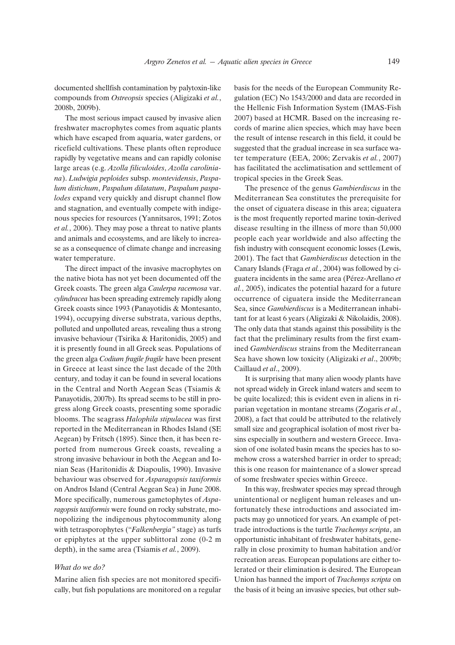documented shellfish contamination by palytoxin-like compounds from *Ostreopsis* species (Aligizaki *et al.*, 2008b, 2009b).

The most serious impact caused by invasive alien freshwater macrophytes comes from aquatic plants which have escaped from aquaria, water gardens, or ricefield cultivations. These plants often reproduce rapidly by vegetative means and can rapidly colonise large areas (e.g. *Azolla filiculoides*, *Azolla caroliniana*). *Ludwigia peploides* subsp. *montevidensis*, *Paspalum distichum*, *Paspalum dilatatum*, *Paspalum paspalodes* expand very quickly and disrupt channel flow and stagnation, and eventually compete with indigenous species for resources (Yannitsaros, 1991; Zotos *et al.*, 2006). They may pose a threat to native plants and animals and ecosystems, and are likely to increase as a consequence of climate change and increasing water temperature.

The direct impact of the invasive macrophytes on the native biota has not yet been documented off the Greek coasts. The green alga *Caulerpa racemosa* var. *cylindracea* has been spreading extremely rapidly along Greek coasts since 1993 (Panayotidis & Montesanto, 1994), occupying diverse substrata, various depths, polluted and unpolluted areas, revealing thus a strong invasive behaviour (Tsirika & Haritonidis, 2005) and it is presently found in all Greek seas. Populations of the green alga *Codium fragile fragile* have been present in Greece at least since the last decade of the 20th century, and today it can be found in several locations in the Central and North Aegean Seas (Tsiamis & Panayotidis, 2007b). Its spread seems to be still in progress along Greek coasts, presenting some sporadic blooms. The seagrass *Halophila stipulacea* was first reported in the Mediterranean in Rhodes Island (SE Aegean) by Fritsch (1895). Since then, it has been reported from numerous Greek coasts, revealing a strong invasive behaviour in both the Aegean and Ionian Seas (Haritonidis & Diapoulis, 1990). Invasive behaviour was observed for *Asparagopsis taxiformis* on Andros Island (Central Aegean Sea) in June 2008. More specifically, numerous gametophytes of *Asparagopsis taxiformis* were found on rocky substrate, monopolizing the indigenous phytocommunity along with tetrasporophytes ("*Falkenbergia"* stage) as turfs or epiphytes at the upper sublittoral zone (0-2 m depth), in the same area (Tsiamis *et al.*, 2009).

#### *What do we do?*

Marine alien fish species are not monitored specifically, but fish populations are monitored on a regular basis for the needs of the European Community Regulation (EC) No 1543/2000 and data are recorded in the Hellenic Fish Information System (IMAS-Fish 2007) based at HCMR. Based on the increasing records of marine alien species, which may have been the result of intense research in this field, it could be suggested that the gradual increase in sea surface water temperature (EEA, 2006; Zervakis *et al.*, 2007) has facilitated the acclimatisation and settlement of tropical species in the Greek Seas.

The presence of the genus *Gambierdiscus* in the Mediterranean Sea constitutes the prerequisite for the onset of ciguatera disease in this area; ciguatera is the most frequently reported marine toxin-derived disease resulting in the illness of more than 50,000 people each year worldwide and also affecting the fish industry with consequent economic losses (Lewis, 2001). The fact that *Gambierdiscus* detection in the Canary Islands (Fraga *et al.*, 2004) was followed by ciguatera incidents in the same area (Pérez-Arellano *et al.*, 2005), indicates the potential hazard for a future occurrence of ciguatera inside the Mediterranean Sea, since *Gambierdiscus* is a Mediterranean inhabitant for at least 6 years (Aligizaki & Nikolaidis, 2008). The only data that stands against this possibility is the fact that the preliminary results from the first examined *Gambierdiscus* strains from the Mediterranean Sea have shown low toxicity (Aligizaki *et al*., 2009b; Caillaud *et al*., 2009).

It is surprising that many alien woody plants have not spread widely in Greek inland waters and seem to be quite localized; this is evident even in aliens in riparian vegetation in montane streams (Zogaris *et al.*, 2008), a fact that could be attributed to the relatively small size and geographical isolation of most river basins especially in southern and western Greece. Invasion of one isolated basin means the species has to somehow cross a watershed barrier in order to spread; this is one reason for maintenance of a slower spread of some freshwater species within Greece.

In this way, freshwater species may spread through unintentional or negligent human releases and unfortunately these introductions and associated impacts may go unnoticed for years. An example of pettrade introductions is the turtle *Trachemys scripta*, an opportunistic inhabitant of freshwater habitats, generally in close proximity to human habitation and/or recreation areas. European populations are either tolerated or their elimination is desired. The European Union has banned the import of *Trachemys scripta* on the basis of it being an invasive species, but other sub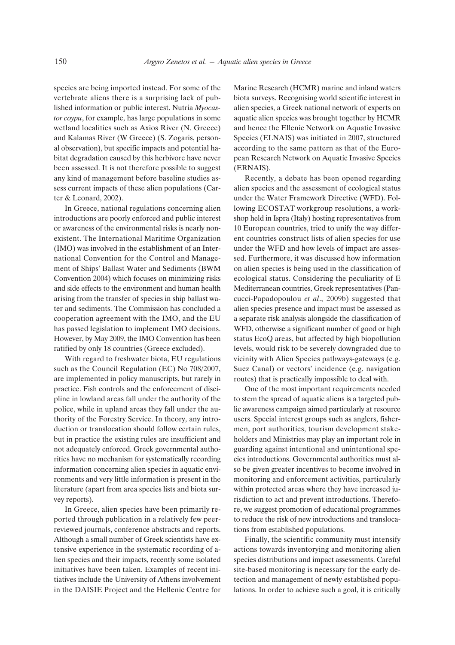species are being imported instead. For some of the vertebrate aliens there is a surprising lack of published information or public interest. Nutria *Myocastor coypu*, for example, has large populations in some wetland localities such as Axios River (N. Greece) and Kalamas River (W Greece) (S. Zogaris, personal observation), but specific impacts and potential habitat degradation caused by this herbivore have never been assessed. It is not therefore possible to suggest any kind of management before baseline studies assess current impacts of these alien populations (Carter & Leonard, 2002).

In Greece, national regulations concerning alien introductions are poorly enforced and public interest or awareness of the environmental risks is nearly nonexistent. The International Maritime Organization (IMO) was involved in the establishment of an International Convention for the Control and Management of Ships' Ballast Water and Sediments (BWM Convention 2004) which focuses on minimizing risks and side effects to the environment and human health arising from the transfer of species in ship ballast water and sediments. The Commission has concluded a cooperation agreement with the IMO, and the EU has passed legislation to implement IMO decisions. However, by May 2009, the IMO Convention has been ratified by only 18 countries (Greece excluded).

With regard to freshwater biota, EU regulations such as the Council Regulation (EC) No 708/2007, are implemented in policy manuscripts, but rarely in practice. Fish controls and the enforcement of discipline in lowland areas fall under the authority of the police, while in upland areas they fall under the authority of the Forestry Service. In theory, any introduction or translocation should follow certain rules, but in practice the existing rules are insufficient and not adequately enforced. Greek governmental authorities have no mechanism for systematically recording information concerning alien species in aquatic environments and very little information is present in the literature (apart from area species lists and biota survey reports).

In Greece, alien species have been primarily reported through publication in a relatively few peerreviewed journals, conference abstracts and reports. Although a small number of Greek scientists have extensive experience in the systematic recording of alien species and their impacts, recently some isolated initiatives have been taken. Examples of recent initiatives include the University of Athens involvement in the DAISIE Project and the Hellenic Centre for Marine Research (HCMR) marine and inland waters biota surveys. Recognising world scientific interest in alien species, a Greek national network of experts on aquatic alien species was brought together by HCMR and hence the Ellenic Network on Aquatic Invasive Species (ELNAIS) was initiated in 2007, structured according to the same pattern as that of the European Research Network on Aquatic Invasive Species (ERNAIS).

Recently, a debate has been opened regarding alien species and the assessment of ecological status under the Water Framework Directive (WFD). Following ECOSTAT workgroup resolutions, a workshop held in Ispra (Italy) hosting representatives from 10 European countries, tried to unify the way different countries construct lists of alien species for use under the WFD and how levels of impact are assessed. Furthermore, it was discussed how information on alien species is being used in the classification of ecological status. Considering the peculiarity of E Mediterranean countries, Greek representatives (Pancucci-Papadopoulou *et al*., 2009b) suggested that alien species presence and impact must be assessed as a separate risk analysis alongside the classification of WFD, otherwise a significant number of good or high status EcoQ areas, but affected by high biopollution levels, would risk to be severely downgraded due to vicinity with Alien Species pathways-gateways (e.g. Suez Canal) or vectors' incidence (e.g. navigation routes) that is practically impossible to deal with.

One of the most important requirements needed to stem the spread of aquatic aliens is a targeted public awareness campaign aimed particularly at resource users. Special interest groups such as anglers, fishermen, port authorities, tourism development stakeholders and Ministries may play an important role in guarding against intentional and unintentional species introductions. Governmental authorities must also be given greater incentives to become involved in monitoring and enforcement activities, particularly within protected areas where they have increased jurisdiction to act and prevent introductions. Therefore, we suggest promotion of educational programmes to reduce the risk of new introductions and translocations from established populations.

Finally, the scientific community must intensify actions towards inventorying and monitoring alien species distributions and impact assessments. Careful site-based monitoring is necessary for the early detection and management of newly established populations. In order to achieve such a goal, it is critically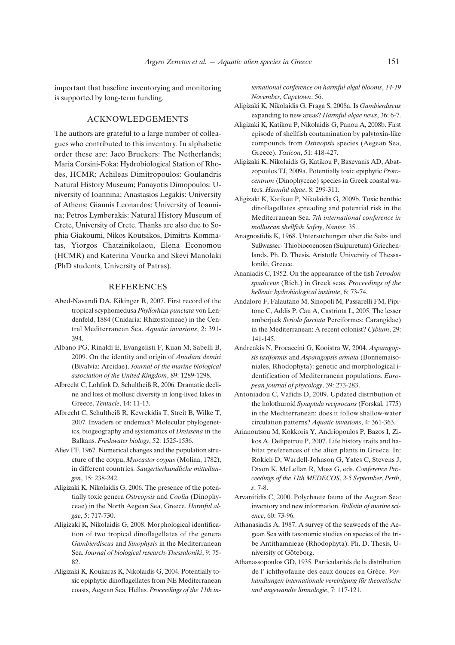important that baseline inventorying and monitoring is supported by long-term funding.

## ACKNOWLEDGEMENTS

The authors are grateful to a large number of colleagues who contributed to this inventory. In alphabetic order these are: Jaco Bruekers: The Netherlands; Maria Corsini-Foka: Hydrobiological Station of Rhodes, HCMR; Achileas Dimitropoulos: Goulandris Natural History Museum; Panayotis Dimopoulos: University of Ioannina; Anastasios Legakis: University of Athens; Giannis Leonardos: University of Ioannina; Petros Lymberakis: Natural History Museum of Crete, University of Crete. Thanks are also due to Sophia Giakoumi, Nikos Koutsikos, Dimitris Kommatas, Yiorgos Chatzinikolaou, Elena Economou (HCMR) and Katerina Vourka and Skevi Manolaki (PhD students, University of Patras).

### REFERENCES

- Abed-Navandi DA, Kikinger R, 2007. First record of the tropical scyphomedusa *Phyllorhiza punctata* von Lendenfeld, 1884 (Cnidaria: Rhizostomeae) in the Central Mediterranean Sea. *Aquatic invasions*, 2: 391- 394.
- Albano PG, Rinaldi E, Evangelisti F, Kuan M, Sabelli B, 2009. On the identity and origin of *Anadara demiri* (Bivalvia: Arcidae). *Journal of the marine biological association of the United Kingdom*, 89: 1289-1298.
- Albrecht C, Lohfink D, Schultheiß R, 2006. Dramatic decline and loss of mollusc diversity in long-lived lakes in Greece. *Tentacle*, 14: 11-13.
- Albrecht C, Schultheiß R, Kevrekidis T, Streit B, Wilke T, 2007. Invaders or endemics? Molecular phylogenetics, biogeography and systematics of *Dreissena* in the Balkans. *Freshwater biology*, 52: 1525-1536.
- Aliev FF, 1967. Numerical changes and the population structure of the coypu, *Myocastor coypus* (Molina, 1782), in different countries. *Saugertierkundliche mitteilungen*, 15: 238-242.
- Aligizaki K, Nikolaidis G, 2006. The presence of the potentially toxic genera *Ostreopsis* and *Coolia* (Dinophyceae) in the North Aegean Sea, Greece. *Harmful algae*, 5: 717-730.
- Aligizaki K, Nikolaidis G, 2008. Morphological identification of two tropical dinoflagellates of the genera *Gambierdiscus* and *Sinophysis* in the Mediterranean Sea. *Journal of biological research-Thessaloniki*, 9: 75- 82.
- Aligizaki K, Koukaras K, Nikolaidis G, 2004. Potentially toxic epiphytic dinoflagellates from NE Mediterranean coasts, Aegean Sea, Hellas. *Proceedings of the 11th in-*

*ternational conference on harmful algal blooms*, *14-19 November*, *Capetown*: 56.

- Aligizaki K, Nikolaidis G, Fraga S, 2008a. Is *Gambierdiscus* expanding to new areas? *Harmful algae news*, 36: 6-7.
- Aligizaki K, Katikou P, Nikolaidis G, Panou A, 2008b. First episode of shellfish contamination by palytoxin-like compounds from *Ostreopsis* species (Aegean Sea, Greece). *Toxicon*, 51: 418-427.
- Aligizaki K, Nikolaidis G, Katikou P, Baxevanis AD, Abatzopoulos TJ, 2009a. Potentially toxic epiphytic *Prorocentrum* (Dinophyceae) species in Greek coastal waters. *Harmful algae*, 8: 299-311.
- Aligizaki K, Katikou P, Nikolaidis G, 2009b. Toxic benthic dinoflagellates spreading and potential risk in the Mediterranean Sea. *7th international conference in molluscan shellfish Safety*, *Nantes*: 35.
- Anagnostidis K, 1968. Untersuchungen uber die Salz- und Sußwasser- Thiobiocoenosen (Sulpuretum) Griechenlands. Ph. D. Thesis, Aristotle University of Thessaloniki, Greece.
- Ananiadis C, 1952. On the appearance of the fish *Tetrodon spadiceus* (Rich.) in Greek seas. *Proceedings of the hellenic hydrobiological institute*, 6: 73-74.
- Andaloro F, Falautano M, Sinopoli M, Passarelli FM, Pipitone C, Addis P, Cau A, Castriota L, 2005. The lesser amberjack *Seriola fasciata* Perciformes: Carangidae) in the Mediterranean: A recent colonist? *Cybium*, 29: 141-145.
- Andreakis N, Procaccini G, Kooistra W, 2004. *Asparagopsis taxiformis* and *Asparagopsis armata* (Bonnemaisoniales, Rhodophyta): genetic and morphological identification of Mediterranean populations. *European journal of phycology*, 39: 273-283.
- Antoniadou C, Vafidis D, 2009. Updated distribution of the holothuroid *Synaptula reciprocans* (Forskal, 1775) in the Mediterranean: does it follow shallow-water circulation patterns? *Aquatic invasions*, 4: 361-363.
- Arianoutsou M, Kokkoris Y, Andriopoulos P, Bazos I, Zikos A, Delipetrou P, 2007. Life history traits and habitat preferences of the alien plants in Greece. In: Rokich D, Wardell-Johnson G, Yates C, Stevens J, Dixon K, McLellan R, Moss G, eds. *Conference Proceedings of the 11th MEDECOS*, *2-5 September*, *Perth*, *s*: 7-8.
- Arvanitidis C, 2000. Polychaete fauna of the Aegean Sea: inventory and new information. *Bulletin of marine science*, 60: 73-96.
- Athanasiadis A, 1987. A survey of the seaweeds of the Aegean Sea with taxonomic studies on species of the tribe Antithamnieae (Rhodophyta). Ph. D. Thesis, University of Göteborg.
- Athanassopoulos GD, 1935. Particularités de la distribution de l' ichthyofaune des eaux douces en Grèce. *Verhandlungen internationale vereinigung für theoretische und angewandte limnologie*, 7: 117-121.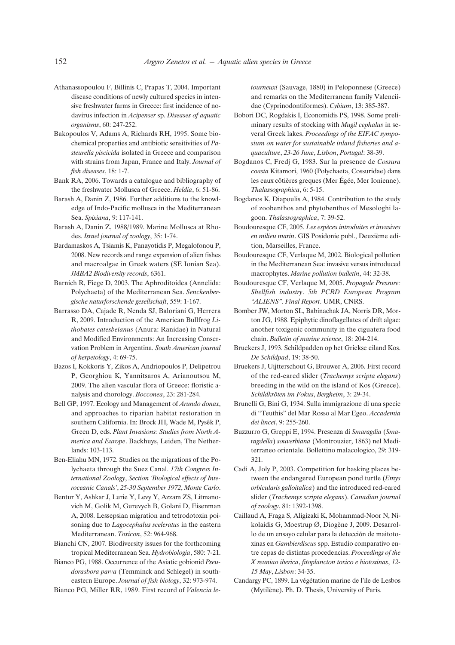- Athanassopoulou F, Billinis C, Prapas T, 2004. Important disease conditions of newly cultured species in intensive freshwater farms in Greece: first incidence of nodavirus infection in *Acipenser* sp. *Diseases of aquatic organisms*, 60: 247-252.
- Bakopoulos V, Adams A, Richards RH, 1995. Some biochemical properties and antibiotic sensitivities of *Pasteurella piscicida* isolated in Greece and comparison with strains from Japan, France and Italy. *Journal of fish diseases*, 18: 1-7.
- Bank RA, 2006. Towards a catalogue and bibliography of the freshwater Mollusca of Greece. *Heldia*, 6: 51-86.
- Barash A, Danin Z, 1986. Further additions to the knowledge of Indo-Pacific mollusca in the Mediterranean Sea. *Spixiana*, 9: 117-141.
- Barash A, Danin Z, 1988/1989. Marine Mollusca at Rhodes. *Israel journal of zoology*, 35: 1-74.
- Bardamaskos A, Tsiamis K, Panayotidis P, Megalofonou P, 2008. New records and range expansion of alien fishes and macroalgae in Greek waters (SE Ionian Sea). *JMBA2 Biodiversity records*, 6361.
- Barnich R, Fiege D, 2003. The Aphroditoidea (Annelida: Polychaeta) of the Mediterranean Sea. *Senckenbergische naturforschende gesellschaft*, 559: 1-167.
- Barrasso DA, Cajade R, Nenda SJ, Baloriani G, Herrera R, 2009. Introduction of the American Bullfrog *Lithobates catesbeianus* (Anura: Ranidae) in Natural and Modified Environments: An Increasing Conservation Problem in Argentina. *South American journal of herpetology*, 4: 69-75.
- Bazos I, Kokkoris Y, Zikos A, Andriopoulos P, Delipetrou P, Georghiou K, Yannitsaros A, Arianoutsou M, 2009. The alien vascular flora of Greece: floristic analysis and chorology. *Bocconea*, 23: 281-284.
- Bell GP, 1997. Ecology and Management of *Arundo donax*, and approaches to riparian habitat restoration in southern California. In: Brock JH, Wade M, Pysêk P, Green D, eds. *Plant Invasions: Studies from North America and Europe*. Backhuys, Leiden, The Netherlands: 103-113.
- Ben-Eliahu MN, 1972. Studies on the migrations of the Polychaeta through the Suez Canal. *17th Congress International Zoology*, *Section 'Biological effects of Interoceanic Canals'*, *25-30 September 1972*, *Monte Carlo*.
- Bentur Y, Ashkar J, Lurie Y, Levy Y, Azzam ZS, Litmanovich M, Golik M, Gurevych B, Golani D, Eisenman A, 2008. Lessepsian migration and tetrodotoxin poisoning due to *Lagocephalus sceleratus* in the eastern Mediterranean. *Toxicon*, 52: 964-968.
- Bianchi CN, 2007. Biodiversity issues for the forthcoming tropical Mediterranean Sea. *Hydrobiologia*, 580: 7-21.
- Bianco PG, 1988. Occurrence of the Asiatic gobionid *Pseudorasbora parva* (Temminck and Schlegel) in southeastern Europe. *Journal of fish biology*, 32: 973-974.
- Bianco PG, Miller RR, 1989. First record of *Valencia le-*

*tourneuxi* (Sauvage, 1880) in Peloponnese (Greece) and remarks on the Mediterranean family Valenciidae (Cyprinodontiformes). *Cybium*, 13: 385-387.

- Bobori DC, Rogdakis I, Economidis PS, 1998. Some preliminary results of stocking with *Mugil cephalus* in several Greek lakes. *Proceedings of the EIFAC symposium on water for sustainable inland fisheries and aquaculture*, *23-26 June*, *Lisbon*, *Portugal*: 38-39.
- Bogdanos C, Fredj G, 1983. Sur la presence de *Cossura coasta* Kitamori, 1960 (Polychaeta, Cossuridae) dans les eaux côtières greques (Mer Égée, Mer Ionienne). *Thalassographica*, 6: 5-15.
- Bogdanos K, Diapoulis A, 1984. Contribution to the study of zoobenthos and phytobenthos of Mesologhi lagoon. *Thalassographica*, 7: 39-52.
- Boudouresque CF, 2005. *Les espèces introduites et invasives en milieu marin*. GIS Posidonie publ., Deuxième edition, Marseilles, France.
- Boudouresque CF, Verlaque M, 2002. Biological pollution in the Mediterranean Sea: invasive versus introduced macrophytes. *Marine pollution bulletin*, 44: 32-38.
- Boudouresque CF, Verlaque M, 2005. *Propagule Pressure: Shellfish industry*. *5th PCRD European Program "ALIENS"*. *Final Report*. UMR, CNRS.
- Bomber JW, Morton SL, Babinachak JA, Norris DR, Morton JG, 1988. Epiphytic dinoflagellates of drift algae: another toxigenic community in the ciguatera food chain. *Bulletin of marine science*, 18: 204-214.
- Bruekers J, 1993. Schildpadden op het Griekse eiland Kos. *De Schildpad*, 19: 38-50.
- Bruekers J, Uijtterschout G, Brouwer A, 2006. First record of the red-eared slider (*Trachemys scripta elegans*) breeding in the wild on the island of Kos (Greece). *Schildkröten im Fokus*, *Bergheim*, 3: 29-34.
- Brunelli G, Bini G, 1934. Sulla immigrazione di una specie di "Teuthis" del Mar Rosso al Mar Egeo. *Accademia dei lincei*, 9: 255-260.
- Buzzurro G, Greppi E, 1994. Presenza di *Smaragdia* (*Smaragdella*) *souverbiana* (Montrouzier, 1863) nel Mediterraneo orientale. Bollettino malacologico, 29: 319- 321.
- Cadi A, Joly P, 2003. Competition for basking places between the endangered European pond turtle (*Emys orbicularis galloitalica*) and the introduced red-eared slider (*Trachemys scripta elegans*). *Canadian journal of zoology*, 81: 1392-1398.
- Caillaud A, Fraga S, Aligizaki K, Mohammad-Noor N, Nikolaidis G, Moestrup Ø, Diogène J, 2009. Desarrollo de un ensayo celular para la detección de maitotoxinas en *Gambierdiscus* spp. Estudio comparativo entre cepas de distintas procedencias. *Proceedings of the X reuniao iberica*, *fitoplancton toxico e biotoxinas*, *12- 15 May*, *Lisbon*: 34-35.
- Candargy PC, 1899. La végétation marine de l'ile de Lesbos (Mytilène). Ph. D. Thesis, University of Paris.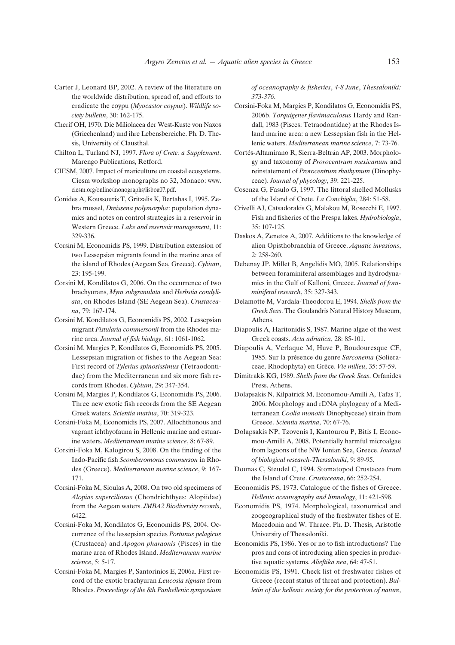- Carter J, Leonard BP, 2002. A review of the literature on the worldwide distribution, spread of, and efforts to eradicate the coypu (*Myocastor coypus*). *Wildlife society bulletin*, 30: 162-175.
- Cherif OH, 1970. Die Miliolacea der West-Kuste von Naxos (Griechenland) und ihre Lebensbereiche. Ph. D. Thesis, University of Clausthal.
- Chilton L, Turland NJ, 1997. *Flora of Crete: a Supplement*. Marengo Publications, Retford.
- CIESM, 2007. Impact of mariculture on coastal ecosystems. Ciesm workshop monographs no 32, Monaco: www. ciesm.org/online/monographs/lisboa07.pdf.
- Conides A, Koussouris T, Gritzalis K, Bertahas I, 1995. Zebra mussel, *Dreissena polymorpha*: population dynamics and notes on control strategies in a reservoir in Western Greece. *Lake and reservoir management*, 11: 329-336.
- Corsini M, Economidis PS, 1999. Distribution extension of two Lessepsian migrants found in the marine area of the island of Rhodes (Aegean Sea, Greece). *Cybium*, 23: 195-199.
- Corsini M, Kondilatos G, 2006. On the occurrence of two brachyurans, *Myra subgranulata* and *Herbstia condyliata*, on Rhodes Island (SE Aegean Sea). *Crustaceana*, 79: 167-174.
- Corsini M, Kondilatos G, Economidis PS, 2002. Lessepsian migrant *Fistularia commersonii* from the Rhodes marine area. *Journal of fish biology*, 61: 1061-1062.
- Corsini M, Margies P, Kondilatos G, Economidis PS, 2005. Lessepsian migration of fishes to the Aegean Sea: First record of *Tylerius spinosissimus* (Tetraodontidae) from the Mediterranean and six more fish records from Rhodes. *Cybium*, 29: 347-354.
- Corsini M, Margies P, Kondilatos G, Economidis PS, 2006. Three new exotic fish records from the SE Aegean Greek waters. *Scientia marina*, 70: 319-323.
- Corsini-Foka M, Economidis PS, 2007. Allochthonous and vagrant ichthyofauna in Hellenic marine and estuarine waters. *Mediterranean marine science*, 8: 67-89.
- Corsini-Foka M, Kalogirou S, 2008. On the finding of the Indo-Pacific fish *Scomberomorus commerson* in Rhodes (Greece). *Mediterranean marine science*, 9: 167- 171.
- Corsini-Foka M, Sioulas A, 2008. On two old specimens of *Alopias superciliosus* (Chondrichthyes: Alopiidae) from the Aegean waters. *JMBA2 Biodiversity records*, 6422.
- Corsini-Foka M, Kondilatos G, Economidis PS, 2004. Occurrence of the lessepsian species *Portunus pelagicus* (Crustacea) and *Apogon pharaonis* (Pisces) in the marine area of Rhodes Island. *Mediterranean marine science*, 5: 5-17.
- Corsini-Foka M, Margies P, Santorinios E, 2006a. First record of the exotic brachyuran *Leucosia signata* from Rhodes. *Proceedings of the 8th Panhellenic symposium*

*of oceanography & fisheries*, *4-8 June*, *Thessaloniki: 373-376*.

- Corsini-Foka M, Margies P, Kondilatos G, Economidis PS, 2006b. *Torquigener flavimaculosus* Hardy and Randall, 1983 (Pisces: Tetraodontidae) at the Rhodes Island marine area: a new Lessepsian fish in the Hellenic waters. *Mediterranean marine science*, 7: 73-76.
- Cortés-Altamirano R, Sierra-Beltrán AP, 2003. Morphology and taxonomy of *Prorocentrum mexicanum* and reinstatement of *Prorocentrum rhathymum* (Dinophyceae). *Journal of phycology*, 39: 221-225.
- Cosenza G, Fasulo G, 1997. The littoral shelled Mollusks of the Island of Crete. *La Conchiglia*, 284: 51-58.
- Crivelli AJ, Catsadorakis G, Malakou M, Rosecchi E, 1997. Fish and fisheries of the Prespa lakes. *Hydrobiologia*, 35: 107-125.
- Daskos A, Zenetos A, 2007. Additions to the knowledge of alien Opisthobranchia of Greece. *Aquatic invasions*, 2: 258-260.
- Debenay JP, Millet B, Angelidis MO, 2005. Relationships between foraminiferal assemblages and hydrodynamics in the Gulf of Kalloni, Greece. *Journal of foraminiferal research*, 35: 327-343.
- Delamotte M, Vardala-Theodorou E, 1994. *Shells from the Greek Seas*. The Goulandris Natural History Museum, Athens.
- Diapoulis A, Haritonidis S, 1987. Marine algae of the west Greek coasts. *Acta adriatica*, 28: 85-101.
- Diapoulis A, Verlaque M, Huve P, Boudouresque CF, 1985. Sur la présence du genre *Sarconema* (Solieraceae, Rhodophyta) en Grèce. *Vie milieu*, 35: 57-59.
- Dimitrakis KG, 1989. *Shells from the Greek Seas*. Orfanides Press, Athens.
- Dolapsakis N, Kilpatrick M, Economou-Amilli A, Tafas T, 2006. Morphology and rDNA phylogeny of a Mediterranean *Coolia monotis* Dinophyceae) strain from Greece. *Scientia marina*, 70: 67-76.
- Dolapsakis NP, Tzovenis I, Kantourou P, Bitis I, Economou-Amilli A, 2008. Potentially harmful microalgae from lagoons of the NW Ionian Sea, Greece. *Journal of biological research-Thessaloniki*, 9: 89-95.
- Dounas C, Steudel C, 1994. Stomatopod Crustacea from the Island of Crete. *Crustaceana*, 66: 252-254.
- Economidis PS, 1973. Catalogue of the fishes of Greece. *Hellenic oceanography and limnology*, 11: 421-598.
- Economidis PS, 1974. Morphological, taxonomical and zoogeographical study of the freshwater fishes of E. Macedonia and W. Thrace. Ph. D. Thesis, Aristotle University of Thessaloniki.
- Economidis PS, 1986. Yes or no to fish introductions? The pros and cons of introducing alien species in productive aquatic systems. *Alieftika nea*, 64: 47-51.
- Economidis PS, 1991. Check list of freshwater fishes of Greece (recent status of threat and protection). *Bulletin of the hellenic society for the protection of nature*,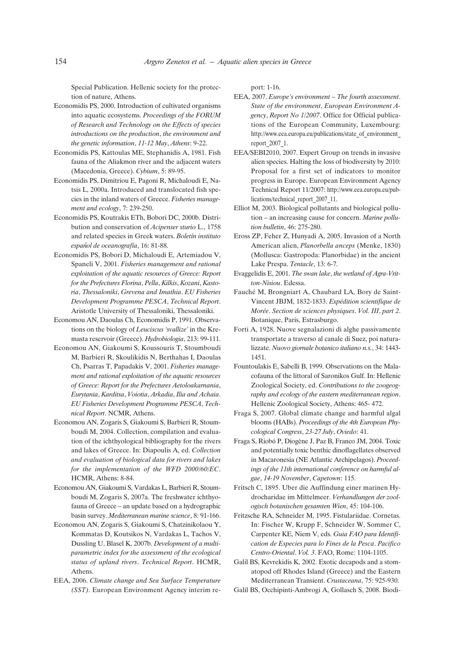Special Publication. Hellenic society for the protection of nature, Athens.

- Economidis PS, 2000. Introduction of cultivated organisms into aquatic ecosystems. *Proceedings of the FORUM of Research and Technology on the Effects of species introductions on the production*, *the environment and the genetic information*, *11-12 May*, *Athens*: 9-22.
- Economidis PS, Kattoulas ME, Stephanidis A, 1981. Fish fauna of the Aliakmon river and the adjacent waters (Macedonia, Greece). *Cybium*, 5: 89-95.
- Economidis PS, Dimitriou E, Pagoni R, Michaloudi E, Natsis L, 2000a. Introduced and translocated fish species in the inland waters of Greece. *Fisheries management and ecology*, 7: 239-250.
- Economidis PS, Koutrakis ETh, Bobori DC, 2000b. Distribution and conservation of *Acipenser sturio* L., 1758 and related species in Greek waters. *Boletín instituto espan*˜*ol de oceanografía*, 16: 81-88.
- Economidis PS, Bobori D, Michaloudi E, Artemiadou V, Spaneli V, 2001. *Fisheries management and rational exploitation of the aquatic resources of Greece: Report for the Prefectures Florina*, *Pella*, *Kilkis*, *Kozani*, *Kastoria*, *Thessaloniki*, *Grevena and Imathia*. *EU Fisheries Development Programme PESCA*, *Technical Report*. Aristotle University of Thessaloniki, Thessaloniki.
- Economou AN, Daoulas Ch, Economidis P, 1991. Observations on the biology of *Leuciscus 'svallize'* in the Kremasta reservoir (Greece). *Hydrobiologia*, 213: 99-111.
- Economou AN, Giakoumi S, Koussouris T, Stoumboudi M, Barbieri R, Skoulikidis N, Berthahas I, Daoulas Ch, Psarras T, Papadakis V, 2001. *Fisheries management and rational exploitation of the aquatic resources of Greece: Report for the Prefectures Aetoloakarnania*, *Eurytania*, *Karditsa*, *Voiotia*, *Arkadia*, *Ilia and Achaia*. *EU Fisheries Development Programme PESCA*, *Technical Report*. NCMR, Athens.
- Economou AN, Zogaris S, Giakoumi S, Barbieri R, Stoumboudi M, 2004. Collection, compilation and evaluation of the ichthyological bibliography for the rivers and lakes of Greece. In: Diapoulis A, ed. *Collection and evaluation of biological data for rivers and lakes for the implementation of the WFD 2000/60/EC*. HCMR, Athens: 8-84.
- Economou AN, Giakoumi S, Vardakas L, Barbieri R, Stoumboudi M, Zogaris S, 2007a. The freshwater ichthyofauna of Greece – an update based on a hydrographic basin survey. *Mediterranean marine science*, 8: 91-166.
- Economou AN, Zogaris S, Giakoumi S, Chatzinikolaou Y, Kommatas D, Koutsikos N, Vardakas L, Tachos V, Dussling U, Blasel K, 2007b. *Development of a multiparametric index for the assessment of the ecological status of upland rivers*. *Technical Report*. HCMR, Athens.
- EEA, 2006. *Climate change and Sea Surface Temperature (SST)*. European Environment Agency interim re-

port: 1-16.

- EEA, 2007. *Europe's environment The fourth assessment*. *State of the environment*, *European Environment Agency*, *Report No 1/2007*. Office for Official publications of the European Community, Luxembourg: http://www.eea.europa.eu/publications/state\_of\_environment report\_2007\_1.
- EEA/SEBI2010, 2007. Expert Group on trends in invasive alien species. Halting the loss of biodiversity by 2010: Proposal for a first set of indicators to monitor progress in Europe. European Environment Agency Technical Report 11/2007: http://www.eea.europa.eu/publications/technical\_report\_2007\_11.
- Elliot M, 2003. Biological pollutants and biological pollution – an increasing cause for concern. *Marine pollution bulletin*, 46: 275-280.
- Eross ZP, Feher Z, Hunyadi A, 2005. Invasion of a North American alien, *Planorbella anceps* (Menke, 1830) (Mollusca: Gastropoda: Planorbidae) in the ancient Lake Prespa. *Tentacle*, 13: 6-7.
- Evaggelidis E, 2001. *The swan lake*, *the wetland of Agra-Vritton-Nisiou*. Edessa.
- Fauché M, Brongniart A, Chaubard LA, Bory de Saint-Vincent JBJM, 1832-1833. *Expédition scientifique de Morée*. *Section de sciences physiques*. *Vol. III*, *part 2*. Botanique, Paris, Estrasburgo.
- Forti A, 1928. Nuove segnalazioni di alghe passivamente transportate a traverso al canale di Suez, poi naturalizzate. *Nuovo giornale botanico italiano n.s.*, 34: 1443- 1451.
- Fountoulakis E, Sabelli B, 1999. Observations on the Malacofauna of the littoral of Saronikos Gulf. In: Hellenic Zoological Society, ed. *Contributions to the zoogeography and ecology of the eastern mediterranean region*. Hellenic Zoological Society, Athens: 465- 472.
- Fraga S, 2007. Global climate change and harmful algal blooms (HABs). *Proceedings of the 4th European Phycological Congress*, *23-27 July*, *Oviedo*: 41.
- Fraga S, Riobó P, Diogène J, Paz B, Franco JM, 2004. Toxic and potentially toxic benthic dinoflagellates observed in Macaronesia (NE Atlantic Archipelagos). *Proceedings of the 11th international conference on harmful algae*, *14-19 November*, *Capetown*: 115.
- Fritsch C, 1895. Uber die Auffindung einer marinen Hydrocharidae im Mittelmeer. *Verhandlungen der zoologisch botanischen gesamten Wien*, 45: 104-106.
- Fritzsche RA, Schneider M, 1995. Fistulariidae. Cornetas. In: Fischer W, Krupp F, Schneider W, Sommer C, Carpenter KE, Niem V, eds. *Guia FAO para Identification de Especies para lo Fines de la Pesca*. *Pacifico Centro-Oriental*. *Vol. 3*. FAO, Rome: 1104-1105.
- Galil BS, Kevrekidis K, 2002. Exotic decapods and a stomatopod off Rhodes Island (Greece) and the Eastern Mediterranean Transient. *Crustaceana*, 75: 925-930.
- Galil BS, Occhipinti-Ambrogi A, Gollasch S, 2008. Biodi-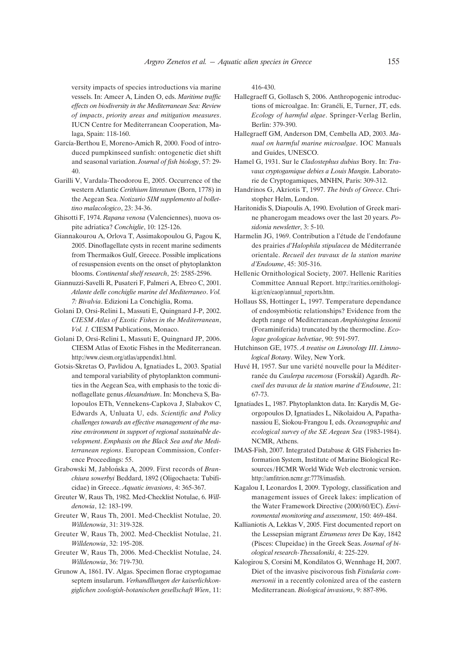versity impacts of species introductions via marine vessels. In: Ameer A, Linden O, eds. *Maritime traffic effects on biodiversity in the Mediterranean Sea: Review of impacts*, *priority areas and mitigation measures*. IUCN Centre for Mediterranean Cooperation, Malaga, Spain: 118-160.

- García-Berthou E, Moreno-Amich R, 2000. Food of introduced pumpkinseed sunfish: ontogenetic diet shift and seasonal variation. *Journal of fish biology*, 57: 29- 40.
- Garilli V, Vardala-Theodorou E, 2005. Occurrence of the western Atlantic *Cerithium litteratum* (Born, 1778) in the Aegean Sea. *Notizario SIM supplemento al bollettino malacologico*, 23: 34-36.
- Ghisotti F, 1974. *Rapana venosa* (Valenciennes), nuova ospite adriatica? *Conchiglie*, 10: 125-126.
- Giannakourou A, Orlova T, Assimakopoulou G, Pagou K, 2005. Dinoflagellate cysts in recent marine sediments from Thermaikos Gulf, Greece. Possible implications of resuspension events on the onset of phytoplankton blooms. *Continental shelf research*, 25: 2585-2596.
- Giannuzzi-Savelli R, Pusateri F, Palmeri A, Ebreo C, 2001. *Atlante delle conchiglie marine del Mediterraneo*. *Vol. 7: Bivalvia*. Edizioni La Conchiglia, Roma.
- Golani D, Orsi-Relini L, Massuti E, Quingnard J-P, 2002. *CIESM Atlas of Exotic Fishes in the Mediterranean*, *Vol. 1.* CIESM Publications, Monaco.
- Golani D, Orsi-Relini L, Massuti E, Quingnard JP, 2006. CIESM Atlas of Exotic Fishes in the Mediterranean. http://www.ciesm.org/atlas/appendix1.html.
- Gotsis-Skretas O, Pavlidou A, Ignatiades L, 2003. Spatial and temporal variability of phytoplankton communities in the Aegean Sea, with emphasis to the toxic dinoflagellate genus *Alexandrium*. In: Moncheva S, Balopoulos ETh, Vennekens-Capkova J, Slabakov C, Edwards A, Unluata U, eds. *Scientific and Policy challenges towards an effective management of the marine environment in support of regional sustainable development*. *Emphasis on the Black Sea and the Mediterranean regions*. European Commission, Conference Proceedings: 55.
- Grabowski M, Jabłońska A, 2009. First records of *Branchiura sowerbyi* Beddard, 1892 (Oligochaeta: Tubificidae) in Greece. *Aquatic invasions*, 4: 365-367.
- Greuter W, Raus Th, 1982. Med-Checklist Notulae, 6. *Willdenowia*, 12: 183-199.
- Greuter W, Raus Th, 2001. Med-Checklist Notulae, 20. *Willdenowia*, 31: 319-328.
- Greuter W, Raus Th, 2002. Med-Checklist Notulae, 21. *Willdenowia*, 32: 195-208.
- Greuter W, Raus Th, 2006. Med-Checklist Notulae, 24. *Willdenowia*, 36: 719-730.
- Grunow A, 1861. IV. Algas. Specimen florae cryptogamae septem insularum. *Verhandllungen der kaiserlichkongiglichen zoologish-botanischen gesellschaft Wien*, 11:

416-430.

- Hallegraeff G, Gollasch S, 2006. Anthropogenic introductions of microalgae. In: Granéli, E, Turner, JT, eds. *Ecology of harmful algae*. Springer-Verlag Berlin, Berlin: 379-390.
- Hallegraeff GM, Anderson DM, Cembella AD, 2003. *Manual on harmful marine microalgae*. IOC Manuals and Guides, UNESCO.
- Hamel G, 1931. Sur le *Cladostephus dubius* Bory. In: *Travaux cryptogamique debies a Louis Mangin*. Laboratorie de Cryptogamiques, MNHN, Paris: 309-312.
- Handrinos G, Akriotis T, 1997. *The birds of Greece*. Christopher Helm, London.
- Haritonidis S, Diapoulis A, 1990. Evolution of Greek marine phanerogam meadows over the last 20 years. *Posidonia newsletter*, 3: 5-10.
- Harmelin JG, 1969. Contribution a l'étude de l'endofaune des prairies *d'Halophila stipulacea* de Méditerranée orientale. *Recueil des travaux de la station marine d'Endoume*, 45: 305-316.
- Hellenic Ornithological Society, 2007. Hellenic Rarities Committee Annual Report. http://rarities.ornithologiki.gr/en/eaop/annual\_reports.htm.
- Hollaus SS, Hottinger L, 1997. Temperature dependance of endosymbiotic relationships? Evidence from the depth range of Mediterranean *Amphistegina lessonii* (Foraminiferida) truncated by the thermocline. *Ecologae geologicae helvetiae*, 90: 591-597.
- Hutchinson GE, 1975. *A treatise on Limnology III*. *Limnological Botany*. Wiley, New York.
- Huvé H, 1957. Sur une variété nouvelle pour la Méditerranée du *Caulerpa racemosa* (Forsskål) Agardh. Re*cueil des travaux de la station marine d'Endoume*, 21: 67-73.
- Ignatiades L, 1987. Phytoplankton data. In: Karydis M, Georgopoulos D, Ignatiades L, Nikolaidou A, Papathanassiou E, Siokou-Frangou I, eds. *Oceanographic and ecological survey of the SE Aegean Sea* (1983-1984). NCMR, Athens.
- IMAS-Fish, 2007. Integrated Database & GIS Fisheries Information System, Institute of Marine Biological Resources/HCMR World Wide Web electronic version. http://amfitrion.ncmr.gr:7778/imasfish.
- Kagalou I, Leonardos I, 2009. Typology, classification and management issues of Greek lakes: implication of the Water Framework Directive (2000/60/EC). *Environmental monitoring and assessment*, 150: 469-484.
- Kallianiotis A, Lekkas V, 2005. First documented report on the Lessepsian migrant *Etrumeus teres* De Kay, 1842 (Pisces: Clupeidae) in the Greek Seas. *Journal of biological research-Thessaloniki*, 4: 225-229.
- Kalogirou S, Corsini M, Kondilatos G, Wennhage H, 2007. Diet of the invasive piscivorous fish *Fistularia commersonii* in a recently colonized area of the eastern Mediterranean. *Biological invasions*, 9: 887-896.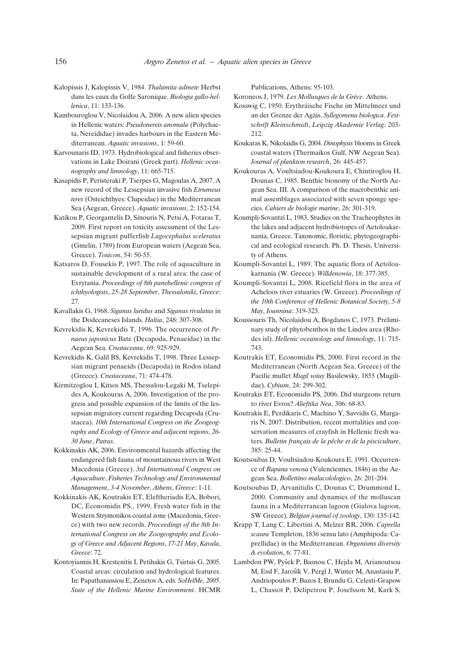- Kalopissis J, Kalopissis V, 1984. *Thalamita admete* Herbst dans les eaux du Golfe Saronique. *Biologia gallo-hellenica*, 11: 133-136.
- Kambouroglou V, Nicolaidou A, 2006. A new alien species in Hellenic waters: *Pseudonereis anomala* (Polychaeta, Nereididae) invades harbours in the Eastern Mediterranean. *Aquatic invasions*, 1: 59-60.
- Karvounaris ID, 1973. Hydrobiological and fisheries observations in Lake Doirani (Greek part). *Hellenic oceanography and limnology*, 11: 665-715.
- Kasapidis P, Peristeraki P, Tserpes G, Magoulas A, 2007. A new record of the Lessepsian invasive fish *Etrumeus teres* (Osteichthyes: Clupeidae) in the Mediterranean Sea (Aegean, Greece). *Aquatic invasions*, 2: 152-154.
- Katikou P, Georgantelis D, Sinouris N, Petsi A, Fotaras T, 2009. First report on toxicity assessment of the Lessepsian migrant pufferfish *Lagocephalus sceleratus* (Gmelin, 1789) from European waters (Aegean Sea, Greece). *Toxicon*, 54: 50-55.
- Katsaros D, Fousekis P, 1997. The role of aquaculture in sustainable development of a rural area: the case of Evrytania. *Proceedings of 8th panehellenic congress of ichthyologists*, *25-28 September*, *Thessaloniki*, *Greece*: 27.
- Kavallakis G, 1968. *Siganus luridus* and *Siganus rivulatus* in the Dodecaneses Islands. *Haliia*, 248: 307-308.
- Kevrekidis K, Kevrekidis T, 1996. The occurrence of *Penaeus japonicus* Bate (Decapoda, Penaeidae) in the Aegean Sea. *Crustaceana*, 69: 925-929.
- Kevrekidis K, Galil BS, Kevrekidis T, 1998. Three Lessepsian migrant penaeids (Decapoda) in Rodos island (Greece). *Crustaceana*, 71: 474-478.
- Kirmitzoglou I, Kitsos MS, Thessalou-Legaki M, Tselepides A, Koukouras A, 2006. Investigation of the progress and possible expansion of the limits of the lessepsian migratory current regarding Decapoda (Crustacea). *10th International Congress on the Zoogeography and Ecology of Greece and adjacent regions*, *26- 30 June*, *Patras*.
- Kokkinakis AK, 2006. Environmental hazards affecting the endangered fish fauna of mountainous rivers in West Macedonia (Greece). *3rd International Congress on Aquaculture*, *Fisheries Technology and Environmental Management*, *3-4 November*, *Athens*, *Greece*: 1-11.
- Kokkinakis AK, Koutrakis ET, Eleftheriadis EA, Bobori, DC, Economidis PS., 1999. Fresh water fish in the Western Strymonikos coastal zone (Macedonia, Greece) with two new records. *Proceedings of the 8th International Congress on the Zoogeography and Ecology of Greece and Adjacent Regions*, *17-21 May*, *Kavala*, *Greece*: 72.
- Kontoyiannis H, Krestenitis I, Petihakis G, Tsirtsis G, 2005. Coastal areas: circulation and hydrological features. In: Papathanassiou E, Zenetos A, eds. *SoHelMe*, *2005*. *State of the Hellenic Marine Environment*. HCMR

Publications, Athens: 95-103.

Koroneos J, 1979. *Les Mollusques de la Grèce*. Athens.

- Kosswig C, 1950. Erythräische Fische im Mittelmeer und an der Grenze der Agäis. *Syllegomena biologica*. *Festschrift Kleinschmidt*, *Leipzig Akademie Verlag*: 203- 212.
- Koukaras K, Nikolaidis G, 2004. *Dinophysis* blooms in Greek coastal waters (Thermaikos Gulf, NW Aegean Sea). *Journal of plankton research*, 26: 445-457.
- Koukouras A, Voultsiadou-Koukoura E, Chintiroglou H, Dounas C, 1985. Benthic bionomy of the North Aegean Sea. III. A comparison of the macrobenthic animal assemblages associated with seven sponge species. *Cahiers de biologie marine*, 26: 301-319.
- Koumpli-Sovantzi L, 1983. Studies on the Tracheophytes in the lakes and adjacent hydrobiotopes of Aetoloakarnania, Greece. Taxonomic, floristic, phytogeographical and ecological research. Ph. D. Thesis, University of Athens.
- Koumpli-Sovantzi L, 1989. The aquatic flora of Aetoloakarnania (W. Greece). *Willdenowia*, 18: 377-385.
- Koumpli-Sovantzi L, 2008. Ricefield flora in the area of Acheloos river estuaries (W. Greece). *Proceedings of the 10th Conference of Hellenic Botanical Society*, *5-8 May*, *Ioannina*: 319-323.
- Koussouris Th, Nicolaidou A, Bogdanos C, 1973. Preliminary study of phytobenthos in the Lindos area (Rhodes isl). *Hellenic oceanology and limnology*, 11: 715- 743.
- Koutrakis ET, Economidis PS, 2000. First record in the Mediterranean (North Aegean Sea, Greece) of the Pacific mullet *Mugil soiuy* Basilewsky, 1855 (Mugilidae). *Cybium*, 24: 299-302.
- Koutrakis ET, Economidis PS, 2006. Did sturgeons return to river Evros? *Alieftika Nea*, 306: 68-83.
- Koutrakis E, Perdikaris C, Machino Y, Savvidis G, Margaris N, 2007. Distribution, recent mortalities and conservation measures of crayfish in Hellenic fresh waters. *Bulletin français de la pêche et de la pisciculture*, 385: 25-44.
- Koutsoubas D, Voultsiadou-Koukoura E, 1991. Occurrence of *Rapana venosa* (Valenciennes, 1846) in the Aegean Sea. *Bollettino malacolologico*, 26: 201-204.
- Koutsoubas D, Arvanitidis C, Dounas C, Drummond L, 2000. Community and dynamics of the molluscan fauna in a Mediterranean lagoon (Gialova lagoon, SW Greece). *Belgian journal of zoology*, 130: 135-142.
- Krapp T, Lang C, Libertini A, Melzer RR, 2006. *Caprella scaura* Templeton, 1836 sensu lato (Amphipoda: Caprellidae) in the Mediterranean. *Organisms diversity & evolution*, 6: 77-81.
- Lambdon PW, Pyšek P, Basnou C, Hejda M, Arianoutsou M, Essl F, Jarošík V, Pergl J, Winter M, Anastasiu P, Andriopoulos P, Bazos I, Brundu G, Celesti-Grapow L, Chassot P, Delipetrou P, Josefsson M, Kark S,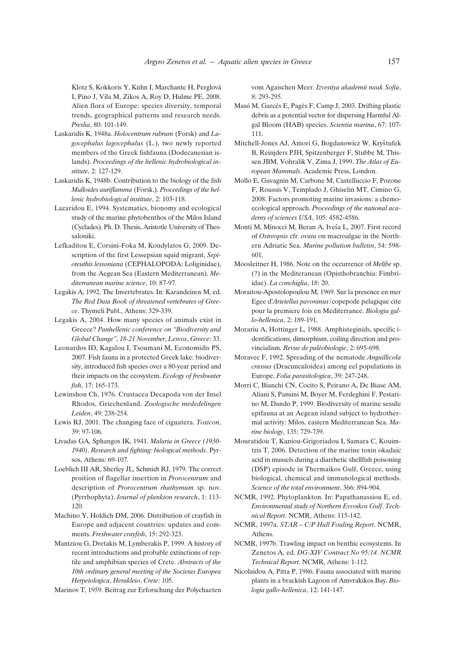Klotz S, Kokkoris Y, Kühn I, Marchante H, Perglová I, Pino J, Vila M, Zikos A, Roy D, Hulme PE, 2008. Alien flora of Europe: species diversity, temporal trends, geographical patterns and research needs. *Preslia*, 80: 101-149.

- Laskaridis K, 1948a. *Holocentrum rubrum* (Forsk) and *Lagocephalus lagocephalus* (L.), two newly reported members of the Greek fishfauna (Dodecanesian islands). *Proceedings of the hellenic hydrobiological institute*, 2: 127-129.
- Laskaridis K, 1948b. Contribution to the biology of the fish *Mulloides auriflamma* (Forsk.). *Proceedings of the hellenic hydrobiological institute*, 2: 103-118.
- Lazaridou E, 1994. Systematics, bionomy and ecological study of the marine phytobenthos of the Milos Island (Cyclades). Ph. D. Thesis, Aristotle University of Thessaloniki.
- Lefkaditou E, Corsini-Foka M, Kondylatos G, 2009. Description of the first Lessepsian squid migrant, *Sepioteuthis lessoniana* (CEPHALOPODA: Loliginidae), from the Aegean Sea (Eastern Mediterranean). *Mediterranean marine science*, 10: 87-97.
- Legakis A, 1992. The Invertebrates. In: Karandeinos M, ed. *The Red Data Book of threatened vertebrates of Greece*. Thymeli Publ., Athens: 329-339.
- Legakis A, 2004. How many species of animals exist in Greece? *Panhellenic conference on "Biodiversity and Global Change"*, *18-21 November*, *Lesvos*, *Greece*: 33.
- Leonardos ID, Kagalou I, Tsoumani M, Economidis PS, 2007. Fish fauna in a protected Greek lake: biodiversity, introduced fish species over a 80-year period and their impacts on the ecosystem. *Ecology of freshwater fish*, 17: 165-173.
- Lewinshon Ch, 1976. Crustacea Decapoda von der Insel Rhodos, Griechenland. *Zoologische mededelingen Leiden*, 49: 238-254.
- Lewis RJ, 2001. The changing face of ciguatera. *Toxicon*, 39: 97-106.
- Livadas GA, Sphangos IK, 1941. *Malaria in Greece (1930- 1940)*. *Research and fighting: biological methods*. Pyrsos, Athens: 69-107.
- Loeblich III AR, Sherley JL, Schmidt RJ, 1979. The correct position of flagellar insertion in *Prorocentrum* and description of *Prorocentrum rhathymum* sp. nov. (Pyrrhophyta). *Journal of plankton research*, 1: 113- 120.
- Machino Y, Holdich DM, 2006. Distribution of crayfish in Europe and adjacent countries: updates and comments. *Freshwater crayfish*, 15: 292-323.
- Mantziou G, Dretakis M, Lymberakis P, 1999. A history of recent introductions and probable extinctions of reptile and amphibian species of Crete. *Abstracts of the 10th ordinary general meeting of the Societas Europea Herpetologica*, *Herakleio*, *Crete*: 105.

Marinov T, 1959. Beitrag zur Erforschung der Polychaeten

vom Agaischen Meer. *Izvestiya akademii nauk Sofia*, 8: 293-295.

- Masó M, Garcés E, Pagès F, Camp J, 2003. Drifting plastic debris as a potential vector for dispersing Harmful Algal Bloom (HAB) species. *Scientia marina*, 67: 107- 111.
- Mitchell-Jones AJ, Amori G, Bogdanowicz W, Kryštufek B, Reinjders PJH, Spitzenberger F, Stubbe M, Thissen JBM, Vohralik V, Zima J, 1999. *The Atlas of European Mammals*. Academic Press, London.
- Mollo E, Gavagnin M, Carbone M, Castelluccio F, Pozone F, Roussis V, Templado J, Ghiselin MT, Cimino G, 2008. Factors promoting marine invasions: a chemoecological approach. *Proceedings of the national academy of sciences USA*, 105: 4582-4586.
- Monti M, Minocci M, Beran A, Iveša L, 2007. First record of *Ostreopsis* cfr. *ovata* on macroalgae in the Northern Adriatic Sea. *Marine pollution bulletin*, 54: 598- 601.
- Moosleitner H, 1986. Note on the occurrence of *Melibe* sp. (?) in the Mediteranean (Opisthobranchia: Fimbriidae). *La conchiglia*, 18: 20.
- Moraitou-Apostolopoulou M, 1969. Sur la presence en mer Egee d'*Arietellus pavoninus*/copepode pelagique cite pour la premiere fois en Mediterranee. *Biologia gallo-hellenica*, 2: 189-191.
- Morariu A, Hottinger L, 1988. Amphisteginids, specific identifications, dimorphism, coiling direction and provincialism. *Revue de paléobiologie*, 2: 695-698.
- Moravec F, 1992. Spreading of the nematode *Anguillicola crassus* (Dracunculoidea) among eel populations in Europe. *Folia parasitologica*, 39: 247-248.
- Morri C, Bianchi CN, Cocito S, Peirano A, De Biase AM, Aliani S, Pansini M, Boyer M, Ferdeghini F, Pestarino M, Dando P, 1999. Biodiversity of marine sessile epifauna at an Aegean island subject to hydrothermal activity: Milos, eastern Mediterranean Sea. *Marine biology*, 135: 729-739.
- Mouratidou T, Kaniou-Grigoriadou I, Samara C, Kouimtzis T, 2006. Detection of the marine toxin okadaic acid in mussels during a diarrhetic shellfish poisoning (DSP) episode in Thermaikos Gulf, Greece, using biological, chemical and immunological methods. *Science of the total environment*, 366: 894-904.
- NCMR, 1992. Phytoplankton. In: Papathanassiou E, ed. *Environmental study of Northern Evvoikos Gulf*. *Technical Report*. NCMR, Athens: 115-142.
- NCMR, 1997a. *STAR C/P Hull Fouling Report*. NCMR, Athens.
- NCMR, 1997b. Trawling impact on benthic ecosystems. In Zenetos A, ed. *DG-XIV Contract No 95/14*. *NCMR Technical Report*. NCMR, Athens: 1-112.
- Nicolaidou A, Pitta P, 1986. Fauna associated with marine plants in a brackish Lagoon of Amvrakikos Bay. *Biologia gallo-hellenica*, 12: 141-147.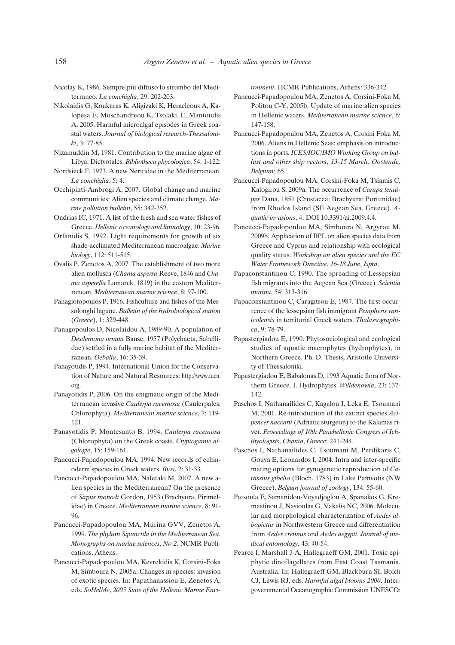- Nicolay K, 1986. Sempre più diffuso lo strombo del Mediterraneo. *La conchiglia*, 29: 202-203.
- Nikolaidis G, Koukaras K, Aligizaki K, Heracleous A, Kalopesa E, Moschandreou K, Tsolaki, E, Mantoudis A, 2005. Harmful microalgal episodes in Greek coastal waters. *Journal of biological research-Thessaloniki*, 3: 77-85.
- Nizamuddin M, 1981. Contribution to the marine algae of Libya. Dictyotales. *Bibliotheca phycologica*, 54: 1-122.
- Nordsieck F, 1973. A new Neritidae in the Mediterranean. *La conchiglia*, 5: 4.
- Occhipinti-Ambrogi A, 2007. Global change and marine communities: Alien species and climate change. *Marine pollution bulletin*, 55: 342-352.
- Ondrias IC, 1971. A list of the fresh and sea water fishes of Greece. *Hellenic oceanology and limnology*, 10: 23-96.
- Orfanidis S, 1992. Light requirements for growth of six shade-acclimated Mediterranean macroalgae. *Marine biology*, 112: 511-515.
- Ovalis P, Zenetos A, 2007. The establishment of two more alien mollusca (*Chama aspersa* Reeve, 1846 and *Chama asperella* Lamarck, 1819) in the eastern Mediterranean. *Mediterranean marine science*, 8: 97-100.
- Panagiotopoulos P, 1916. Fishculture and fishes of the Messolonghi lagune. *Bulletin of the hydrobiological station* (*Greece*), 1: 329-448.
- Panagopoulos D, Nicolaidou A, 1989-90. A population of *Desdemona ornata* Banse, 1957 (Polychaeta, Sabellidae) settled in a fully marine habitat of the Mediterranean. *Oebalia*, 16: 35-39.
- Panayotidis P, 1994. International Union for the Conservation of Nature and Natural Resources: http://www.iucn. org.
- Panayotidis P, 2006. On the enigmatic origin of the Mediterranean invasive *Caulerpa racemosa* (Caulerpales, Chlorophyta). *Mediterranean marine science*, 7: 119- 121.
- Panayotidis P, Montesanto B, 1994. *Caulerpa racemosa* (Chlorophyta) on the Greek coasts. *Cryptogamie algologie*, 15: 159-161.
- Pancucci-Papadopoulou MA, 1994. New records of echinoderm species in Greek waters. *Bios*, 2: 31-33.
- Pancucci-Papadopoulou MA, Naletaki M, 2007. A new alien species in the Mediterranean? On the presence of *Sirpus monodi* Gordon, 1953 (Brachyura, Pirimelidae) in Greece. *Mediterranean marine science*, 8: 91- 96.
- Pancucci-Papadopoulou MA, Murina GVV, Zenetos A, 1999. *The phylum Sipuncula in the Mediterranean Sea*. *Monographs on marine sciences*, *No 2*. NCMR Publications, Athens.
- Pancucci-Papadopoulou MA, Kevrekidis K, Corsini-Foka M, Simboura N, 2005a. Changes in species: invasion of exotic species. In: Papathanassiou E, Zenetos A, eds. *SoHelMe*, *2005 State of the Hellenic Marine Envi-*

*ronment*. HCMR Publications, Athens: 336-342.

- Pancucci-Papadopoulou MA, Zenetos A, Corsini-Foka M, Politou C-Y, 2005b. Update of marine alien species in Hellenic waters. *Mediterranean marine science*, 6: 147-158.
- Pancucci-Papadopoulou MA, Zenetos A, Corsini Foka M, 2006. Aliens in Hellenic Seas: emphasis on introductions in ports. *ICES/IOC/IMO Working Group on ballast and other ship vectors*, *13-15 March*, *Oostende*, *Belgium*: 65.
- Pancucci-Papadopoulou MA, Corsini-Foka M, Tsiamis C, Kalogirou S, 2009a. The occurrence of *Carupa tenuipes* Dana, 1851 (Crustacea: Brachyura: Portunidae) from Rhodos Island (SE Aegean Sea, Greece). *Aquatic invasions*, 4: DOI 10.3391/ai.2009.4.4.
- Pancucci-Papadopoulou MA, Simboura N, Argyrou M, 2009b. Application of BPL on alien species data from Greece and Cyprus and relationship with ecological quality status. *Workshop on alien species and the EC Water Framework Directive*, *16-18 June*, *Ispra*.
- Papaconstantinou C, 1990. The spreading of Lessepsian fish migrants into the Aegean Sea (Greece). *Scientia marina*, 54: 313-316.
- Papaconstantinou C, Caragitsou E, 1987. The first occurrence of the lessepsian fish immigrant *Pempheris vanicolensis* in territorial Greek waters. *Thalassographica*, 9: 78-79.
- Papastergiadou E, 1990. Phytosociological and ecological studies of aquatic macrophytes (hydrophytes), in Northern Greece. Ph. D. Thesis, Aristotle University of Thessaloniki.
- Papastergiadou E, Babalonas D, 1993 Aquatic flora of Northern Greece. I. Hydrophytes. *Willdenowia*, 23: 137- 142.
- Paschos I, Nathanailides C, Kagalou I, Leka E, Tsoumani M, 2001. Re-introduction of the extinct species *Acipencer naccarii* (Adriatic sturgeon) to the Kalamas river. *Proceedings of 10th Panehellenic Congress of Ichthyologists*, *Chania*, *Greece*: 241-244.
- Paschos I, Nathanailides C, Tsoumani M, Perdikaris C, Gouva E, Leonardos I, 2004. Intra and inter-specific mating options for gynogenetic reproduction of *Carassius gibelio* (Bloch, 1783) in Lake Pamvotis (NW Greece). *Belgian journal of zoology*, 134: 55-60.
- Patsoula E, Samanidou-Voyadjoglou A, Spanakos G, Kremastinou J, Nasioulas G, Vakalis NC, 2006. Molecular and morphological characterization of *Aedes albopictus* in Northwestern Greece and differentiation from *Aedes cretinus* and *Aedes aegypti*. *Journal of medical entomology*, 43: 40-54.
- Pearce I, Marshall J-A, Hallegraeff GM, 2001. Toxic epiphytic dinoflagellates from East Coast Tasmania, Australia. In: Hallegraeff GM, Blackburn SI, Bolch CJ, Lewis RJ, eds. *Harmful algal blooms 2000*. Intergovernmental Oceanographic Commission UNESCO: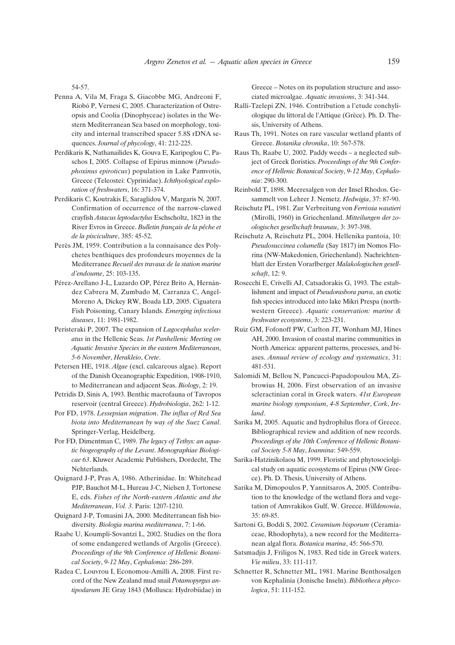54-57.

- Penna A, Vila M, Fraga S, Giacobbe MG, Andreoni F, Riobó P, Vernesi C, 2005. Characterization of Ostreopsis and Coolia (Dinophyceae) isolates in the Western Mediterranean Sea based on morphology, toxicity and internal transcribed spacer 5.8S rDNA sequences. *Journal of phycology*, 41: 212-225.
- Perdikaris K, Nathanailides K, Gouva E, Karipoglou C, Paschos I, 2005. Collapse of Epirus minnow (*Pseudophoxinus epiroticus*) population in Lake Pamvotis, Greece (Teleostei: Cyprinidae). *Ichthyological exploration of freshwaters*, 16: 371-374.
- Perdikaris C, Koutrakis E, Saraglidou V, Margaris N, 2007. Confirmation of occurrence of the narrow-clawed crayfish *Astacus leptodactylus* Eschscholtz, 1823 in the River Evros in Greece. *Bulletin français de la pêche et de la pisciculture*, 385: 45-52.
- Perès JM, 1959. Contribution a la connaisance des Polychetes benthiques des profondeurs moyennes de la Mediterranee *Recueil des travaux de la station marine d'endoume*, 25: 103-135.
- Pérez-Arellano J-L, Luzardo OP, Pérez Brito A, Hernández Cabrera M, Zumbado M, Carranza C, Angel-Moreno A, Dickey RW, Boada LD, 2005. Ciguatera Fish Poisoning, Canary Islands. *Emerging infectious diseases*, 11: 1981-1982.
- Peristeraki P, 2007. The expansion of *Lagocephalus sceleratus* in the Hellenic Seas. *1st Panhellenic Meeting on Aquatic Invasive Species in the eastern Mediterranean*, *5-6 November*, *Herakleio*, *Crete*.
- Petersen HE, 1918. *Algae* (excl. calcareous algae). Report of the Danish Oceanographic Expedition, 1908-1910, to Mediterranean and adjacent Seas. *Biology*, 2: 19.
- Petridis D, Sinis A, 1993. Benthic macrofauna of Tavropos reservoir (central Greece). *Hydrobiologia*, 262: 1-12.
- Por FD, 1978. *Lessepsian migration*. *The influx of Red Sea biota into Mediterranean by way of the Suez Canal*. Springer-Verlag, Heidelberg.
- Por FD, Dimentman C, 1989. *The legacy of Tethys: an aquatic biogeography of the Levant*. *Monographiae Biologicae 63*. Kluwer Academic Publishers, Dordecht, The Nehterlands.
- Quignard J-P, Pras A, 1986. Atherinidae. In: Whitehead PJP, Bauchot M-L, Hureau J-C, Nielsen J, Tortonese E, eds. *Fishes of the North-eastern Atlantic and the Mediterranean*, *Vol. 3*. Paris: 1207-1210.
- Quignard J-P, Tomasini JA, 2000. Mediterranean fish biodiversity. *Biologia marina mediterranea*, 7: 1-66.
- Raabe U, Koumpli-Sovantzi L, 2002. Studies on the flora of some endangered wetlands of Argolis (Greece). *Proceedings of the 9th Conference of Hellenic Botanical Society*, *9-12 May*, *Cephalonia*: 286-289.
- Radea C, Louvrou I, Economou-Amilli A, 2008. First record of the New Zealand mud snail *Potamopyrgus antipodarum* JE Gray 1843 (Mollusca: Hydrobiidae) in

Greece – Notes on its population structure and associated microalgae. *Aquatic invasions*, 3: 341-344.

- Ralli-Tzelepi ZN, 1946. Contribution a l'etude conchyliologique du littoral de l'Attique (Grèce). Ph. D. Thesis, University of Athens.
- Raus Th, 1991. Notes on rare vascular wetland plants of Greece. *Botanika chronika*, 10: 567-578.
- Raus Th, Raabe U, 2002. Paddy weeds a neglected subject of Greek floristics. *Proceedings of the 9th Conference of Hellenic Botanical Society*, *9-12 May*, *Cephalonia*: 290-300.
- Reinbold T, 1898. Meeresalgen von der Insel Rhodos. Gesammelt von Lehrer J. Nemetz. *Hedwigia*, 37: 87-90.
- Reischutz PL, 1981. Zur Verbreitung von *Ferrissia wautieri* (Mirolli, 1960) in Griechenland. *Mitteilungen der zoologisches gesellschaft braunau*, 3: 397-398.
- Reischutz A, Reischutz PL, 2004. Hellenika pantoia, 10: *Pseudosuccinea columella* (Say 1817) im Nomos Florina (NW-Makedonien, Griechenland). Nachrichtenblatt der Ersten Vorarlberger *Malakologischen gesellschaft*, 12: 9.
- Rosecchi E, Crivelli AJ, Catsadorakis G, 1993. The establishment and impact of *Pseudorasbora parva*, an exotic fish species introduced into lake Mikri Prespa (northwestern Greece). *Aquatic conservation: marine & freshwater ecosystems*, 3: 223-231.
- Ruiz GM, Fofonoff PW, Carlton JT, Wonham MJ, Hines AH, 2000. Invasion of coastal marine communities in North America: apparent patterns, processes, and biases. *Annual review of ecology and systematics*, 31: 481-531.
- Salomidi M, Bellou N, Pancucci-Papadopoulou MA, Zibrowius H, 2006. First observation of an invasive scleractinian coral in Greek waters. *41st European marine biology symposium*, *4-8 September*, *Cork*, *Ireland*.
- Sarika M, 2005. Aquatic and hydrophilus flora of Greece. Bibliographical review and addition of new records. *Proceedings of the 10th Conference of Hellenic Botanical Society 5-8 May*, *Ioannina*: 549-559.
- Sarika-Hatzinikolaou M, 1999. Floristic and phytosociolgical study on aquatic ecosystems of Epirus (NW Greece). Ph. D. Thesis, University of Athens.
- Sarika M, Dimopoulos P, Yannitsaros A, 2005. Contribution to the knowledge of the wetland flora and vegetation of Amvrakikos Gulf, W. Greece. *Willdenowia*, 35: 69-85.
- Sartoni G, Boddi S, 2002. *Ceramium bisporum* (Ceramiaceae, Rhodophyta), a new record for the Mediterranean algal flora. *Botanica marina*, 45: 566-570.
- Satsmadjis J, Friligos N, 1983. Red tide in Greek waters. *Vie milieu*, 33: 111-117.
- Schnetter R, Schnetter ML, 1981. Marine Benthosalgen von Kephalinia (Jonische Inseln). *Bibliotheca phycologica*, 51: 111-152.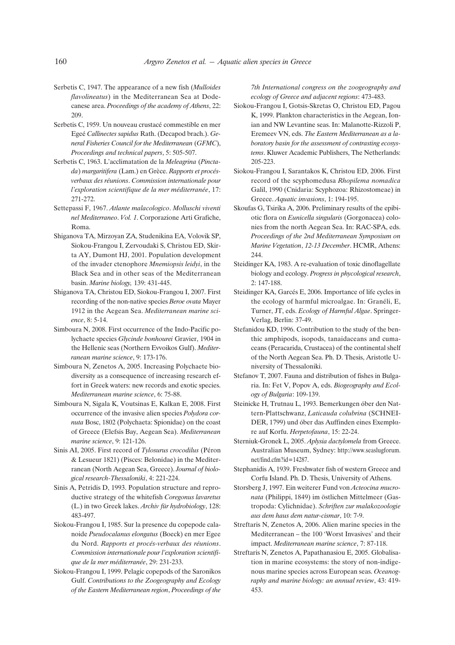- Serbetis C, 1947. The appearance of a new fish (*Mulloides flavolineatus*) in the Mediterranean Sea at Dodecanese area. *Proceedings of the academy of Athens*, 22: 209.
- Serbetis C, 1959. Un nouveau crustacé commestible en mer Egeé *Callinectes sapidus* Rath. (Decapod brach.). *General Fisheries Council for the Mediterranean* (*GFMC*), *Proceedings and technical papers*, 5: 505-507.
- Serbetis C, 1963. L'acclimatation de la *Meleagrina* (*Pinctada*) *margaritifera* (Lam.) en Grèce. *Rapports et procésverbaux des réunions*. *Commission internationale pour l'exploration scientifique de la mer méditerranée*, 17: 271-272.
- Settepassi F, 1967. *Atlante malacologico*. *Molluschi viventi nel Mediterraneo*. *Vol. 1*. Corporazione Arti Grafiche, Roma.
- Shiganova TA, Mirzoyan ZA, Studenikina EA, Volovik SP, Siokou-Frangou I, Zervoudaki S, Christou ED, Skirta AY, Dumont HJ, 2001. Population development of the invader ctenophore *Mnemiopsis leidyi*, in the Black Sea and in other seas of the Mediterranean basin. *Marine biology,* 139: 431-445.
- Shiganova TA, Christou ED, Siokou-Frangou I, 2007. First recording of the non-native species *Beroe ovata* Mayer 1912 in the Aegean Sea. *Mediterranean marine science*, 8: 5-14.
- Simboura N, 2008. First occurrence of the Indo-Pacific polychaete species *Glycinde bonhourei* Gravier, 1904 in the Hellenic seas (Northern Evvoikos Gulf). *Mediterranean marine science*, 9: 173-176.
- Simboura N, Zenetos A, 2005. Increasing Polychaete biodiversity as a consequence of increasing research effort in Greek waters: new records and exotic species. *Mediterranean marine science*, 6: 75-88.
- Simboura N, Sigala K, Voutsinas E, Kalkan E, 2008. First occurrence of the invasive alien species *Polydora cornuta* Bosc, 1802 (Polychaeta: Spionidae) on the coast of Greece (Elefsis Bay, Aegean Sea). *Mediterranean marine science*, 9: 121-126.
- Sinis AI, 2005. First record of *Tylosurus crocodilus* (Péron & Lesueur 1821) (Pisces: Belonidae) in the Mediterranean (North Aegean Sea, Greece). *Journal of biological research-Thessaloniki*, 4: 221-224.
- Sinis A, Petridis D, 1993. Population structure and reproductive strategy of the whitefish *Coregonus lavaretus* (L.) in two Greek lakes. *Archiv für hydrobiology*, 128: 483-497.
- Siokou-Frangou I, 1985. Sur la presence du copepode calanoide *Pseudocalanus elongatus* (Boeck) en mer Egee du Nord. *Rapports et procés-verbaux des réunions*. *Commission internationale pour l'exploration scientifique de la mer méditerranée*, 29: 231-233.
- Siokou-Frangou I, 1999. Pelagic copepods of the Saronikos Gulf. *Contributions to the Zoogeography and Ecology of the Eastern Mediterranean region*, *Proceedings of the*

*7th International congress on the zoogeography and ecology of Greece and adjacent regions*: 473-483.

- Siokou-Frangou I, Gotsis-Skretas O, Christou ED, Pagou K, 1999. Plankton characteristics in the Aegean, Ionian and NW Levantine seas. In: Malanotte-Rizzoli P, Eremeev VN, eds. *The Eastern Mediterranean as a laboratory basin for the assessment of contrasting ecosystems*. Kluwer Academic Publishers, The Netherlands: 205-223.
- Siokou-Frangou I, Sarantakos K, Christou ED, 2006. First record of the scyphomedusa *Rhopilema nomadica* Galil, 1990 (Cnidaria: Scyphozoa: Rhizostomeae) in Greece. *Aquatic invasions*, 1: 194-195.
- Skoufas G, Tsirika A, 2006. Preliminary results of the epibiotic flora on *Eunicella singularis* (Gorgonacea) colonies from the north Aegean Sea. In: RAC-SPA, eds. *Proceedings of the 2nd Mediterranean Symposium on Marine Vegetation*, *12-13 December*. HCMR, Athens: 244.
- Steidinger KA, 1983. A re-evaluation of toxic dinoflagellate biology and ecology. *Progress in phycological research*, 2: 147-188.
- Steidinger KA, Garcés E, 2006. Importance of life cycles in the ecology of harmful microalgae. In: Granéli, E, Turner, JT, eds. *Ecology of Harmful Algae*. Springer-Verlag, Berlin: 37-49.
- Stefanidou KD, 1996. Contribution to the study of the benthic amphipods, isopods, tanaidaceans and cumaceans (Peracarida, Crustacea) of the continental shelf of the North Aegean Sea. Ph. D. Thesis, Aristotle University of Thessaloniki.
- Stefanov T, 2007. Fauna and distribution of fishes in Bulgaria. In: Fet V, Popov A, eds. *Biogeography and Ecology of Bulgaria*: 109-139.
- Steinicke H, Trutnau L, 1993. Bemerkungen óber den Nattern-Plattschwanz, *Laticauda colubrina* (SCHNEI-DER, 1799) und óber das Auffinden eines Exempl $\alpha$ re auf Korfu. *Herpetofauna*, 15: 22-24.
- Sterniuk-Gronek L, 2005. *Aplysia dactylomela* from Greece. Australian Museum, Sydney: http://www.seaslugforum. net/find.cfm?id=14287.
- Stephanidis A, 1939. Freshwater fish of western Greece and Corfu Island. Ph. D. Thesis, University of Athens.
- Storsberg J, 1997. Ein weiterer Fund von *Acteocina mucronata* (Philippi, 1849) im östlichen Mittelmeer (Gastropoda: Cylichnidae). *Schriften zur malakozoologie aus dem haus dem natur-cismar*, 10: 7-9.
- Streftaris N, Zenetos A, 2006. Alien marine species in the Mediterranean – the 100 'Worst Invasives' and their impact. *Mediterranean marine science*, 7: 87-118.
- Streftaris N, Zenetos A, Papathanasiou E, 2005. Globalisation in marine ecosystems: the story of non-indigenous marine species across European seas. *Oceanography and marine biology: an annual review*, 43: 419- 453.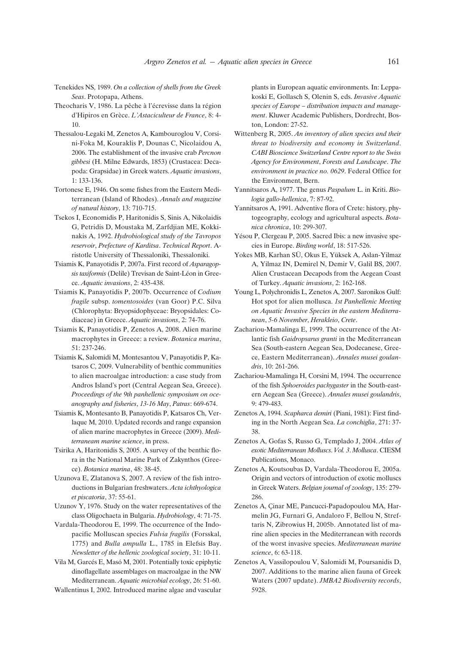Tenekides NS, 1989. *On a collection of shells from the Greek Seas*. Protopapa, Athens.

Theocharis V, 1986. La pêche à l'écrevisse dans la région d'Hipiros en Grèce. *L'Astaciculteur de France*, 8: 4- 10.

- Thessalou-Legaki M, Zenetos A, Kambouroglou V, Corsini-Foka M, Kouraklis P, Dounas C, Nicolaidou A, 2006. The establishment of the invasive crab *Percnon gibbesi* (H. Milne Edwards, 1853) (Crustacea: Decapoda: Grapsidae) in Greek waters. *Aquatic invasions*, 1: 133-136.
- Tortonese E, 1946. On some fishes from the Eastern Mediterranean (Island of Rhodes). *Annals and magazine of natural history*, 13: 710-715.
- Tsekos I, Economidis P, Haritonidis S, Sinis A, Nikolaidis G, Petridis D, Moustaka M, Zarfdjian ME, Kokkinakis A, 1992. *Hydrobiological study of the Tavropos reservoir*, *Prefecture of Karditsa*. *Technical Report*. Aristotle University of Thessaloniki, Thessaloniki.
- Tsiamis K, Panayotidis P, 2007a. First record of *Asparagopsis taxiformis* (Delile) Trevisan de Saint-Léon in Greece. *Aquatic invasions*, 2: 435-438.
- Tsiamis K, Panayotidis P, 2007b. Occurrence of *Codium fragile* subsp. *tomentosoides* (van Goor) P.C. Silva (Chlorophyta: Bryopsidophyceae: Bryopsidales: Codiaceae) in Greece. *Aquatic invasions*, 2: 74-76.
- Tsiamis K, Panayotidis P, Zenetos A, 2008. Alien marine macrophytes in Greece: a review. *Botanica marina*, 51: 237-246.
- Tsiamis K, Salomidi M, Montesantou V, Panayotidis P, Katsaros C, 2009. Vulnerability of benthic communities to alien macroalgae introduction: a case study from Andros Island's port (Central Aegean Sea, Greece). *Proceedings of the 9th panhellenic symposium on oceanography and fisheries*, *13-16 May*, *Patras*: 669-674.
- Tsiamis K, Montesanto B, Panayotidis P, Katsaros Ch, Verlaque M, 2010. Updated records and range expansion of alien marine macrophytes in Greece (2009). *Mediterraneam marine science*, in press.
- Tsirika A, Haritonidis S, 2005. A survey of the benthic flora in the National Marine Park of Zakynthos (Greece). *Botanica marina*, 48: 38-45.
- Uzunova E, Zlatanova S, 2007. A review of the fish introductions in Bulgarian freshwaters. *Acta ichthyologica et piscatoria*, 37: 55-61.
- Uzunov Y, 1976. Study on the water representatives of the class Oligochaeta in Bulgaria. *Hydrobiology*, 4: 71-75.
- Vardala-Theodorou E, 1999. The occurrence of the Indopacific Molluscan species *Fulvia fragilis* (Forsskal, 1775) and *Bulla ampulla* L., 1785 in Elefsis Bay. *Newsletter of the hellenic zoological society*, 31: 10-11.
- Vila M, Garcés E, Masó M, 2001. Potentially toxic epiphytic dinoflagellate assemblages on macroalgae in the NW Mediterranean. *Aquatic microbial ecology*, 26: 51-60.

Wallentinus I, 2002. Introduced marine algae and vascular

plants in European aquatic environments. In: Leppakoski E, Gollasch S, Olenin S, eds. *Invasive Aquatic species of Europe – distribution impacts and management*. Kluwer Academic Publishers, Dordrecht, Boston, London: 27-52.

- Wittenberg R, 2005. *An inventory of alien species and their threat to biodiversity and economy in Switzerland*. *CABI Bioscience Switzerland Centre report to the Swiss Agency for Environment*, *Forests and Landscape*. *The environment in practice no. 0629*. Federal Office for the Environment, Bern.
- Yannitsaros A, 1977. The genus *Paspalum* L. in Kriti. *Biologia gallo-hellenica*, 7: 87-92.
- Yannitsaros A, 1991. Adventive flora of Crete: history, phytogeography, ecology and agricultural aspects. *Botanica chronica*, 10: 299-307.
- Yésou P, Clergeau P, 2005. Sacred Ibis: a new invasive species in Europe. *Birding world*, 18: 517-526.
- Yokes MB, Karhan SÜ, Okus E, Yüksek A, Aslan-Yilmaz A, Yilmaz IN, Demirel N, Demir V, Galil BS, 2007. Alien Crustacean Decapods from the Aegean Coast of Turkey. *Aquatic invasions*, 2: 162-168.
- Young L, Polychronidis L, Zenetos A, 2007. Saronikos Gulf: Hot spot for alien mollusca. *1st Panhellenic Meeting on Aquatic Invasive Species in the eastern Mediterranean*, *5-6 November*, *Herakleio*, *Crete*.
- Zachariou-Mamalinga E, 1999. The occurrence of the Atlantic fish *Gaidropsarus granti* in the Mediterranean Sea (South-eastern Aegean Sea, Dodecanese, Greece, Eastern Mediterranean). *Annales musei goulandris*, 10: 261-266.
- Zachariou-Mamalinga H, Corsini M, 1994. The occurrence of the fish *Sphoeroides pachygaster* in the South-eastern Aegean Sea (Greece). *Annales musei goulandris*, 9: 479-483.
- Zenetos A, 1994. *Scapharca demiri* (Piani, 1981): First finding in the North Aegean Sea. *La conchiglia*, 271: 37- 38.
- Zenetos A, Gofas S, Russo G, Templado J, 2004. *Atlas of exotic Mediterranean Molluscs*. *Vol. 3*. *Mollusca*. CIESM Publications, Monaco.
- Zenetos A, Koutsoubas D, Vardala-Theodorou E, 2005a. Origin and vectors of introduction of exotic molluscs in Greek Waters. *Belgian journal of zoology*, 135: 279- 286.
- Zenetos A, Çinar ME, Pancucci-Papadopoulou MA, Harmelin JG, Furnari G, Andaloro F, Bellou N, Streftaris N, Zibrowius H, 2005b. Annotated list of marine alien species in the Mediterranean with records of the worst invasive species. *Mediterranean marine science*, 6: 63-118.
- Zenetos A, Vassilopoulou V, Salomidi M, Poursanidis D, 2007. Additions to the marine alien fauna of Greek Waters (2007 update). *JMBA2 Biodiversity records*, 5928.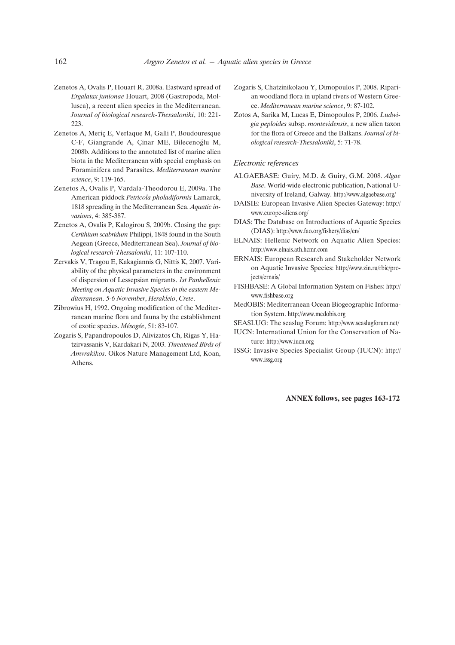- Zenetos A, Ovalis P, Houart R, 2008a. Eastward spread of *Ergalatax junionae* Houart, 2008 (Gastropoda, Mollusca), a recent alien species in the Mediterranean. *Journal of biological research-Thessaloniki*, 10: 221- 223.
- Zenetos A, Meriç E, Verlaque M, Galli P, Boudouresque C-F, Giangrande A, Cinar ME, Bilecenoğlu M, 2008b. Additions to the annotated list of marine alien biota in the Mediterranean with special emphasis on Foraminifera and Parasites. *Mediterranean marine science*, 9: 119-165.
- Zenetos A, Ovalis P, Vardala-Theodorou E, 2009a. The American piddock *Petricola pholadiformis* Lamarck, 1818 spreading in the Mediterranean Sea. *Aquatic invasions*, 4: 385-387.
- Zenetos A, Ovalis P, Kalogirou S, 2009b. Closing the gap: *Cerithium scabridum* Philippi, 1848 found in the South Aegean (Greece, Mediterranean Sea). *Journal of biological research-Thessaloniki*, 11: 107-110.
- Zervakis V, Tragou E, Kakagiannis G, Nittis K, 2007. Variability of the physical parameters in the environment of dispersion of Lessepsian migrants. *1st Panhellenic Meeting on Aquatic Invasive Species in the eastern Mediterranean*. *5-6 November*, *Herakleio*, *Crete*.
- Zibrowius H, 1992. Ongoing modification of the Mediterranean marine flora and fauna by the establishment of exotic species. *Mésogée*, 51: 83-107.
- Zogaris S, Papandropoulos D, Alivizatos Ch, Rigas Y, Hatzirvassanis V, Kardakari N, 2003. *Threatened Birds of Amvrakikos*. Oikos Nature Management Ltd, Koan, Athens.
- Zogaris S, Chatzinikolaou Y, Dimopoulos P, 2008. Riparian woodland flora in upland rivers of Western Greece. *Mediterranean marine science*, 9: 87-102.
- Zotos A, Sarika M, Lucas E, Dimopoulos P, 2006. *Ludwigia peploides* subsp. *montevidensis*, a new alien taxon for the flora of Greece and the Balkans. *Journal of biological research-Thessaloniki*, 5: 71-78.

#### *Electronic references*

- ALGAEBASE: Guiry, M.D. & Guiry, G.M. 2008. *Algae Base*. World-wide electronic publication, National University of Ireland, Galway. http://www.algaebase.org/
- DAISIE: European Invasive Alien Species Gateway: http:// www.europe-aliens.org/
- DIAS: The Database on Introductions of Aquatic Species (DIAS): http://www.fao.org/fishery/dias/en/
- ELNAIS: Hellenic Network on Aquatic Alien Species: http://www.elnais.ath.hcmr.com
- ERNAIS: European Research and Stakeholder Network on Aquatic Invasive Species: http://www.zin.ru/rbic/projects/ernais/
- FISHBASE: A Global Information System on Fishes: http:// www.fishbase.org
- MedOBIS: Mediterranean Ocean Biogeographic Information System. http://www.medobis.org
- SEASLUG: The seaslug Forum: http://www.seaslugforum.net/
- IUCN: International Union for the Conservation of Nature: http://www.iucn.org
- ISSG: Invasive Species Specialist Group (IUCN): http:// www.issg.org

**ANNEX follows, see pages 163-172**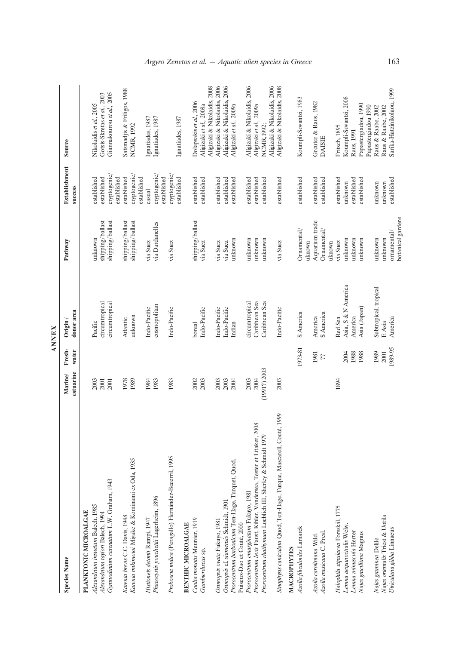|                                                                                                               |                      |                 | <b>ANNEX</b>              |                                    |                                 |                                                        |
|---------------------------------------------------------------------------------------------------------------|----------------------|-----------------|---------------------------|------------------------------------|---------------------------------|--------------------------------------------------------|
| <b>Species Name</b>                                                                                           | estuarine<br>Marine/ | Fresh-<br>water | donor area<br>Origin /    | Pathway                            | <b>Establishment</b><br>success | Source                                                 |
| PLANKTONIC MICROALGAE                                                                                         |                      |                 |                           |                                    |                                 |                                                        |
| Alexandrium insuetum Balech, 1985<br>Alexandrium taylori Balech, 1994                                         | 2003<br>2001         |                 | circumtropical<br>Pacific | shipping/ballast<br>unknown        | established<br>established      | Gotsis-Skretas et al., 2003<br>Nikolaidis et al., 2005 |
| Gynnodinium catenatum L.W. Graham, 1943                                                                       | 2001                 |                 | circumtropical            | shipping/ballast                   | cryptogenic/                    | Giannakourou et al., 2005                              |
|                                                                                                               |                      |                 |                           |                                    | established                     |                                                        |
| Karenia brevis C.C. Davis, 1948                                                                               | 1978                 |                 | Atlantic                  | shipping/ballast                   | established                     | Satsmadjis & Friligos, 1988                            |
| Karenia mikimotoi Miyake & Kominami ex Oda, 1935                                                              | 1989                 |                 | unknown                   | shipping/ballast                   | cryptogenic/<br>established     | <b>NCMR, 1992</b>                                      |
| Histioneis detonii Rampi, 1947                                                                                | 1984                 |                 | Indo-Pacific              | via Suez                           | casual                          | Ignatiades, 1987                                       |
| Phaeocystis pouchettii Lagerheim, 1896                                                                        | 1983                 |                 | cosmopolitan              | via Dardanelles                    | cryptogenic/<br>established     | Ignatiades, 1987                                       |
| Proboscia indica (Peragallo) Hernández-Becerril, 1995                                                         | 1983                 |                 | Indo-Pacific              | via Suez                           | cryptogenic/                    |                                                        |
| <b>BENTHIC MICROALGAE</b>                                                                                     |                      |                 |                           |                                    | established                     | Ignatiades, 1987                                       |
| Coolia monotis Meunier, 1919                                                                                  | 2002                 |                 | boreal                    | shipping/ballast                   | established                     | Dolapsakis et al., 2006                                |
| Gambierdiscus sp.                                                                                             | 2003                 |                 | Indo-Pacific              | via Suez                           | established                     | Aligizaki et al., 2008a                                |
|                                                                                                               |                      |                 |                           |                                    |                                 | Aligizaki & Nikolaidis, 2008                           |
| Ostreopsis ovata Fukuyo, 1981                                                                                 | 2003                 |                 | Indo-Pacific              | via Suez                           | established                     | Aligizaki & Nikolaidis, 2006                           |
| Ostreopsis cf. siamensis Schmidt, 1901                                                                        | 2003                 |                 | Indo-Pacific              | via Suez                           | established                     | Aligizaki & Nikolaidis, 2006                           |
| Prorocentrum borbonicum Ten-Hage, Turquet, Quod,                                                              | 2004                 |                 | Indian                    | unknown                            | established                     | Aligizaki et al., 2009a                                |
| Puiseux-Dao et Couté, 2000                                                                                    | 2003                 |                 | circumtropical            | unknown                            | established                     | Aligizaki & Nikolaidis, 2006                           |
| Prorocentrum levis Faust, Kibler, Vandersea, Tester et Litaker, 2008<br>Prorocentrum emarginatum Fukuyo, 1981 | 2004                 |                 | Caribbean Sea             | unknown                            | established                     | Aligizaki et al., 2009a                                |
| Prorocentrum rhathymum Loeblich III, Sherley & Schmidt 1979                                                   | (1991?) 2003         |                 | Caribbean Sea             | unknown                            | established                     | NCMR, 1992;                                            |
|                                                                                                               |                      |                 |                           |                                    |                                 | Aligizaki & Nikolaidis, 2006                           |
| Sinophysis caniculata Quod, Ten-Hage, Turque, Mascarell, Couté, 1999                                          | 2003                 |                 | Indo-Pacific              | via Suez                           | established                     | Aligizaki & Nikolaidis, 2008                           |
| MACROPHYTES                                                                                                   |                      |                 |                           |                                    |                                 |                                                        |
| Azolla filiculoides Lamarck                                                                                   |                      | 1973-81         | S America                 | Ornamental/<br>uknown              | established                     | Koumpli-Sovantzi, 1983                                 |
| Azolla caroliniana Wild.                                                                                      |                      | 1981            | America                   | Aquarium trade                     | established                     | Greuter & Raus, 1982                                   |
| Azolla mexicana C. Presl.                                                                                     |                      | $\dot{\phi}$    | S America                 | Ornamental/                        | established                     | <b>DAISIE</b>                                          |
|                                                                                                               |                      |                 |                           | uknown                             |                                 |                                                        |
| Halophila stipulacea Forsskål, 1775                                                                           | 1894                 |                 | Red Sea                   | via Suez                           | established                     | Fritsch, 1895                                          |
| Lenna aequinoctialis Welw.                                                                                    |                      | 2004            | Asia, S & N America       | unknown                            | unknown                         | Koumpli-Sovantzi, 2008                                 |
| Lemna minuscula Herter                                                                                        |                      | 1988            | America                   | unknown                            | established                     | Raus, 1991                                             |
| Najas gracillima Magnus                                                                                       |                      | 1988            | Asia (Japan)              | unknown                            | established                     | Papastergiadou, 1990                                   |
|                                                                                                               |                      |                 |                           |                                    |                                 | Papastergiadou 1990                                    |
| Najas graminea Delile                                                                                         |                      | 1989            | Subtropical, tropical     | unknown                            | unknown                         | Raus & Raabe, 2002                                     |
| Najas orientalis Triest & Uotila                                                                              |                      | 2001            | $E$ Asia                  | unknown                            | unknown                         | Raus & Raabe, 2002                                     |
| Utricularia gibba Linnaeus                                                                                    |                      | 1989-95         | America                   | botanical gardens<br>or namen tal/ | established                     | Sarika-Hatzinikolaou, 1999                             |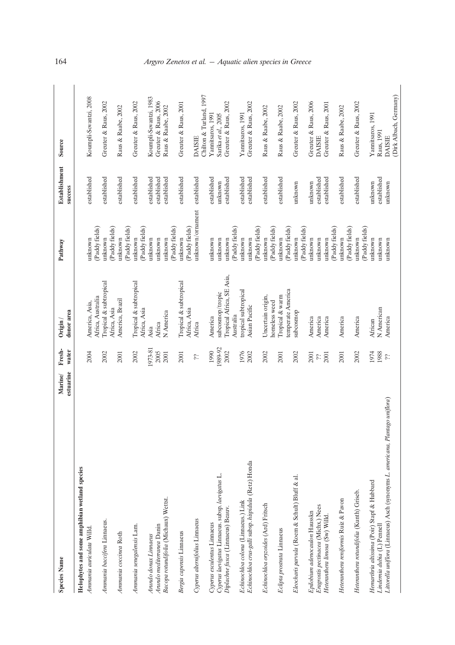| <b>Species Name</b>                                                            | Marine/   | Fresh-       | $O$ rigin /                            | Pathway                   | <b>Establishment</b> | Source                  |
|--------------------------------------------------------------------------------|-----------|--------------|----------------------------------------|---------------------------|----------------------|-------------------------|
|                                                                                | estuarine | water        | donor area                             |                           | success              |                         |
| Helophytes and some amphibian wetland species                                  |           |              |                                        |                           |                      |                         |
| Ammania auriculata Willd.                                                      |           | 2004         | America, Asia,                         | unknown                   | established          | Koumpli-Sovantzi, 2008  |
|                                                                                |           |              | Africa, Australia                      | (Paddy fields)            |                      |                         |
| Ammania baccifera Linnaeus.                                                    |           | 2002         | Tropical & subtropical<br>Africa, Asia | (Paddy fields)<br>unknown | established          | Greuter & Raus, 2002    |
| Ammania coccinea Roth                                                          |           | 2001         | America, Brazil                        | (Paddy fields)<br>unknown | established          | Raus & Raabe, 2002      |
| Ammania senegalensis Lam.                                                      |           | 2002         | Tropical & subtropical                 | unknown                   | established          | Greuter & Raus, 2002    |
|                                                                                |           |              | Africa, Asia                           | (Paddy fields)            |                      |                         |
| Arundo donax Linnaeus                                                          |           | 1973-81      | Asia                                   | unknown                   | established          | Koumpli-Sovantzi, 1983  |
| Arundo mediterranea Danin                                                      |           | 2005         | Africa                                 | unknown                   | established          | Greuter & Raus, 2006    |
| Bacopa rotundifolia (Michaux) Wettst.                                          |           | 2001         | N America                              | (Paddy fields)<br>unknown | established          | Raus & Raabe, 2002      |
| Bergia capensis Linnaeus                                                       |           | 2001         | Tropical & subtropical<br>Africa, Asia | (Paddy fields)<br>unknown | established          | Greuter & Raus, 2001    |
| Cyperus alternifolius Linnaeus                                                 |           | δċ.          | Africa                                 | unknown/ornament          | established          | <b>DAISIE</b>           |
|                                                                                |           |              |                                        |                           |                      | Chilton & Turland, 1997 |
| Cyperus esculentus Linnaeus                                                    |           | 1990         | America                                | unknown                   | established          | Yannitsaros, 1991       |
| Cyperus laevigatus Linnaeus. subsp. laevigatus L.                              |           | 1989-92      | subcosmop/tropic                       | unknown                   | unknown              | Sarika et al., 2005     |
| Diplachne fusca (Linnaeus) Beauv.                                              |           | 2002         | Tropical Africa, SE Asia,              | unknown                   | established          | Greuter & Raus, 2002    |
|                                                                                |           |              | Australia                              | (Paddy fields)            |                      |                         |
| Echinochloa colona (Linnaeus.) Link                                            |           | 1976         | tropical subtropical                   | unknown                   | established          | Yannitsaros, 1991       |
| Echinochloa crus-galli subsp. hispidula (Retz) Honda                           |           | 2002         | Asian Pacific                          | unknown                   | established          | Greuter & Raus, 2002    |
|                                                                                |           |              |                                        | (Paddy fields)            |                      |                         |
| Echinochloa oryzoides (Ard) Fritsch                                            |           | 2002         | Uncertain origin,                      | unknown                   | established          | Raus & Raabe, 2002      |
|                                                                                |           |              | homeless weed                          | (Paddy fields)            |                      |                         |
| Eclipta prostrata Linnaeus                                                     |           | 2001         | Tropical & warm                        | unknown                   | established          | Raus & Raabe, 2002      |
|                                                                                |           |              | temperate America                      | (Paddy fields)            |                      |                         |
| Eleocharis parvula (Roem & Schult) Bluff & al.                                 |           | 2002         | subcosmop                              | (Paddy fields)<br>unknown | unknown              | Greuter & Raus, 2002    |
| Epilobium adenocaulon Hausskn                                                  |           | 2001         | America                                | unknown                   | unknown              | Greuter & Raus, 2006    |
| Eragrostis pectinacea (Michx.) Nees                                            |           | $\dot{\phi}$ | America                                | unknown                   | established          | <b>DAISIE</b>           |
| Heteranthera limosa (Sw) Willd.                                                |           | 2001         | America                                | unknown                   | established          | Greuter & Raus, 2001    |
|                                                                                |           |              |                                        | (Paddy fields)            |                      |                         |
| Heteranthera reniformis Ruiz & Pavon                                           |           | 2001         | America                                | (Paddy fields)<br>unknown | established          | Raus & Raabe, 2002      |
|                                                                                |           |              |                                        |                           |                      |                         |
| Heteranthera rotundifolia (Kunth) Griseb.                                      |           | 2002         | America                                | (Paddy fields)<br>unknown | established          | Greuter & Raus, 2002    |
| Hemarthria altissima (Poir) Stapf & Hubbard                                    |           | 1974         | African                                | unknown                   | unknown              | Yannitsaros, 1991       |
| Lindernia dubia (L) Pennell                                                    |           | 1988         | N American                             | unknown                   | established          | Raus, 1991              |
| Littorella uniflora (Linnaeus) Asch (synonyms L. americana, Plantago uniflora) |           | $\ddot{o}$   | America                                | unknown                   | unknown              | <b>DAISIE</b>           |
|                                                                                |           |              |                                        |                           |                      | (Dirk Albach, Germany)  |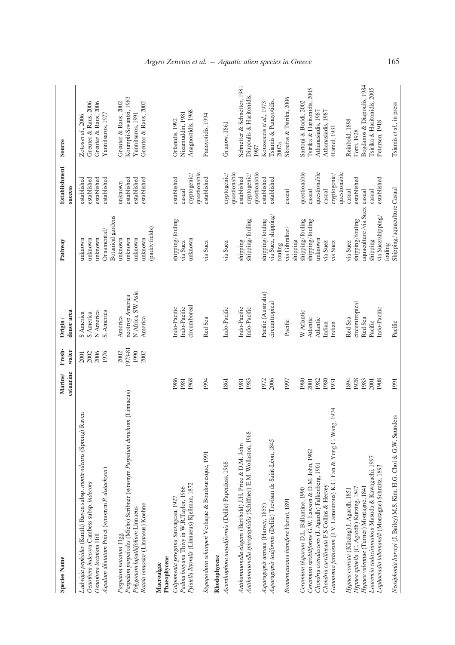| <b>Species Name</b>                                                         | estuarine<br>Marine/ | Fresh-<br>water | donor area<br>$O$ rigin / | Pathway                     | <b>Establishment</b><br>success | Source                      |
|-----------------------------------------------------------------------------|----------------------|-----------------|---------------------------|-----------------------------|---------------------------------|-----------------------------|
|                                                                             |                      |                 |                           |                             |                                 |                             |
| taven<br>Ludwigia peploides (Kunth) Raven subsp. montevidensis (Spreng) R   |                      | 2001            | S America                 | unknown                     | established                     | Zotos et al., 2006          |
| Oenothera indecora Cambess subsp. indecora                                  |                      | 2002            | S America                 | unknown                     | established                     | Greuter & Raus, 2006        |
| Oenothera laciniata Hill                                                    |                      | 2006            | N America                 | unknown                     | established                     | Greuter & Raus, 2006        |
| Aspalum dilatatum Poiret (synonym P. distachyon)                            |                      | 1976            | S. America                | Ornamental/                 | established                     | Yannitsaros, 1977           |
|                                                                             |                      |                 |                           | Botanical gardens           |                                 |                             |
| Paspalum notatum Flgg.                                                      |                      | 2002            | America                   | unknown                     | unknown                         | Greuter & Raus, 2002        |
| Paspalum paspalodes (Michx) Scribner (synonym Paspalum distichum (Linnaeus) |                      | 1973-81         | neotrop America           | unknown                     | established                     | Koumpli-Sovantzi, 1983      |
| Polygonum lapathifolium Linnaeus                                            |                      | 1990            | N Africa, SW Asia         | unknown                     | established                     | Yannitsaros, 1991           |
| Rotala ramosior (Linnaeus) Koehne                                           |                      | 2002            | America                   | unknown                     | established                     | Greuter & Raus, 2002        |
|                                                                             |                      |                 |                           | (paddy fields)              |                                 |                             |
| Macroalgae                                                                  |                      |                 |                           |                             |                                 |                             |
| Phaeophyceae                                                                |                      |                 |                           |                             |                                 |                             |
| Colpomenia peregrina Sauvageau, 1927                                        | 1986                 |                 | Indo-Pacific              | shipping/fouling            | established                     | Orfanidis, 1992             |
| Padina boryana Thivy in W.R.Taylor, 1966                                    | 1981                 |                 | Indo-Pacific              | via Suez                    | casual                          | Nizamuddin, 1981            |
| Pylaiella littoralis (Linnaeus) Kjellman, 1872                              | 1968                 |                 | circumboreal              | unknown                     | cryptogenic/                    | Anagnostidis, 1968          |
|                                                                             |                      |                 |                           |                             | questionable                    |                             |
| Stypopodium schimperi Verlaque & Boudouresque, 1991                         | 1994                 |                 | Red Sea                   | via Suez                    | established                     | Panayotidis, 1994           |
| Rhodophyceae                                                                |                      |                 |                           |                             |                                 |                             |
| Acanthophora nayadiformis (Delile) Papenfuss, 1968                          | 1861                 |                 | Indo-Pacific              | via Suez                    | cryptogenic/                    | Grunow, 1861                |
|                                                                             |                      |                 |                           |                             | questionable                    |                             |
| Antihamnionella elegans (Berthold) J.H. Price & D.M. John                   | 1981                 |                 | Indo-Pacific              | shipping                    | established                     | Schnetter & Schnetter, 1981 |
|                                                                             |                      |                 |                           |                             |                                 |                             |
| Antihamnionella spirographidis (Schiffner) E.M. Wollaston, 1968             | 1983                 |                 | Indo-Pacific              | shipping/fouling            | cryptogenic/                    | Diapoulis & Haritonidis,    |
|                                                                             |                      |                 |                           |                             | questionable                    | 1987                        |
| Asparagopsis armata (Harvey, 1855)                                          | 1972                 |                 | Pacific (Australia)       | shipping/fouling            | established                     | Koussouris et al., 1973     |
| Asparagopsis taxiformis (Delile) Trevisan de Saint-Léon, 1845               | 2006                 |                 | circumtropical            | via Suez, shipping          | established                     | Tsiamis & Panayotidis,      |
|                                                                             |                      |                 |                           | fouling                     |                                 | 2007a                       |
| Bonnemaisonia hamifera Hariot, 1891                                         | 1997                 |                 | Pacific                   | via Gibraltar/              | casual                          | Skoufas & Tsirika, 2006     |
|                                                                             |                      |                 |                           | shipping                    |                                 |                             |
| Ceramium bisporum D.L. Ballantine, 1990                                     | 1980                 |                 | W Atlantic                | shipping/fouling            | questionable                    | Sartoni & Boddi, 2002       |
| Ceramium strobiliforme G.W. Lawson & D.M. John, 1982                        | 2001                 |                 | Atlantic                  | shipping/fouling            | casual                          | Tsirika & Haritonidis, 2005 |
| Chondria coerulescens (J. Agardh) Falkenberg, 1901                          | 1982                 |                 | Atlantic                  | unknown                     | questionable                    | Athanasiadis, 1987          |
| Chondria curvilineata F.S Collins & Hervey                                  | 1980                 |                 | Indian                    | via Suez                    | casual                          | Athanasiadis, 1987          |
| Ganonema farinosum (J.V. Lamouroux) K.C. Fan & Yung C. Wang, 1974           | 1931                 |                 | Indian                    | via Suez                    | cryptogenic/                    | Hamel, 1931                 |
|                                                                             |                      |                 |                           |                             | questionable                    |                             |
| Hypnea cornuta (Kützing) J. Agardh, 1851                                    | 1894                 |                 | Red Sea                   | via Suez                    | casual                          | Reinbold, 1898              |
| Hypnea spinella (C. Agardh) Kützing, 1847                                   | 1928                 |                 | circumtropical            | shipping/fouling            | established                     | Forti, 1928                 |
| Hypnea valentiae (Turner) Montagne, 1841                                    | 1983                 |                 | Red Sea                   | aquaculture/via Suez        | casual                          | Bogdanos & Diapoulis, 1984  |
| Laurencia caduciramulosa Masuda & Kawaguchi, 1997                           | 2001                 |                 | Pacific                   | shipping                    | casual                          | Tsirika & Haritonidis, 2005 |
| Lophocladia lallemandii (Montagne) Schmitz, 1893                            | 1908                 |                 | Indo-Pacific              | via Suez/shipping/          | established                     | Petersen, 1918              |
|                                                                             |                      |                 |                           | fouling                     |                                 |                             |
| Neosiphonia harveyi (J. Bailey) M.S. Kim, H.G. Choi & G.W. Saunders         | 1991                 |                 | Pacific                   | Shipping/aquaculture Casual |                                 | Tsiamis et al., in press    |
|                                                                             |                      |                 |                           |                             |                                 |                             |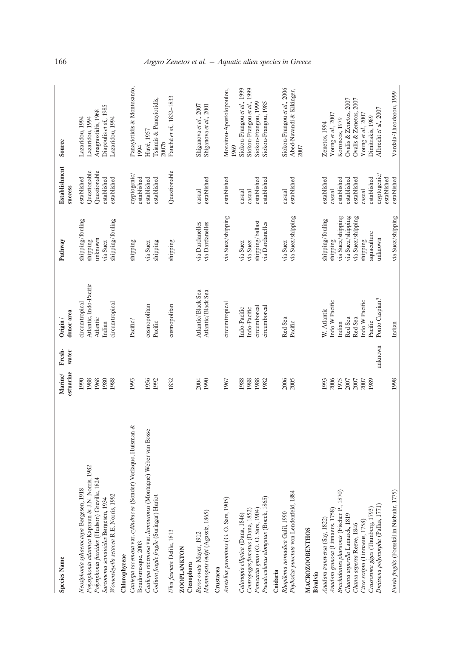| <b>Species Name</b>                                                                                      | Marine/      | Fresh-  | Origin /                | Pathway           | <b>Establishment</b>       | Source                                |
|----------------------------------------------------------------------------------------------------------|--------------|---------|-------------------------|-------------------|----------------------------|---------------------------------------|
|                                                                                                          | estuarine    | water   | donor area              |                   | success                    |                                       |
| Neosiphonia sphaerocarpa Børgesen, 1918                                                                  | 1990         |         | circumtropical          | shipping/fouling  | established                | Lazaridou, 1994                       |
| Polysiphonia atlantica Kapraun & J.N. Norris, 1982                                                       | 1988         |         | Atlantic, Indo-Pacific  | shipping          | Questionable               | Lazaridou, 1994                       |
| Polysiphonia fucoides (Hudson) Greville, 1824                                                            | 1968         |         | Atlantic                | unknown           | Questionable               | Anagnostidis, 1968                    |
| Sarconema scinaioides Børgesen, 1934                                                                     | 1980         |         | Indian                  | via Suez          | established                | Diapoulis et al., 1985                |
| Womersleyella setacea R.E. Norris, 1992                                                                  | 1988         |         | circumtropical          | shipping/fouling  | established                | Lazaridou, 1994                       |
| Chlorophyceae                                                                                            |              |         |                         |                   |                            |                                       |
| Caulerpa racemosa var. cylindracea (Sonder) Verlaque, Huisman &                                          | 1993         |         | Pacific?                | shipping          | cryptogenic/               | Panayiotidis & Montesanto,            |
| Boudouresque, 2003                                                                                       |              |         |                         |                   | established                | 1994                                  |
| Caulerpa racemosa var. lamourouxi (Montagne) Weber van Bosse<br>Codium fragile fragile (Suringar) Hariot | 1956<br>1992 |         | cosmopolitan<br>Pacific | via Suez          | established<br>established | Tsiamis & Panayiotidis,<br>Huvé, 1957 |
|                                                                                                          |              |         |                         | shipping          |                            | 2007b                                 |
| Ulva fasciata Delile, 1813                                                                               | 1832         |         | cosmopolitan            | shipping          | Questionable               | Fauché et al., 1832-1833              |
| <b>ZOOPLANKTON</b>                                                                                       |              |         |                         |                   |                            |                                       |
| Ctenophora                                                                                               |              |         |                         |                   |                            |                                       |
| Beroe ovata Mayer, 1912                                                                                  | 2004         |         | Atlantic/Black Sea      | via Dardanelles   | casual                     | Shiganova et al., 2007                |
| Mnemiopsis leidyi (Agassiz, 1865)                                                                        | 1990         |         | Atlantic/Black Sea      | via Dardanelles   | established                | Shiganova et al., 2001                |
| Crustacea                                                                                                |              |         |                         |                   |                            |                                       |
| Arietellus pavoninus (G. O. Sars, 1905)                                                                  | 1967         |         | circumtropical          | via Suez/shipping | established                | Moraitou-Apostolopoulou,<br>1969      |
|                                                                                                          |              |         |                         |                   |                            |                                       |
| Calanopia elliptica (Dana, 1846)                                                                         | 1988         |         | Indo-Pacific            | via Suez          | casual                     | Siokou-Frangou et al., 1999           |
| Centropages furcatus (Dana, 1852)                                                                        | 1988         |         | Indo-Pacific            | via Suez          | casual                     | Siokou-Frangou et al., 1999           |
| Paracartia grani (G. O. Sars, 1904)                                                                      | 1988         |         | circumboreal            | shipping/ballast  | established                | Siokou-Frangou, 1999                  |
| Pseudocalanus elongatus (Boeck, 1865)                                                                    | 1982         |         | circumboreal            | via Dardanelles   | established                | Siokou-Frangou, 1985                  |
| Cnidaria                                                                                                 |              |         |                         |                   |                            |                                       |
| Rhopilema nomadica Galil, 1990                                                                           | 2006         |         | Red Sea                 | via Suez          | casual                     | Siokou-Frangou et al., 2006           |
| Phylloriza punctata von Lendenfeld, 1884                                                                 | 2005         |         | Pacific                 | via Suez/shipping | established                | Abed-Navandi & Kikinger,              |
|                                                                                                          |              |         |                         |                   |                            | 2007                                  |
| <b>MACROZOOBENTHOS</b><br><b>Bivalvia</b>                                                                |              |         |                         |                   |                            |                                       |
| Anadara transversa (Say, 1822)                                                                           | 1993         |         | W. Atlantic             | shipping/fouling  | established                | Zenetos, 1994                         |
| Anadara granosa (Linnaeus, 1758)                                                                         | 2006         |         | Indo W Pacific          | shipping          | casual                     | Young et al., 2007                    |
| Brachidontes pharaonis (Fischer P., 1870)                                                                | 1975         |         | Indian                  | via Suez/shipping | established                | Koroneos, 1979                        |
| Chama asperella Lamarck, 1819                                                                            | 2007         |         | Red Sea                 | via Suez/shipping | established                | Ovalis & Zenetos, 2007                |
| Chama aspersa Reeve, 1846                                                                                | 2007         |         | Red Sea                 | via Suez/shipping | established                | Ovalis & Zenetos, 2007                |
| Circe scripta (Linnaeus, 1758)                                                                           | 2007         |         | Indo W Pacific          | shipping          | casual                     | Young et al., 2007                    |
| Crassostrea gigas (Thunberg, 1793)                                                                       | 1989         |         | Pacific                 | aquaculture       | established                | Dimitrakis, 1989                      |
| Dreissena polynorpha (Pallas, 1771)                                                                      |              | unknown | Ponto Caspian?          | unknown           | cryptogenic/               | Albrecht et al., 2007                 |
|                                                                                                          |              |         |                         |                   | established                |                                       |
| Fulvia fragilis (Forsskål in Niebuhr, 1775)                                                              | 1998         |         | Indian                  | via Suez/shipping | established                | Vardala-Theodorou, 1999               |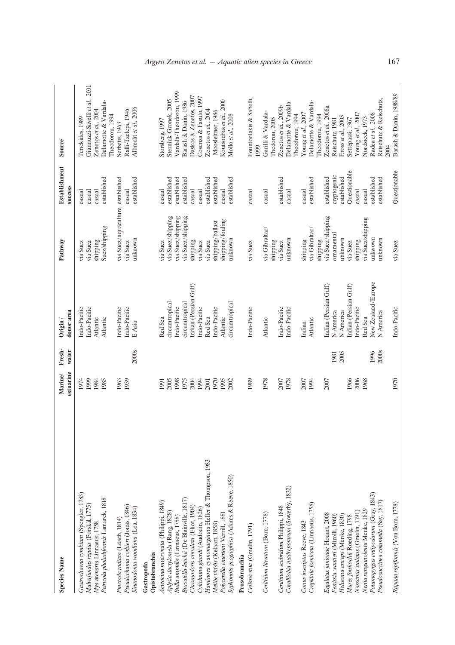| <b>Species Name</b>                                                                                                                                                                                                                                                                                | estuarine<br>Marine/                 | Fresh-<br>water               | donor area<br>$O$ rigin /                                                                                                              | Pathway                                                                                                       | <b>Establishment</b><br>success                                                                             | Source                                                                                                                                                                              |
|----------------------------------------------------------------------------------------------------------------------------------------------------------------------------------------------------------------------------------------------------------------------------------------------------|--------------------------------------|-------------------------------|----------------------------------------------------------------------------------------------------------------------------------------|---------------------------------------------------------------------------------------------------------------|-------------------------------------------------------------------------------------------------------------|-------------------------------------------------------------------------------------------------------------------------------------------------------------------------------------|
| Gastrochaena cymbium (Spengler, 1783)<br>Petricola pholadiformis Lamarck, 1818<br>Malvufundus regulus (Forskål, 1775)<br>Mya arenaria Linnaeus, 1758                                                                                                                                               | 1999<br>1984<br>1985<br>1974         |                               | Indo-Pacific<br>Indo-Pacific<br>Atlantic<br>Atlantic                                                                                   | Suez/shipping<br>shipping<br>via Suez<br>via Suez                                                             | established<br>casual<br>casual<br>casual                                                                   | Giannuzzi-Savelli et al., 2001<br>Delamotte & Vardala-<br>Zenetos et al., 2004<br>Tenekides, 1989                                                                                   |
| Pseudochama corbieri (Jonas, 1846)<br>Sinanodonta woodiana (Lea, 1834)<br>Pinctada radiata (Leach, 1814)                                                                                                                                                                                           | 1939<br>1963                         | 2000s                         | Indo-Pacific<br>Indo-Pacific<br>E Asia                                                                                                 | via Suez/aquaculture established<br>unknown<br>via Suez                                                       | established<br>casual                                                                                       | Albrecht et al., 2006<br>Ralli-Tzelepi, 1946<br>Theodorou, 1994<br>Serbetis, 1963                                                                                                   |
| Bursatella leachii (De Blainville, 1817)<br>Acteocina mucronata (Philippi, 1849)<br>Chromodoris annulata (Eliot, 1904)<br>Aplysia dactylomela (Rang, 1828)<br>Bulla ampulla (Linnaeus, 1758)<br>Opistobranchia<br>Gastropoda                                                                       | 1998<br>1975<br>2004<br>2005<br>1991 |                               | Indian (Persian Gulf)<br>circumtropical<br>circumtropical<br>Indo-Pacific<br>Red Sea                                                   | via Suez/shipping<br>via Suez/shipping<br>via Suez/shipping<br>shipping<br>via Suez                           | established<br>established<br>established<br>casual<br>casual                                               | Vardala-Theodorou, 1999<br>Daskos & Zenetos, 2007<br>Sterniuk-Gronek, 2005<br>Barash & Danin, 1986<br>Storsberg, 1997                                                               |
| Haminoea cyanomarginata Heller & Thompson, 1983<br>Syphonota geographica (Adams & Reeve, 1850)<br>Cylichnina girardi (Audouin, 1826)<br>Polycerella emertoni Verrill, 1881<br>Melibe viridis (Kelaart, 1858)                                                                                       | 1994<br>1970<br>2001<br>1995<br>2002 |                               | circumtropical<br>Indo-Pacific<br>Indo-Pacific<br>Red Sea<br>Atlantic                                                                  | shipping/fouling<br>shipping/ballast<br>unknown<br>via Suez<br>via Suez                                       | established<br>established<br>established<br>casual<br>casual                                               | Cosenza & Fasulo, 1997<br>Koutsoubas et al., 2000<br>Zenetos et al., 2004<br>Moosleitner, 1986<br>Mollo et al., 2008                                                                |
| Cellana rota (Gmelin, 1791)<br>Prosobranchia                                                                                                                                                                                                                                                       | 1989                                 |                               | Indo-Pacific                                                                                                                           | via Suez                                                                                                      | casual                                                                                                      | Fountoulakis & Sabelli,<br>1999                                                                                                                                                     |
| Coralliobia madreporarum (Sowerby, 1832)<br>Cerithium scabridum Philippi, 1848<br>Cerithium literatum (Born, 1778)                                                                                                                                                                                 | 1978<br>2007<br>1978                 |                               | Indo-Pacific<br>Indo-Pacific<br>Atlantic                                                                                               | via Gibraltar/<br>unknown<br>shipping<br>via Suez                                                             | established<br>casual<br>casual                                                                             | Delamotte & Vardala-<br>Zenetos et al., 2009b<br>Garilli & Vardala-<br>Thedorou, 2005                                                                                               |
| Crepidula fornicata (Linnaeus, 1758)<br>Conus inscriptus Reeve, 1843                                                                                                                                                                                                                               | 2007<br>1994                         |                               | Atlantic<br>Indian                                                                                                                     | via Gibraltar/<br>shipping<br>shipping                                                                        | established<br>casual                                                                                       | Delamotte & Vardala-<br>Young et al., 2007<br>Theodorou, 1994<br>Theodorou, 1994                                                                                                    |
| Potamopyrgus antipodarum (Gray, 1843)<br>Pseudosuccinea columella (Say, 1817)<br>Nerita sanguinolenta Menke, 1829<br>Nassarius stolatus (Gmelin, 1791)<br>Ergalatax junionae Houart, 2008<br>Ferrissia wautieri (Mirolli, 1960)<br>Helisoma anceps (Menke, 1830)<br>Murex forskoehli Roeding, 1798 | 2006<br>1966<br>2007<br>1968         | 2000s<br>1996<br>1981<br>2005 | New Zealand/Europe<br>Indian (Persian Gulf)<br>Indian (Persian Gulf)<br>Indo-Pacific<br>N America<br>N America<br>N America<br>Red Sea | via Suez/shipping<br>via Suez/shipping<br>ornamental<br>unknown<br>unkwown<br>unknown<br>shipping<br>via Suez | Questionable<br>cryptogenic<br>established<br>established<br>established<br>established<br>casual<br>casual | Reischutz & Reischutz,<br>Zenetos et al., 2008a<br>Young et al., 2007<br>Radea et al., 2008<br>Eross et al., 2005<br>Nordsieck, 1973<br>Reischutz, 1981<br>Settepassi, 1967<br>2004 |
| Rapana rapiformis (Von Born, 1778)                                                                                                                                                                                                                                                                 | 1970                                 |                               | Indo-Pacific                                                                                                                           | via Suez                                                                                                      | Questionable                                                                                                | Barash & Danin, 1988/89                                                                                                                                                             |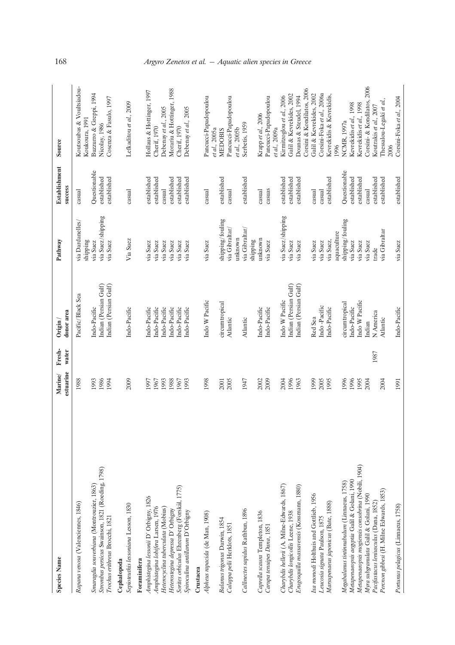| <b>Species Name</b>                                                                           | estuarine<br>Marine/ | Fresh-<br>water | donor area<br>$O$ rigin /               | Pathway                       | <b>Establishment</b><br>success | Source                                                |
|-----------------------------------------------------------------------------------------------|----------------------|-----------------|-----------------------------------------|-------------------------------|---------------------------------|-------------------------------------------------------|
| Rapana venosa (Valenciennes, 1846)                                                            | 1988                 |                 | Pacific/Black Sea                       | via Dardanelles<br>shipping   | casual                          | Koutsoubas & Voultsiadou-<br>Koukoura, 1991           |
| Strombus persicus Swainson, 1821 (Roeding, 1798)<br>Smaragdia souverbiana (Montrouzier, 1863) | 1993<br>1986         |                 | Indian (Persian Gulf)<br>Indo-Pacific   | via Suez/shipping<br>via Suez | Questionable<br>established     | Buzzurro & Greppi, 1994<br>Nicolay, 1986              |
| Trochus erithreus Brocchi, 1821                                                               | 1994                 |                 | Indian (Persian Gulf)                   | via Suez                      | established                     | Cosenza & Fasulo, 1997                                |
| Cephalopoda                                                                                   |                      |                 |                                         |                               |                                 |                                                       |
| Sepioteuthis lessoniana Lesson, 1830                                                          | 2009                 |                 | Indo-Pacific                            | Via Suez                      | $\operatorname{casual}$         | Lefkaditou et al., 2009                               |
| Foraminifera                                                                                  |                      |                 |                                         |                               |                                 |                                                       |
| Amphistegina lessonii D'Orbigny, 1826                                                         | 1997                 |                 | Indo-Pacific                            | via Suez                      | established                     | Hollaus & Hottinger, 1997                             |
| Amphistegina lobifera Larsen, 1976                                                            | 1967                 |                 | Indo-Pacific                            | via Suez                      | established                     | Cherif, 1970                                          |
| Heterocyclina tuberculata (Mobius)                                                            | 1993                 |                 | Indo-Pacific                            | via Suez                      | casual                          | Debenay et al., 2005                                  |
| Sorites orbiculus Ehrenberg (Forskål, 1775)<br>Heterostegina depressa D'Orbigny               | 1988<br>1967         |                 | Indo-Pacific<br>Indo-Pacific            | via Suez<br>via Suez          | established<br>established      | Morariu & Hottinger, 1988<br>Cherif, 1970             |
| Spiroculina antillarum D'Orbigny                                                              | 1993                 |                 | Indo-Pacific                            | via Suez                      | established                     | Debenay et al., 2005                                  |
| Crustacea                                                                                     |                      |                 |                                         |                               |                                 |                                                       |
| Alpheus rapacida (de Man, 1908)                                                               | 1998                 |                 | Indo W Pacific                          | via Suez                      | casual                          | Pancucci-Papadopoulou<br>et al., 2005a                |
| Balanus trigonus Darwin, 1854                                                                 | 2001                 |                 | circumtropical                          | shipping/fouling              | established                     | <b>MEDOBIS</b>                                        |
| Calappa pelii Herklots, 1851                                                                  | 2005                 |                 | Atlantic                                | via Gibraltar/                | casual                          | Pancucci-Papadopoulou                                 |
|                                                                                               |                      |                 |                                         | unknown                       |                                 | et al., 2005b                                         |
| Callinectes sapidus Rathbun, 1896                                                             | 1947                 |                 | Atlantic                                | via Gibraltar/                | established                     | Serbetis, 1959                                        |
|                                                                                               |                      |                 |                                         | shipping                      |                                 |                                                       |
| Caprella scaura Templeton, 1836                                                               | 2002                 |                 | Indo-Pacific                            | unknown                       | casual                          | Krapp et al., 2006                                    |
| Carupa tenuipes Dana, 1851                                                                    | 2009                 |                 | Indo-Pacific                            | via Suez                      | casuas                          | Pancucci-Papadopoulou                                 |
|                                                                                               |                      |                 |                                         |                               |                                 | et al., 2009a                                         |
| Charybdis hellerii (A. Milne-Edwards, 1867)                                                   | 1996<br>2004         |                 | Indian (Persian Gulf)<br>Indo W Pacific | via Suez/shipping<br>via Suez | established<br>established      | Galil & Kevrekides, 2002<br>Kirmitzoglou et al., 2006 |
| Erugosquilla massavensis (Kossmann, 1880)<br>Charybdis longicollis Leene, 1938                | 1963                 |                 | Indian (Persian Gulf)                   | via Suez                      | established                     | Dounas & Steudel, 1994                                |
|                                                                                               |                      |                 |                                         |                               |                                 | Corsini & Kondilatos, 2006                            |
| Ixa monodi Holthuis and Gottlieb, 1956                                                        | 1999                 |                 | Red Sea                                 | via Suez                      | ca<br>sual                      | Galil & Kevrekides, 2002                              |
| Leucosia signata Paulson, 1875                                                                | 2005                 |                 | Indo-Pacific                            | via Suez                      | casual                          | Corsini-Foka et al., 2006a                            |
| Marsupenaeus japonicus (Bate, 1888)                                                           | 1995                 |                 | Indo-Pacific                            | via Suez,                     | established                     | Kevrekidis & Kevrekidis,                              |
|                                                                                               |                      |                 |                                         | aquaculture                   |                                 | 1996                                                  |
| Megabalanus tintinnabulum (Linnaeus, 1758)                                                    | 1996                 |                 | circumtropical                          | shipping/fouling              | Questionable                    | <b>NCMR</b> , 1997a                                   |
| Metapenaeopsis aegyptia Galil & Golani, 1990                                                  | 1996                 |                 | Indo-Pacific                            | via Suez                      | established                     | Kevrekidis et al., 1998                               |
| Metapenaeopsis mogiensis consobrina (Nobili, 1904)                                            | 1995                 |                 | Indo W Pacific                          | via Suez                      | established                     | Kevrekidis et al., 1998                               |
| Myra subgranulata Galil & Golani, 1990                                                        | <b>2004</b>          |                 | Indian                                  | via Suez                      | casual                          | Corsini- & Kondilatos, 2006                           |
| Pacifastacus leniusculus (Dana, 1852)                                                         |                      | 1987            | N America                               | trade                         | established                     | Koutrakis et al., 2007                                |
| Percnon gibbesi (H. Milne Edwards, 1853)                                                      | 2004                 |                 | Atlantic                                | via Gibraltar                 | established                     | Thessalou-Legaki et al.,                              |
|                                                                                               |                      |                 |                                         |                               |                                 | 2006                                                  |
| Portunus pelagicus (Linnaeus, 1758)                                                           | 1991                 |                 | Indo-Pacific                            | via Suez                      | established                     | Corsini-Foka et al., 2004                             |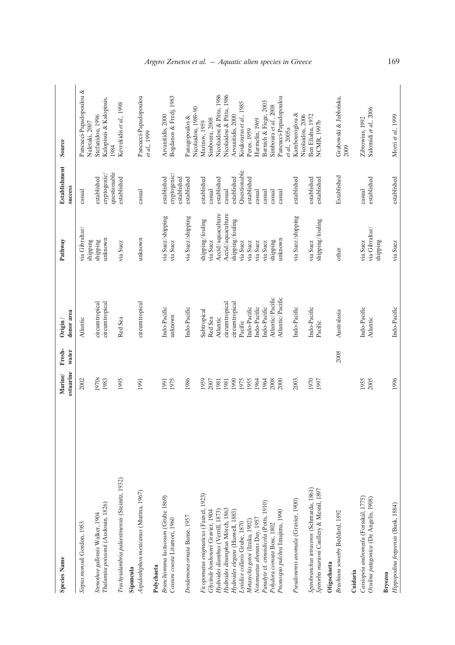| <b>Species Name</b>                                                            | estuarine<br>Marine/ | Fresh-<br>water | donor area<br>$O$ rigin $/$ | Pathway                                | <b>Establishment</b><br>success | Source                                    |
|--------------------------------------------------------------------------------|----------------------|-----------------|-----------------------------|----------------------------------------|---------------------------------|-------------------------------------------|
| Sirpus monodi Gordon, 1953                                                     | 2002                 |                 | Atlantic                    | via Gibraltar/<br>shipping             | casual                          | Pancucci-Papadopoulou &<br>Naletaki, 2007 |
| Stenothoe gallensis Walker, 1904                                               | 1970s                |                 | circumtropical              | shipping                               | established                     | Stefanidou, 1996                          |
| Thalamita poissonii (Audouin, 1826)                                            | 1983                 |                 | circumtropical              | unknown                                | questionable<br>cryptogenic/    | Kalopissis & Kalopissis,<br>1984          |
| Trachysalambria palaestinensis (Steinitz, 1932)                                | 1995                 |                 | Red Sea                     | via Suez                               | established                     | Kevrekidis et al., 1998                   |
| Aspidoshiphon mexicanus (Murina, 1967)<br>Sipuncula                            | 1991                 |                 | circumtropical              | unknown                                | casual                          | Pancucci-Papadopoulou<br>et al., 1999     |
| Polychaeta                                                                     |                      |                 |                             |                                        |                                 |                                           |
| Branchiomma luctuosum (Grube 1869)                                             | 1991                 |                 | Indo-Pacific                | via Suez/shipping                      | established                     | Arvanitidis, 2000                         |
| Cossura coasta Litamori, 1960                                                  | 1975                 |                 | unknown                     | via Suez                               | cryptogenic/<br>established     | Bogdanos & Fredj, 1983                    |
| Desdemona ornata Banse, 1957                                                   | 1986                 |                 | Indo-Pacific                | via Suez/shipping                      | established                     | Nicolaidou, 1989-90<br>Panagopoulos &     |
| Ficopomatus enignaticus (Fauvel, 1923)                                         | 1959                 |                 | Subtropical                 | shipping/fouling                       | established                     | Marinov, 1959                             |
| Glycinde bonhourei Gravier, 1904                                               | 2007                 |                 | Red Sea                     | via Suez                               | casual                          | Simboura, 2008                            |
| Hydroides dianthus (Verrill, 1873)                                             | 1981                 |                 | Atlantic                    | Accid/aquaculture                      | established                     | Nicolaidou & Pitta, 1986                  |
| Hydroides diramphus Mörch, 1863                                                | 1981                 |                 | circumtropical              | Accid/aquaculture                      | casual                          | Nicolaidou & Pitta, 1986                  |
| Hydroides elegans (Haswell, 1883)                                              | 1990                 |                 | circumtropical              | shipping/fouling                       | established                     | Arvanitidis, 2000                         |
| Lysidice collaris Grube, 1870                                                  | 1975                 |                 | Pacific                     | via Suez                               | Questionable                    | Koukouras et al., 1985                    |
| Metasychis gotoi (Izuka, 1902)                                                 | 1955                 |                 | Indo-Pacific                | via Suez                               | established                     | Peres, 1959                               |
| Notomastus aberans Day, 1957                                                   | 1964                 |                 | Indo-Pacific                | via Suez                               | casual                          | Harmelin, 1969                            |
| Paradyte cf. crinoidicola (Potts, 1910)                                        | 1964                 |                 | Indo-Pacific                | via Suez                               | casual                          | Barnich & Fiege, 2003                     |
| Polydora cornuta Bosc, 1802                                                    | 2008                 |                 | Atlantic/Pacific            | shipping                               | casual                          | Simboura et al., 2008                     |
| Prionospio pulchra Imajima, 1990                                               | 2000                 |                 | Atlantic/Pacific            | unknown                                | $\operatorname{casual}$         | Pancucci-Papadopoulou                     |
|                                                                                |                      |                 |                             |                                        |                                 | et al., 2005 a                            |
| Pseudonereis anomala (Gravier, 1900)                                           | 2003                 |                 | Indo-Pacific                | via Suez/shipping                      | established                     | Kambouroglou &<br>Nicolaidou, 2006        |
| Spirobranchus tetraceros (Schmarda, 1861)                                      | 1970                 |                 | Indo-Pacific                | via Suez                               | established                     | Ben Eliahu, 1972                          |
| Spirorbis marioni Caullery & Mesnil, 1897                                      | 1997                 |                 | Pacific                     | shipping/fouling                       | established                     | <b>NCMR, 1997b</b>                        |
| Oligochaeta                                                                    |                      |                 |                             |                                        |                                 |                                           |
| Brachiura sowerby Beddard, 1892                                                |                      | 2008            | Australasia                 | other                                  | Established                     | Grabowski & Jabłońska,<br>2009            |
| Cnidaria                                                                       |                      |                 |                             |                                        |                                 |                                           |
| Cassiopeia andromeda (Forsskål, 1775)<br>Oculina patagonica (De Angelis, 1908) | 2005<br>1955         |                 | Indo-Pacific<br>Atlantic    | via Gibraltar/<br>via Suez<br>shipping | established<br>casual           | Salomidi et al., 2006<br>Zibrowius, 1992  |
| Bryozoa                                                                        |                      |                 |                             |                                        |                                 |                                           |
| Hippopodina feegeensis (Busk, 1884)                                            | 1996                 |                 | Indo-Pacific                | via Suez                               | established                     | Morri et al., 1999                        |
|                                                                                |                      |                 |                             |                                        |                                 |                                           |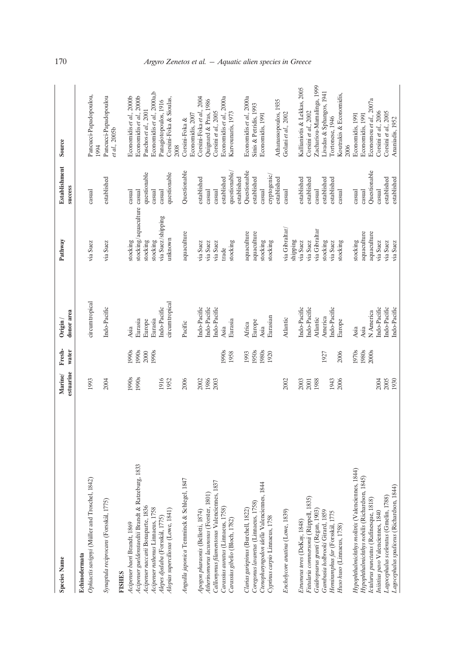| <b>Species Name</b>                                                                | estuarine<br>Marine/ | Fresh-<br>water | donor area<br>$O$ rigin / | Pathway                                 | <b>Establishment</b><br>success | Source                                               |
|------------------------------------------------------------------------------------|----------------------|-----------------|---------------------------|-----------------------------------------|---------------------------------|------------------------------------------------------|
| Ophiactis savignyi (Müller and Troschel, 1842)<br>Echinodermata                    | 1993                 |                 | circumtropical            | via Suez                                | casual                          | Pancucci-Papadopoulou,<br>1994                       |
| Synaptula reciprocans (Forsskål, 1775)                                             | 2004                 |                 | Indo-Pacific              | via Suez                                | established                     | Pancucci-Papadopoulou<br>et al., 2005b               |
| <b>FISHES</b>                                                                      |                      |                 |                           |                                         |                                 |                                                      |
| Acipenser gueldenstaedtii Brandt & Ratzeburg, 1833<br>Acipenser baeri Brandt, 1869 | 1990s<br>1990s       | 1990s<br>1990s  | Eurasia<br>Asia           | stocking/aquaculture casual<br>stocking | casual                          | Economidis et al., 2000b<br>Economidis et al., 2000b |
| Acipenser naccarii Bonaparte, 1836                                                 |                      | 2000            | Europe                    | stocking                                | questionable                    | Paschos et al., 2001                                 |
| Acipenser ruthenus Linnaeus, 1758                                                  |                      | 1990s           | Eurasia                   | stocking                                | casual                          | Economidis et al., 2000a, b                          |
| Alepes djedaba (Forsskål, 1775)                                                    | 1916<br>1952         |                 | Indo-Pacific              | via Suez/shipping                       | casual                          | Corsini-Foka & Sioulas,<br>Panagiotopoulos, 1916     |
| Alopias superciliosus (Lowe, 1841)                                                 |                      |                 | circumtropical            | unknown                                 | questionable                    | 2008                                                 |
| Anguilla japonica Temminck & Schlegel, 1847                                        | 2006                 |                 | Pacific                   | aquaculture                             | Questionable                    | Economidis, 2007<br>Corsini-Foka &                   |
| Apogon pharaonis (Bellotti, 1874)                                                  | 2002                 |                 | Indo-Pacific              | via Suez                                | established                     | Corsini-Foka et al., 2004                            |
| Atherinomorus lacunosus (Forster, 1801)                                            | 1986                 |                 | Indo-Pacific              | via Suez                                | casual                          | Quignard & Pras, 1986                                |
| Callionymus filamentosus Valenciennes, 1837                                        | 2003                 |                 | Indo-Pacific              | via Suez                                | casual                          | Corsini et al., 2005                                 |
| Carassius auratus (Linnaeus, 1758)                                                 |                      | 1990s           | Asia                      | trade                                   | established                     | Economidis et al., 2000a                             |
| Carassius gibelio (Bloch, 1782)                                                    |                      | 1958            | Eurasia                   | stocking                                | questionable,                   | Karvounaris, 1973                                    |
|                                                                                    |                      |                 |                           |                                         | established                     |                                                      |
| Clarias gariepinus (Burchell, 1822)                                                |                      | 1993            | Africa                    | aquaculture                             | Questionable                    | Economidis et al., 2000a                             |
| Coregonus lavaretus (Linnaeus, 1758)                                               |                      | 1950s           | Europe                    | aquaculture                             | established                     | Sinis & Petridis, 1993                               |
| Ctenopharyngodon idella Valenciennes, 1844                                         |                      | 1980s           | Asia                      | stocking                                | casual                          | Economidis, 1991                                     |
| Cyprinus carpio Linnaeus, 1758                                                     |                      | 1920            | Eurasian                  | stocking                                | cryptogenic/                    |                                                      |
| Enchelycore anatina (Lowe, 1839)                                                   | 2002                 |                 | Atlantic                  | via Gibraltar/                          | established<br>casual           | Athanassopoulos, 1935<br>Golani et al., 2002         |
|                                                                                    |                      |                 |                           | shipping                                |                                 |                                                      |
| Etrumeus teres (DeKay, 1848)                                                       | 2003                 |                 | Indo-Pacific              | via Suez                                | established                     | Kallianiotis & Lekkas, 2005                          |
| Fistularia commersonii (Rüppell, 1835)                                             | 2001                 |                 | Indo-Pacific              | via Suez                                | established                     | Corsini et al., 2002                                 |
| Gaidropsarus granti (Regan, 1903)                                                  | 1988                 |                 | Atlantic                  | via Gibraltar                           | casual                          | Zachariou-Mamalinga, 1999                            |
| Gambusia holbrooki Girard, 1859                                                    |                      | 1927            | America                   | stocking                                | established                     | ivadas & Sphangos, 1941                              |
| Hemiramphus far (Forsskål, 1775                                                    | 1943                 |                 | Indo-Pacific              | via Suez                                | established                     | Tortonese, 1946                                      |
| Huso huso (Linnaeus, 1758)                                                         | 2006                 | 2006            | Europe                    | stocking                                | casual                          | Koutrakis & Economidis,<br>2006                      |
| Hypophthalmichthys molitrix (Valenciennes, 1844)                                   |                      | 1970s           | Asia                      | stocking                                | casual                          | Economidis, 1991                                     |
| Hypophthalmichthys nobilis (Richardson, 1845)                                      |                      | 1980s           | Asia                      | aquaculture                             | casual                          | Economidis, 1991                                     |
| Ictalurus punctatus (Rafinesque, 1818)                                             |                      | 2000s           | N America                 | aquaculture                             | Questionable                    | Economou et al., 2007a                               |
| Iniistius pavo Valenciennes, 1840                                                  | 2004                 |                 | Indo-Pacific              | via Suez                                | casual                          | Corsini et al., 2006                                 |
| Lagocephalus sceleratus (Gmelin, 1788)                                             | 2005                 |                 | Indo-Pacific              | via Suez                                | established                     | Corsini et al., 2005                                 |
| Lagocephalus spadiceus (Richardson, 1844)                                          | 1930                 |                 | Indo-Pacific              | via Suez                                | established                     | Ananiadis, 1952                                      |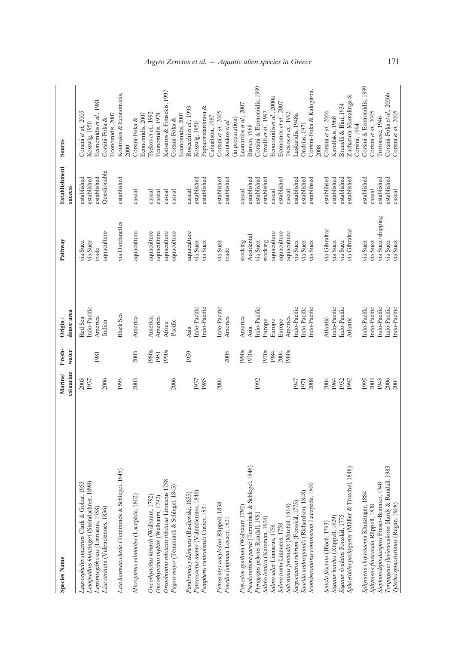| <b>Species Name</b>                               | estuarine<br>Marine/ | Fresh-<br>water | donor area<br>Origin / | Pathway           | <b>Establishment</b><br>success | Source                     |
|---------------------------------------------------|----------------------|-----------------|------------------------|-------------------|---------------------------------|----------------------------|
|                                                   |                      |                 |                        |                   |                                 |                            |
| Lagocephalus suezensis Clark & Gohar, 1953        | 2003                 |                 | Red Sea                | via Suez          | established                     | Corsini et al., 2005       |
| Leiognathus klunzingeri (Steindachner, 1898)      | 1937                 |                 | Indo-Pacific           | via Suez          | established                     | Kosswig, 1950              |
| Lepomis gibbosus (Linnaeus, 1758)                 |                      | 1981            | America                | trade             | established                     | Economidis et al., 1981    |
|                                                   |                      |                 |                        |                   |                                 |                            |
| Liza carinata (Valenciennes, 1836)                | 2006                 |                 | Indian                 | aquaculture       | Questionable                    | Corsini-Foka &             |
|                                                   |                      |                 |                        |                   |                                 | Economidis, 2007           |
| Liza haematocheila (Temminck & Schlegel, 1845)    | 1995                 |                 | Black Sea              | via Dardanelles   | established                     | Koutrakis & Economidis,    |
|                                                   |                      |                 |                        |                   |                                 | 2000                       |
| Micropterus salmoides (Lacepède, 1802)            | 2003                 | 2003            | America                | aquaculture       | casual                          | Corsini-Foka &             |
|                                                   |                      |                 |                        |                   |                                 | Economidis, 2007           |
| Oncorhynchus kisutch (Walbaum, 1792)              |                      | 1980s           | America                | aquaculture       |                                 |                            |
|                                                   |                      |                 |                        |                   | casual                          | Tsekos et al., 1992        |
| Oncorhynchus mykiss (Walbaum, 1792)               |                      | 1951            | America                | aquaculture       | casual                          | Economidis, 1974           |
| Oreochromis niloticus niloticus Linnaeus 1758     |                      | 1990s           | Africa                 | aquaculture       | casual                          | Katsaros & Fousekis, 1997  |
| Pagrus major (Temminck & Schlegel, 1843)          | 2006                 |                 | Pacific                | aquaculture       | casual                          | Corsini-Foka &             |
|                                                   |                      |                 |                        |                   |                                 | Economidis, 2007           |
| Parabramis pekinensis (Basilewski, 1855)          |                      | 1959            | Asia                   | aquaculture       | casual                          | Rosecchi et al., 1993      |
|                                                   | 1937                 |                 |                        | via Suez          |                                 |                            |
| Parexocoetus mento (Valenciennes, 1846)           |                      |                 | Indo-Pacific           |                   | established                     | Kosswig, 1950              |
| Pempheris vanicolensis Cuvier, 1831               | 1985                 |                 | Indo-Pacific           | via Suez          | established                     | Papaconstantinou &         |
|                                                   |                      |                 |                        |                   |                                 | Caragitsou, 1987           |
| Petroscirtes ancylodon Rüppell, 1838              | 2004                 |                 | Indo-Pacific           | via Suez          | established                     | Corsini et al., 2005       |
| Poecilia latipinna Lesuer, 1821                   |                      | 2005            | America                | trade             | established                     | Koutsikos et al            |
|                                                   |                      |                 |                        |                   |                                 |                            |
|                                                   |                      |                 |                        |                   |                                 | in preparation)            |
| Polyodon spathula (Walbaum 1792)                  |                      | 1990s           | America                | stocking          | casual                          | Leonardos et al., 2007     |
| Pseudorasbora parva (Temminck & Schlegel, 1846)   |                      | 1970s           | Asia                   | Accidental        | established                     | Bianco, 1988               |
| Pteragogus pelycus Randall, 1981                  | 1992                 |                 | Indo-Pacific           | via Suez          | established                     | Corsini & Economidis, 1999 |
| Salmo letnica (Karaman, 1924)                     |                      | 1970s           | Europe                 | stocking          | established                     | Crivelli et al., 1997      |
| Salmo salar Linnaeus, 1758                        |                      | 1984            | Europe                 | aquaculture       | casual                          | Economidis et al., 2000a   |
| Salmo trutta Linnaeus, 1758                       |                      | 2004            |                        |                   | established                     |                            |
|                                                   |                      |                 | Europe                 | aquaculture       |                                 | Economou et al., 2007      |
| Salvelinus fontinalis (Mitchill, 1814)            |                      | 1980s           | America                | aquaculture       | casual                          | Tsekos et al., 1992        |
| Sargocentron rubrum (Forsskål, 1775)              | 1947                 |                 | Indo-Pacific           | via Suez          | established                     | Laskaridis, 1948a          |
| Saurida undosquamis (Richardson, 1848)            | 1971                 |                 | Indo-Pacific           | via Suez          | established                     | Ondrias, 1971              |
| Scomberomorus commerson Lacepède, 1800            | 2008                 |                 | Indo-Pacific           | via Suez          | establihsed                     | Corsini-Foka & Kalogirou,  |
|                                                   |                      |                 |                        |                   |                                 | 2008                       |
| Seriola fasciata (Bloch, 1793)                    | 2004                 |                 | Atlantic               | via Gibraltar     | establihsed                     | Corsini et al., 2006       |
| Siganus luridus (Rüppell, 1829)                   | 1964                 |                 | Indo-Pacific           | via Suez          | established                     | Kavallakis, 1968           |
| Siganus rivulatus Forsskål, 1775                  | 1932                 |                 | Indo-Pacific           | via Suez          | established                     | Brunelli & Bini, 1934      |
| Sphoeroides pachygaster (Müller & Troschel, 1848) | 1992                 |                 | Atlantic               | via Gibraltar     | established                     | Zachariou-Mamalinga &      |
|                                                   |                      |                 |                        |                   |                                 | Corsini, 1994              |
| Sphyraena chrysotaenia Klunzinger, 1884           | 1995                 |                 | Indo-Pacific           | via Suez          | established                     | Corsini & Economidis, 1999 |
| Sphyraena flavicauda Rüppell, 1838                | 2003                 |                 | Indo-Pacific           | via Suez          | casual                          | Corsini et al., 2005       |
| Stephanolepis diaspros Fraser-Brunner, 1940       | 1943                 |                 | Indo-Pacific           | via Suez/shipping | established                     | Tortonese, 1946            |
|                                                   |                      |                 |                        |                   |                                 |                            |
| Torquigener flavimaculosus Hardy & Randall, 1983  | 2006                 |                 | Indo-Pacific           | via Suez          | established                     | Corsini-Foka et al., 2006b |
| Tylerius spinosissimus (Regan, 1908)              | 2004                 |                 | Indo-Pacific           | via Suez          | casual                          | Corsini et al., 2005       |